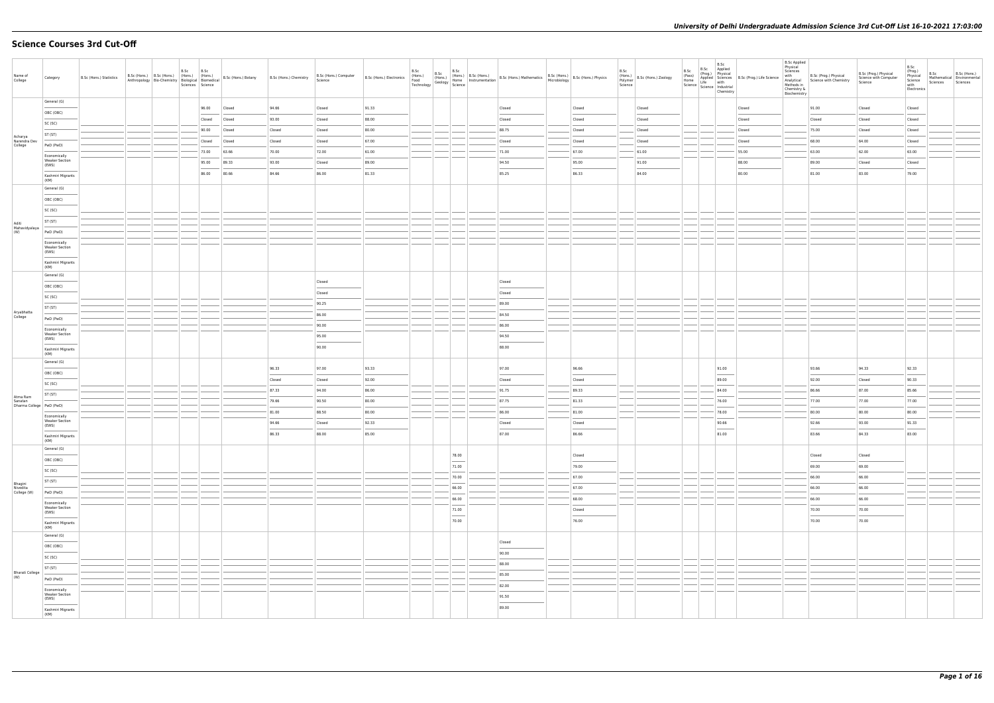# **Science Courses 3rd Cut-Off**

| General (G)<br>96.00<br>94.66<br>91.33<br>Closed<br>Closed<br>91.00<br>Closed<br>Closed<br>Closed<br>Closed<br>Closed<br>Closed<br>OBC (OBC)<br>93.00<br>88.00<br>Closed<br>Closed<br>Closed<br>Closed<br>Closed<br>Closed<br>Closed<br>Closed<br>Closed<br>Closed<br>SC (SC)<br>88.75<br>75.00<br>90.00<br>Closed<br>Closed<br>Closed<br>80.00<br>Closed<br>Closed<br>Closed<br>Closed<br>Closed<br>ST (ST)<br>Acharya<br>Narendra Dev<br>67.00<br>Closed<br>Closed<br>68.00<br>64.00<br>Closed<br>Closed<br>Closed<br>Closed<br>Closed<br>Closed<br>Closed<br>College<br>PwD (PwD)<br>73.00<br>70.00<br>72.00<br>61.00<br>71.00<br>67.00<br>61.00<br>55.00<br>63.00<br>62.00<br>63.00<br>63.66<br>Economically<br><b>Weaker Section</b><br>93.00<br>94.50<br>89.00<br>95.00<br>89.33<br>Closed<br>89.00<br>95.00<br>91.00<br>88.00<br>Closed<br>Closed<br>(EWS)<br>84.66<br>86.33<br>84.00<br>81.00<br>83.00<br>80.66<br>86.00<br>81.33<br>85.25<br>80.00<br>79.00<br>86.00<br>Kashmiri Migrants<br>(KM)<br>General (G)<br>OBC (OBC)<br>SC (SC)<br>ST (ST)<br>Aditi<br>Mahavidyalaya<br>(W)<br>PwD (PwD)<br>Economically<br><b>Weaker Section</b><br>(EWS)<br>Kashmiri Migrants<br>(KM)<br>General (G)<br>Closed<br>Closed<br>OBC (OBC)<br>Closed<br>Closed<br>SC (SC)<br>90.25<br>89.00<br>ST (ST)<br>Aryabhatta<br>86.00<br>84.50<br>College<br>PwD (PwD)<br>90.00<br>86.00<br>Economically<br><b>Weaker Section</b><br>95.00<br>94.50<br>(EWS)<br>90.00<br>88.00<br>Kashmiri Migrants<br>(KM)<br>General (G)<br>96.33<br>97.00<br>97.00<br>94.33<br>92.33<br>93.33<br>96.66<br>91.00<br>93.66<br>OBC (OBC)<br>92.00<br>Closed<br>89.00<br>92.00<br>90.33<br>Closed<br>Closed<br>Closed<br>Closed<br>SC (SC)<br>87.33<br>94.00<br>86.00<br>91.75<br>89.33<br>87.00<br>85.66<br>84.00<br>86.66<br>ST (ST)<br>Atma Ram<br>79.66<br>90.50<br>87.75<br>81.33<br>76.00<br>77.00<br>77.00<br>77.00<br>80.00<br>Sanatan<br>Dharma College PwD (PwD)<br>81.00<br>88.50<br>86.00<br>81.00<br>78.00<br>80.00<br>80.00<br>80.00<br>80.00<br>Economically<br><b>Weaker Section</b><br>94.66<br>92.33<br>90.66<br>92.66<br>93.00<br>91.33<br>Closed<br>Closed<br>Closed<br>(EWS)<br>86.33<br>88.00<br>87.00<br>86.66<br>81.00<br>83.66<br>84.33<br>85.00<br>83.00<br>Kashmiri Migrants<br>(KM)<br>General (G)<br>78.00<br>Closed<br>Closed<br>Closed<br>OBC (OBC)<br>$\frac{1}{2}$<br>71.00<br>69.00<br>69.00<br>79.00 | B.Sc (Hons.)<br>Mathematical Environmental<br>Sciences |
|---------------------------------------------------------------------------------------------------------------------------------------------------------------------------------------------------------------------------------------------------------------------------------------------------------------------------------------------------------------------------------------------------------------------------------------------------------------------------------------------------------------------------------------------------------------------------------------------------------------------------------------------------------------------------------------------------------------------------------------------------------------------------------------------------------------------------------------------------------------------------------------------------------------------------------------------------------------------------------------------------------------------------------------------------------------------------------------------------------------------------------------------------------------------------------------------------------------------------------------------------------------------------------------------------------------------------------------------------------------------------------------------------------------------------------------------------------------------------------------------------------------------------------------------------------------------------------------------------------------------------------------------------------------------------------------------------------------------------------------------------------------------------------------------------------------------------------------------------------------------------------------------------------------------------------------------------------------------------------------------------------------------------------------------------------------------------------------------------------------------------------------------------------------------------------------------------------------------------------------------------------------------------------------------------------------------------------------------------------------------------------------------------------------|--------------------------------------------------------|
|                                                                                                                                                                                                                                                                                                                                                                                                                                                                                                                                                                                                                                                                                                                                                                                                                                                                                                                                                                                                                                                                                                                                                                                                                                                                                                                                                                                                                                                                                                                                                                                                                                                                                                                                                                                                                                                                                                                                                                                                                                                                                                                                                                                                                                                                                                                                                                                                               |                                                        |
|                                                                                                                                                                                                                                                                                                                                                                                                                                                                                                                                                                                                                                                                                                                                                                                                                                                                                                                                                                                                                                                                                                                                                                                                                                                                                                                                                                                                                                                                                                                                                                                                                                                                                                                                                                                                                                                                                                                                                                                                                                                                                                                                                                                                                                                                                                                                                                                                               |                                                        |
|                                                                                                                                                                                                                                                                                                                                                                                                                                                                                                                                                                                                                                                                                                                                                                                                                                                                                                                                                                                                                                                                                                                                                                                                                                                                                                                                                                                                                                                                                                                                                                                                                                                                                                                                                                                                                                                                                                                                                                                                                                                                                                                                                                                                                                                                                                                                                                                                               |                                                        |
|                                                                                                                                                                                                                                                                                                                                                                                                                                                                                                                                                                                                                                                                                                                                                                                                                                                                                                                                                                                                                                                                                                                                                                                                                                                                                                                                                                                                                                                                                                                                                                                                                                                                                                                                                                                                                                                                                                                                                                                                                                                                                                                                                                                                                                                                                                                                                                                                               |                                                        |
|                                                                                                                                                                                                                                                                                                                                                                                                                                                                                                                                                                                                                                                                                                                                                                                                                                                                                                                                                                                                                                                                                                                                                                                                                                                                                                                                                                                                                                                                                                                                                                                                                                                                                                                                                                                                                                                                                                                                                                                                                                                                                                                                                                                                                                                                                                                                                                                                               |                                                        |
|                                                                                                                                                                                                                                                                                                                                                                                                                                                                                                                                                                                                                                                                                                                                                                                                                                                                                                                                                                                                                                                                                                                                                                                                                                                                                                                                                                                                                                                                                                                                                                                                                                                                                                                                                                                                                                                                                                                                                                                                                                                                                                                                                                                                                                                                                                                                                                                                               |                                                        |
|                                                                                                                                                                                                                                                                                                                                                                                                                                                                                                                                                                                                                                                                                                                                                                                                                                                                                                                                                                                                                                                                                                                                                                                                                                                                                                                                                                                                                                                                                                                                                                                                                                                                                                                                                                                                                                                                                                                                                                                                                                                                                                                                                                                                                                                                                                                                                                                                               |                                                        |
|                                                                                                                                                                                                                                                                                                                                                                                                                                                                                                                                                                                                                                                                                                                                                                                                                                                                                                                                                                                                                                                                                                                                                                                                                                                                                                                                                                                                                                                                                                                                                                                                                                                                                                                                                                                                                                                                                                                                                                                                                                                                                                                                                                                                                                                                                                                                                                                                               |                                                        |
|                                                                                                                                                                                                                                                                                                                                                                                                                                                                                                                                                                                                                                                                                                                                                                                                                                                                                                                                                                                                                                                                                                                                                                                                                                                                                                                                                                                                                                                                                                                                                                                                                                                                                                                                                                                                                                                                                                                                                                                                                                                                                                                                                                                                                                                                                                                                                                                                               |                                                        |
|                                                                                                                                                                                                                                                                                                                                                                                                                                                                                                                                                                                                                                                                                                                                                                                                                                                                                                                                                                                                                                                                                                                                                                                                                                                                                                                                                                                                                                                                                                                                                                                                                                                                                                                                                                                                                                                                                                                                                                                                                                                                                                                                                                                                                                                                                                                                                                                                               |                                                        |
|                                                                                                                                                                                                                                                                                                                                                                                                                                                                                                                                                                                                                                                                                                                                                                                                                                                                                                                                                                                                                                                                                                                                                                                                                                                                                                                                                                                                                                                                                                                                                                                                                                                                                                                                                                                                                                                                                                                                                                                                                                                                                                                                                                                                                                                                                                                                                                                                               |                                                        |
|                                                                                                                                                                                                                                                                                                                                                                                                                                                                                                                                                                                                                                                                                                                                                                                                                                                                                                                                                                                                                                                                                                                                                                                                                                                                                                                                                                                                                                                                                                                                                                                                                                                                                                                                                                                                                                                                                                                                                                                                                                                                                                                                                                                                                                                                                                                                                                                                               |                                                        |
|                                                                                                                                                                                                                                                                                                                                                                                                                                                                                                                                                                                                                                                                                                                                                                                                                                                                                                                                                                                                                                                                                                                                                                                                                                                                                                                                                                                                                                                                                                                                                                                                                                                                                                                                                                                                                                                                                                                                                                                                                                                                                                                                                                                                                                                                                                                                                                                                               |                                                        |
|                                                                                                                                                                                                                                                                                                                                                                                                                                                                                                                                                                                                                                                                                                                                                                                                                                                                                                                                                                                                                                                                                                                                                                                                                                                                                                                                                                                                                                                                                                                                                                                                                                                                                                                                                                                                                                                                                                                                                                                                                                                                                                                                                                                                                                                                                                                                                                                                               |                                                        |
|                                                                                                                                                                                                                                                                                                                                                                                                                                                                                                                                                                                                                                                                                                                                                                                                                                                                                                                                                                                                                                                                                                                                                                                                                                                                                                                                                                                                                                                                                                                                                                                                                                                                                                                                                                                                                                                                                                                                                                                                                                                                                                                                                                                                                                                                                                                                                                                                               |                                                        |
|                                                                                                                                                                                                                                                                                                                                                                                                                                                                                                                                                                                                                                                                                                                                                                                                                                                                                                                                                                                                                                                                                                                                                                                                                                                                                                                                                                                                                                                                                                                                                                                                                                                                                                                                                                                                                                                                                                                                                                                                                                                                                                                                                                                                                                                                                                                                                                                                               |                                                        |
|                                                                                                                                                                                                                                                                                                                                                                                                                                                                                                                                                                                                                                                                                                                                                                                                                                                                                                                                                                                                                                                                                                                                                                                                                                                                                                                                                                                                                                                                                                                                                                                                                                                                                                                                                                                                                                                                                                                                                                                                                                                                                                                                                                                                                                                                                                                                                                                                               |                                                        |
|                                                                                                                                                                                                                                                                                                                                                                                                                                                                                                                                                                                                                                                                                                                                                                                                                                                                                                                                                                                                                                                                                                                                                                                                                                                                                                                                                                                                                                                                                                                                                                                                                                                                                                                                                                                                                                                                                                                                                                                                                                                                                                                                                                                                                                                                                                                                                                                                               |                                                        |
|                                                                                                                                                                                                                                                                                                                                                                                                                                                                                                                                                                                                                                                                                                                                                                                                                                                                                                                                                                                                                                                                                                                                                                                                                                                                                                                                                                                                                                                                                                                                                                                                                                                                                                                                                                                                                                                                                                                                                                                                                                                                                                                                                                                                                                                                                                                                                                                                               |                                                        |
|                                                                                                                                                                                                                                                                                                                                                                                                                                                                                                                                                                                                                                                                                                                                                                                                                                                                                                                                                                                                                                                                                                                                                                                                                                                                                                                                                                                                                                                                                                                                                                                                                                                                                                                                                                                                                                                                                                                                                                                                                                                                                                                                                                                                                                                                                                                                                                                                               |                                                        |
|                                                                                                                                                                                                                                                                                                                                                                                                                                                                                                                                                                                                                                                                                                                                                                                                                                                                                                                                                                                                                                                                                                                                                                                                                                                                                                                                                                                                                                                                                                                                                                                                                                                                                                                                                                                                                                                                                                                                                                                                                                                                                                                                                                                                                                                                                                                                                                                                               |                                                        |
|                                                                                                                                                                                                                                                                                                                                                                                                                                                                                                                                                                                                                                                                                                                                                                                                                                                                                                                                                                                                                                                                                                                                                                                                                                                                                                                                                                                                                                                                                                                                                                                                                                                                                                                                                                                                                                                                                                                                                                                                                                                                                                                                                                                                                                                                                                                                                                                                               |                                                        |
|                                                                                                                                                                                                                                                                                                                                                                                                                                                                                                                                                                                                                                                                                                                                                                                                                                                                                                                                                                                                                                                                                                                                                                                                                                                                                                                                                                                                                                                                                                                                                                                                                                                                                                                                                                                                                                                                                                                                                                                                                                                                                                                                                                                                                                                                                                                                                                                                               |                                                        |
|                                                                                                                                                                                                                                                                                                                                                                                                                                                                                                                                                                                                                                                                                                                                                                                                                                                                                                                                                                                                                                                                                                                                                                                                                                                                                                                                                                                                                                                                                                                                                                                                                                                                                                                                                                                                                                                                                                                                                                                                                                                                                                                                                                                                                                                                                                                                                                                                               |                                                        |
|                                                                                                                                                                                                                                                                                                                                                                                                                                                                                                                                                                                                                                                                                                                                                                                                                                                                                                                                                                                                                                                                                                                                                                                                                                                                                                                                                                                                                                                                                                                                                                                                                                                                                                                                                                                                                                                                                                                                                                                                                                                                                                                                                                                                                                                                                                                                                                                                               |                                                        |
|                                                                                                                                                                                                                                                                                                                                                                                                                                                                                                                                                                                                                                                                                                                                                                                                                                                                                                                                                                                                                                                                                                                                                                                                                                                                                                                                                                                                                                                                                                                                                                                                                                                                                                                                                                                                                                                                                                                                                                                                                                                                                                                                                                                                                                                                                                                                                                                                               |                                                        |
|                                                                                                                                                                                                                                                                                                                                                                                                                                                                                                                                                                                                                                                                                                                                                                                                                                                                                                                                                                                                                                                                                                                                                                                                                                                                                                                                                                                                                                                                                                                                                                                                                                                                                                                                                                                                                                                                                                                                                                                                                                                                                                                                                                                                                                                                                                                                                                                                               |                                                        |
|                                                                                                                                                                                                                                                                                                                                                                                                                                                                                                                                                                                                                                                                                                                                                                                                                                                                                                                                                                                                                                                                                                                                                                                                                                                                                                                                                                                                                                                                                                                                                                                                                                                                                                                                                                                                                                                                                                                                                                                                                                                                                                                                                                                                                                                                                                                                                                                                               |                                                        |
|                                                                                                                                                                                                                                                                                                                                                                                                                                                                                                                                                                                                                                                                                                                                                                                                                                                                                                                                                                                                                                                                                                                                                                                                                                                                                                                                                                                                                                                                                                                                                                                                                                                                                                                                                                                                                                                                                                                                                                                                                                                                                                                                                                                                                                                                                                                                                                                                               |                                                        |
|                                                                                                                                                                                                                                                                                                                                                                                                                                                                                                                                                                                                                                                                                                                                                                                                                                                                                                                                                                                                                                                                                                                                                                                                                                                                                                                                                                                                                                                                                                                                                                                                                                                                                                                                                                                                                                                                                                                                                                                                                                                                                                                                                                                                                                                                                                                                                                                                               |                                                        |
|                                                                                                                                                                                                                                                                                                                                                                                                                                                                                                                                                                                                                                                                                                                                                                                                                                                                                                                                                                                                                                                                                                                                                                                                                                                                                                                                                                                                                                                                                                                                                                                                                                                                                                                                                                                                                                                                                                                                                                                                                                                                                                                                                                                                                                                                                                                                                                                                               |                                                        |
|                                                                                                                                                                                                                                                                                                                                                                                                                                                                                                                                                                                                                                                                                                                                                                                                                                                                                                                                                                                                                                                                                                                                                                                                                                                                                                                                                                                                                                                                                                                                                                                                                                                                                                                                                                                                                                                                                                                                                                                                                                                                                                                                                                                                                                                                                                                                                                                                               |                                                        |
|                                                                                                                                                                                                                                                                                                                                                                                                                                                                                                                                                                                                                                                                                                                                                                                                                                                                                                                                                                                                                                                                                                                                                                                                                                                                                                                                                                                                                                                                                                                                                                                                                                                                                                                                                                                                                                                                                                                                                                                                                                                                                                                                                                                                                                                                                                                                                                                                               |                                                        |
| SC (SC)<br>70.00<br>67.00<br>66.00<br>66.00<br>ST (ST)                                                                                                                                                                                                                                                                                                                                                                                                                                                                                                                                                                                                                                                                                                                                                                                                                                                                                                                                                                                                                                                                                                                                                                                                                                                                                                                                                                                                                                                                                                                                                                                                                                                                                                                                                                                                                                                                                                                                                                                                                                                                                                                                                                                                                                                                                                                                                        |                                                        |
| $\frac{1}{2} \left( \frac{1}{2} \right) \left( \frac{1}{2} \right) \left( \frac{1}{2} \right) \left( \frac{1}{2} \right) \left( \frac{1}{2} \right) \left( \frac{1}{2} \right) \left( \frac{1}{2} \right) \left( \frac{1}{2} \right) \left( \frac{1}{2} \right) \left( \frac{1}{2} \right) \left( \frac{1}{2} \right) \left( \frac{1}{2} \right) \left( \frac{1}{2} \right) \left( \frac{1}{2} \right) \left( \frac{1}{2} \right) \left( \frac{1}{2} \right) \left( \frac$<br>Bhagini<br>66.00<br>66.00<br>67.00<br>66.00<br>Nivedita<br>College (W)<br>PwD (PwD)                                                                                                                                                                                                                                                                                                                                                                                                                                                                                                                                                                                                                                                                                                                                                                                                                                                                                                                                                                                                                                                                                                                                                                                                                                                                                                                                                                                                                                                                                                                                                                                                                                                                                                                                                                                                                                             |                                                        |
| 66.00<br>68.00<br>66.00<br>66.00<br>Economically                                                                                                                                                                                                                                                                                                                                                                                                                                                                                                                                                                                                                                                                                                                                                                                                                                                                                                                                                                                                                                                                                                                                                                                                                                                                                                                                                                                                                                                                                                                                                                                                                                                                                                                                                                                                                                                                                                                                                                                                                                                                                                                                                                                                                                                                                                                                                              |                                                        |
| <b>Weaker Section</b><br>71.00<br>Closed<br>70.00<br>70.00<br>(EWS)                                                                                                                                                                                                                                                                                                                                                                                                                                                                                                                                                                                                                                                                                                                                                                                                                                                                                                                                                                                                                                                                                                                                                                                                                                                                                                                                                                                                                                                                                                                                                                                                                                                                                                                                                                                                                                                                                                                                                                                                                                                                                                                                                                                                                                                                                                                                           |                                                        |
| $\frac{1}{2}$<br>70.00<br>76.00<br>70.00<br>70.00<br>Kashmiri Migrants                                                                                                                                                                                                                                                                                                                                                                                                                                                                                                                                                                                                                                                                                                                                                                                                                                                                                                                                                                                                                                                                                                                                                                                                                                                                                                                                                                                                                                                                                                                                                                                                                                                                                                                                                                                                                                                                                                                                                                                                                                                                                                                                                                                                                                                                                                                                        |                                                        |
| (KM)<br>General (G)                                                                                                                                                                                                                                                                                                                                                                                                                                                                                                                                                                                                                                                                                                                                                                                                                                                                                                                                                                                                                                                                                                                                                                                                                                                                                                                                                                                                                                                                                                                                                                                                                                                                                                                                                                                                                                                                                                                                                                                                                                                                                                                                                                                                                                                                                                                                                                                           |                                                        |
| Closed<br>OBC (OBC)                                                                                                                                                                                                                                                                                                                                                                                                                                                                                                                                                                                                                                                                                                                                                                                                                                                                                                                                                                                                                                                                                                                                                                                                                                                                                                                                                                                                                                                                                                                                                                                                                                                                                                                                                                                                                                                                                                                                                                                                                                                                                                                                                                                                                                                                                                                                                                                           |                                                        |
| 90.00<br>SC (SC)                                                                                                                                                                                                                                                                                                                                                                                                                                                                                                                                                                                                                                                                                                                                                                                                                                                                                                                                                                                                                                                                                                                                                                                                                                                                                                                                                                                                                                                                                                                                                                                                                                                                                                                                                                                                                                                                                                                                                                                                                                                                                                                                                                                                                                                                                                                                                                                              |                                                        |
| 88.00<br><b>Contract Contract Contract Contract</b><br>ST (ST)                                                                                                                                                                                                                                                                                                                                                                                                                                                                                                                                                                                                                                                                                                                                                                                                                                                                                                                                                                                                                                                                                                                                                                                                                                                                                                                                                                                                                                                                                                                                                                                                                                                                                                                                                                                                                                                                                                                                                                                                                                                                                                                                                                                                                                                                                                                                                |                                                        |
| <b>Bharati College</b><br>85.00<br>(W)<br>PwD (PwD)                                                                                                                                                                                                                                                                                                                                                                                                                                                                                                                                                                                                                                                                                                                                                                                                                                                                                                                                                                                                                                                                                                                                                                                                                                                                                                                                                                                                                                                                                                                                                                                                                                                                                                                                                                                                                                                                                                                                                                                                                                                                                                                                                                                                                                                                                                                                                           |                                                        |
| 82.00<br>Economically                                                                                                                                                                                                                                                                                                                                                                                                                                                                                                                                                                                                                                                                                                                                                                                                                                                                                                                                                                                                                                                                                                                                                                                                                                                                                                                                                                                                                                                                                                                                                                                                                                                                                                                                                                                                                                                                                                                                                                                                                                                                                                                                                                                                                                                                                                                                                                                         |                                                        |
| <b>Weaker Section</b><br>91.50<br>(EWS)                                                                                                                                                                                                                                                                                                                                                                                                                                                                                                                                                                                                                                                                                                                                                                                                                                                                                                                                                                                                                                                                                                                                                                                                                                                                                                                                                                                                                                                                                                                                                                                                                                                                                                                                                                                                                                                                                                                                                                                                                                                                                                                                                                                                                                                                                                                                                                       |                                                        |
| 89.00<br>Kashmiri Migrants<br>(KM)                                                                                                                                                                                                                                                                                                                                                                                                                                                                                                                                                                                                                                                                                                                                                                                                                                                                                                                                                                                                                                                                                                                                                                                                                                                                                                                                                                                                                                                                                                                                                                                                                                                                                                                                                                                                                                                                                                                                                                                                                                                                                                                                                                                                                                                                                                                                                                            |                                                        |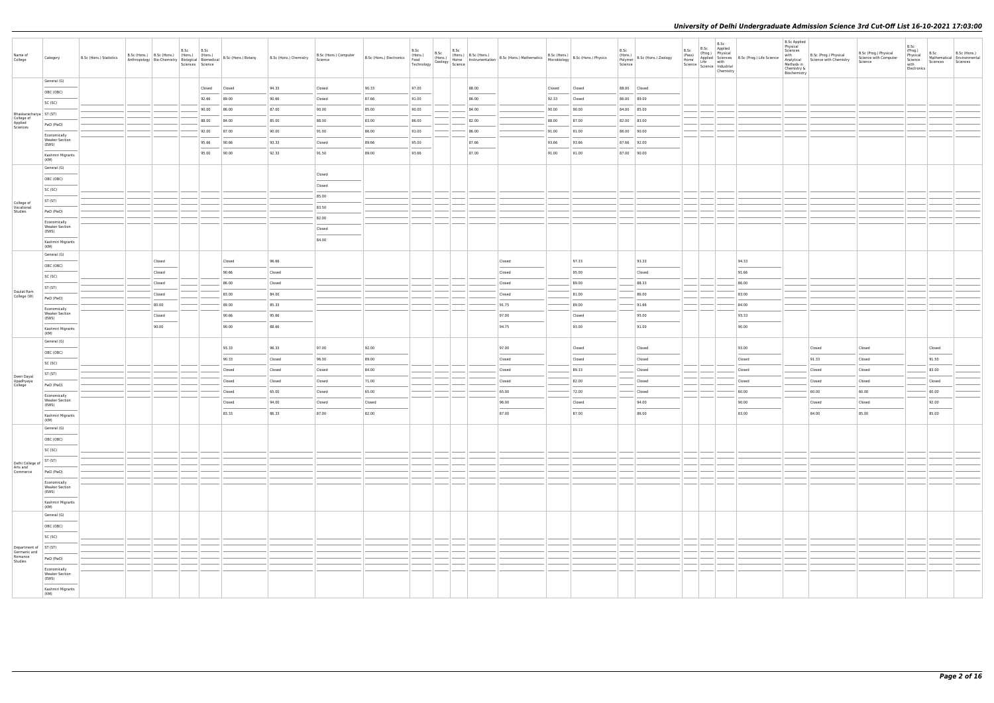| Name of<br>College                  | Category                                                                                                                                                                                                                                                                                                                                                                                                                                                                                                 | B.Sc (Hons.) Statistics | B.Sc (Hons.) B.Sc (Hons.) (Hons.) |        | B.Sc<br>Sciences Science | B.Sc<br>(Hons.) | Anthropology   Bio-Chemistry   $\left  \frac{1}{100} \frac{1}{100} \right $   $\left  \frac{1}{100} \frac{1}{100} \right $   Bio-Chemistry   $\left  \frac{1}{100} \frac{1}{100} \right $   Bio-Chemistry   $\left  \frac{1}{100} \frac{1}{100} \right $   Bio-Millonedical   Bio-Chemistry   $\left  \frac{$ | B.Sc (Hons.) Chemistry | B.Sc (Hons.) Computer<br>Science | <b>B.Sc (Hons.) Electronics</b> $\begin{bmatrix} V^{T(t_1,t_{2n+1})} \\ \text{Food} \\ \text{Technology} \end{bmatrix} \begin{bmatrix} V^{T(t_1,t_{2n+1})} \\ \text{Geology} \end{bmatrix}$ Science | B.Sc  | B.Sc<br>B.Sc |       | (Hons.) B.Sc (Hons.) B.Sc (Hons.) Mathematics B.Sc (Hons.) B.Sc (Hons.) Physics<br>Home Instrumentation B.Sc (Hons.) Mathematics Microbiology |        |        | B.Sc<br>Polymer<br>Science | $\left  \begin{array}{c} 1.116 \\ (Hons.) \\ \hline 2.016 \\ (Hons.) \end{array} \right $ B.Sc (Hons.) Zoology | B.Sc<br>(Pass)<br>Home<br>Home<br>Science Life with<br>Science Industrial | B.Sc | B.Sc<br>Applied<br>(Prog.) Physical<br>Applied Sciences B.Sc (Prog.) Life Science<br>Chemistry | <b>B.Sc Applied</b><br>Physical<br>Sciences<br>with<br>Analytical<br>Methods in<br>Chemistry &<br>Biochemistry | B.Sc (Prog.) Physical<br>Science with Chemistry | B.Sc (Prog.) Physical<br>Science with Computer<br>Science | B.Sc<br>(Prog.)<br>Physical<br>Science<br>with<br>Electronics | B.Sc<br>Sciences | B.Sc (Hons.)<br>Mathematical Environmental<br>Sciences |
|-------------------------------------|----------------------------------------------------------------------------------------------------------------------------------------------------------------------------------------------------------------------------------------------------------------------------------------------------------------------------------------------------------------------------------------------------------------------------------------------------------------------------------------------------------|-------------------------|-----------------------------------|--------|--------------------------|-----------------|---------------------------------------------------------------------------------------------------------------------------------------------------------------------------------------------------------------------------------------------------------------------------------------------------------------|------------------------|----------------------------------|-----------------------------------------------------------------------------------------------------------------------------------------------------------------------------------------------------|-------|--------------|-------|-----------------------------------------------------------------------------------------------------------------------------------------------|--------|--------|----------------------------|----------------------------------------------------------------------------------------------------------------|---------------------------------------------------------------------------|------|------------------------------------------------------------------------------------------------|----------------------------------------------------------------------------------------------------------------|-------------------------------------------------|-----------------------------------------------------------|---------------------------------------------------------------|------------------|--------------------------------------------------------|
|                                     | General (G)                                                                                                                                                                                                                                                                                                                                                                                                                                                                                              |                         |                                   |        |                          | Closed          | Closed                                                                                                                                                                                                                                                                                                        | 94.33                  | Closed                           | 90.33                                                                                                                                                                                               | 97.00 |              | 88.00 |                                                                                                                                               | Closed | Closed |                            | 88.00 Closed                                                                                                   |                                                                           |      |                                                                                                |                                                                                                                |                                                 |                                                           |                                                               |                  |                                                        |
|                                     | OBC (OBC)                                                                                                                                                                                                                                                                                                                                                                                                                                                                                                |                         |                                   |        |                          | 92.66           | 89.00                                                                                                                                                                                                                                                                                                         | 90.66                  | Closed                           | 87.66                                                                                                                                                                                               | 91.00 |              | 86.00 |                                                                                                                                               | 92.33  | Closed |                            | 86.00 89.00                                                                                                    |                                                                           |      |                                                                                                |                                                                                                                |                                                 |                                                           |                                                               |                  |                                                        |
|                                     | SC (SC)                                                                                                                                                                                                                                                                                                                                                                                                                                                                                                  |                         |                                   |        |                          | 90.00           | 86.00                                                                                                                                                                                                                                                                                                         | 87.00                  | 90.00                            | 85.00                                                                                                                                                                                               | 90.00 |              | 84.00 |                                                                                                                                               | 90.00  | 90.00  |                            | 84.00 85.00                                                                                                    | ____                                                                      |      |                                                                                                |                                                                                                                |                                                 |                                                           |                                                               |                  |                                                        |
| Bhaskaracharya ST (ST)              |                                                                                                                                                                                                                                                                                                                                                                                                                                                                                                          |                         |                                   |        |                          | 88.00           | 84.00                                                                                                                                                                                                                                                                                                         | 85.00                  | 88.00                            | 83.00                                                                                                                                                                                               | 86.00 |              | 82.00 |                                                                                                                                               | 88.00  | 87.00  |                            | 82.00 83.00                                                                                                    |                                                                           |      |                                                                                                |                                                                                                                |                                                 |                                                           |                                                               |                  |                                                        |
| College of<br>Applied<br>Sciences   | PwD (PwD)                                                                                                                                                                                                                                                                                                                                                                                                                                                                                                |                         |                                   |        |                          | 92.00           | 87.00                                                                                                                                                                                                                                                                                                         | 90.00                  | 91.00                            | 86.00                                                                                                                                                                                               | 91.00 |              | 86.00 |                                                                                                                                               | 91.00  | 91.00  |                            | 86.00 90.00                                                                                                    |                                                                           |      |                                                                                                |                                                                                                                |                                                 |                                                           |                                                               |                  |                                                        |
|                                     | Economically<br><b>Weaker Section</b>                                                                                                                                                                                                                                                                                                                                                                                                                                                                    |                         |                                   |        |                          | 95.66           | 90.66                                                                                                                                                                                                                                                                                                         | 93.33                  | Closed                           | 89.66                                                                                                                                                                                               | 95.00 |              | 87.66 |                                                                                                                                               | 93.66  | 93.66  | 87.66 92.00                |                                                                                                                |                                                                           |      |                                                                                                |                                                                                                                |                                                 |                                                           |                                                               |                  |                                                        |
|                                     | (EWS)<br>$\frac{1}{2} \left( \frac{1}{2} \right) \left( \frac{1}{2} \right) \left( \frac{1}{2} \right) \left( \frac{1}{2} \right) \left( \frac{1}{2} \right) \left( \frac{1}{2} \right) \left( \frac{1}{2} \right) \left( \frac{1}{2} \right) \left( \frac{1}{2} \right) \left( \frac{1}{2} \right) \left( \frac{1}{2} \right) \left( \frac{1}{2} \right) \left( \frac{1}{2} \right) \left( \frac{1}{2} \right) \left( \frac{1}{2} \right) \left( \frac{1}{2} \right) \left( \frac$<br>Kashmiri Migrants |                         |                                   |        |                          | 95.00           | 90.00                                                                                                                                                                                                                                                                                                         | 92.33                  | 91.50                            | 89.00                                                                                                                                                                                               | 93.66 |              | 87.00 |                                                                                                                                               | 91.00  | 91.00  |                            | 87.00 90.00                                                                                                    |                                                                           |      |                                                                                                |                                                                                                                |                                                 |                                                           |                                                               |                  |                                                        |
|                                     | (KM)<br>General (G)                                                                                                                                                                                                                                                                                                                                                                                                                                                                                      |                         |                                   |        |                          |                 |                                                                                                                                                                                                                                                                                                               |                        |                                  |                                                                                                                                                                                                     |       |              |       |                                                                                                                                               |        |        |                            |                                                                                                                |                                                                           |      |                                                                                                |                                                                                                                |                                                 |                                                           |                                                               |                  |                                                        |
|                                     | OBC (OBC)                                                                                                                                                                                                                                                                                                                                                                                                                                                                                                |                         |                                   |        |                          |                 |                                                                                                                                                                                                                                                                                                               |                        | Closed                           |                                                                                                                                                                                                     |       |              |       |                                                                                                                                               |        |        |                            |                                                                                                                |                                                                           |      |                                                                                                |                                                                                                                |                                                 |                                                           |                                                               |                  |                                                        |
|                                     | SC (SC)                                                                                                                                                                                                                                                                                                                                                                                                                                                                                                  |                         |                                   |        |                          |                 |                                                                                                                                                                                                                                                                                                               |                        | Closed                           |                                                                                                                                                                                                     |       |              |       |                                                                                                                                               |        |        |                            |                                                                                                                |                                                                           |      |                                                                                                |                                                                                                                |                                                 |                                                           |                                                               |                  |                                                        |
|                                     | ST (ST)                                                                                                                                                                                                                                                                                                                                                                                                                                                                                                  |                         |                                   |        |                          |                 |                                                                                                                                                                                                                                                                                                               |                        | 85.00                            |                                                                                                                                                                                                     |       |              |       |                                                                                                                                               |        |        |                            |                                                                                                                |                                                                           |      |                                                                                                |                                                                                                                |                                                 |                                                           |                                                               |                  |                                                        |
| College of<br>Vocational<br>Studies | PwD (PwD)                                                                                                                                                                                                                                                                                                                                                                                                                                                                                                |                         |                                   |        |                          |                 |                                                                                                                                                                                                                                                                                                               |                        | 83.50                            |                                                                                                                                                                                                     |       |              |       |                                                                                                                                               |        |        |                            |                                                                                                                |                                                                           |      |                                                                                                |                                                                                                                |                                                 |                                                           |                                                               |                  |                                                        |
|                                     | Economically                                                                                                                                                                                                                                                                                                                                                                                                                                                                                             |                         |                                   |        |                          |                 |                                                                                                                                                                                                                                                                                                               |                        | 82.00                            |                                                                                                                                                                                                     |       |              |       |                                                                                                                                               |        |        |                            |                                                                                                                |                                                                           |      |                                                                                                |                                                                                                                |                                                 |                                                           |                                                               |                  |                                                        |
|                                     | <b>Weaker Section</b><br>(EWS)                                                                                                                                                                                                                                                                                                                                                                                                                                                                           |                         |                                   |        |                          |                 |                                                                                                                                                                                                                                                                                                               |                        | Closed                           |                                                                                                                                                                                                     |       |              |       |                                                                                                                                               |        |        |                            |                                                                                                                |                                                                           |      |                                                                                                |                                                                                                                |                                                 |                                                           |                                                               |                  |                                                        |
|                                     | Kashmiri Migrants<br>(KM)                                                                                                                                                                                                                                                                                                                                                                                                                                                                                |                         |                                   |        |                          |                 |                                                                                                                                                                                                                                                                                                               |                        | 84.00                            |                                                                                                                                                                                                     |       |              |       |                                                                                                                                               |        |        |                            |                                                                                                                |                                                                           |      |                                                                                                |                                                                                                                |                                                 |                                                           |                                                               |                  |                                                        |
|                                     | General (G)                                                                                                                                                                                                                                                                                                                                                                                                                                                                                              |                         |                                   | Closed |                          |                 | Closed                                                                                                                                                                                                                                                                                                        | 96.66                  |                                  |                                                                                                                                                                                                     |       |              |       | Closed                                                                                                                                        |        | 97.33  |                            | 93.33                                                                                                          |                                                                           |      | 94.33                                                                                          |                                                                                                                |                                                 |                                                           |                                                               |                  |                                                        |
|                                     | OBC (OBC)                                                                                                                                                                                                                                                                                                                                                                                                                                                                                                |                         |                                   | Closed |                          |                 | 90.66                                                                                                                                                                                                                                                                                                         | Closed                 |                                  |                                                                                                                                                                                                     |       |              |       | Closed                                                                                                                                        |        | 95.00  |                            | Closed                                                                                                         |                                                                           |      | 91.66                                                                                          |                                                                                                                |                                                 |                                                           |                                                               |                  |                                                        |
|                                     | SC (SC)                                                                                                                                                                                                                                                                                                                                                                                                                                                                                                  |                         |                                   | Closed |                          |                 | 86.00                                                                                                                                                                                                                                                                                                         | Closed                 |                                  |                                                                                                                                                                                                     |       |              |       | Closed                                                                                                                                        |        | 89.00  |                            | 88.33                                                                                                          |                                                                           |      | 86.00                                                                                          |                                                                                                                |                                                 |                                                           |                                                               |                  |                                                        |
| Daulat Ram<br>College (W)           | ST (ST)                                                                                                                                                                                                                                                                                                                                                                                                                                                                                                  |                         |                                   | Closed |                          |                 | 83.00                                                                                                                                                                                                                                                                                                         | 84.00                  |                                  |                                                                                                                                                                                                     |       |              |       | Closed                                                                                                                                        |        | 81.00  |                            | 86.00                                                                                                          |                                                                           |      | 83.00                                                                                          |                                                                                                                |                                                 |                                                           |                                                               |                  |                                                        |
|                                     | PwD (PwD)                                                                                                                                                                                                                                                                                                                                                                                                                                                                                                |                         |                                   | 80.00  |                          |                 | 89.00                                                                                                                                                                                                                                                                                                         | 85.33                  |                                  |                                                                                                                                                                                                     |       |              |       | 91.75                                                                                                                                         |        | 89.00  |                            | 91.66                                                                                                          |                                                                           |      | 84.00                                                                                          |                                                                                                                |                                                 |                                                           |                                                               |                  |                                                        |
|                                     | Economically<br><b>Weaker Section</b><br>(EWS)                                                                                                                                                                                                                                                                                                                                                                                                                                                           |                         |                                   | Closed |                          |                 | 90.66                                                                                                                                                                                                                                                                                                         | 95.66                  |                                  |                                                                                                                                                                                                     |       |              |       | 97.00                                                                                                                                         |        | Closed |                            | 95.00                                                                                                          |                                                                           |      | 93.33                                                                                          |                                                                                                                |                                                 |                                                           |                                                               |                  |                                                        |
|                                     | Kashmiri Migrants                                                                                                                                                                                                                                                                                                                                                                                                                                                                                        |                         |                                   | 90.00  |                          |                 | 90.00                                                                                                                                                                                                                                                                                                         | 88.66                  |                                  |                                                                                                                                                                                                     |       |              |       | 94.75                                                                                                                                         |        | 93.00  |                            | 91.00                                                                                                          |                                                                           |      | 90.00                                                                                          |                                                                                                                |                                                 |                                                           |                                                               |                  |                                                        |
|                                     | (KM)<br>General (G)                                                                                                                                                                                                                                                                                                                                                                                                                                                                                      |                         |                                   |        |                          |                 |                                                                                                                                                                                                                                                                                                               |                        |                                  |                                                                                                                                                                                                     |       |              |       |                                                                                                                                               |        |        |                            |                                                                                                                |                                                                           |      |                                                                                                |                                                                                                                |                                                 |                                                           |                                                               |                  |                                                        |
|                                     | OBC (OBC)                                                                                                                                                                                                                                                                                                                                                                                                                                                                                                |                         |                                   |        |                          |                 | 93.33                                                                                                                                                                                                                                                                                                         | 96.33                  | 97.00                            | 92.00                                                                                                                                                                                               |       |              |       | 97.00                                                                                                                                         |        | Closed |                            | Closed                                                                                                         |                                                                           |      | 93.00                                                                                          |                                                                                                                | Closed                                          | Closed                                                    |                                                               | Closed           |                                                        |
|                                     | SC (SC)                                                                                                                                                                                                                                                                                                                                                                                                                                                                                                  |                         |                                   |        |                          |                 | 90.33                                                                                                                                                                                                                                                                                                         | Closed                 | 96.00                            | 89.00                                                                                                                                                                                               |       |              |       | Closed                                                                                                                                        |        | Closed |                            | Closed                                                                                                         |                                                                           |      | Closed                                                                                         |                                                                                                                | 91.33                                           | Closed                                                    |                                                               | 91.50            |                                                        |
| Deen Dayal                          | ST (ST)                                                                                                                                                                                                                                                                                                                                                                                                                                                                                                  |                         |                                   |        |                          |                 | Closed                                                                                                                                                                                                                                                                                                        | Closed                 | Closed                           | 84.00                                                                                                                                                                                               |       |              |       | Closed                                                                                                                                        |        | 89.33  |                            | Closed                                                                                                         |                                                                           |      | Closed                                                                                         |                                                                                                                | Closed                                          | Closed                                                    |                                                               | 83.00            |                                                        |
| Upadhyaya<br>College                | PwD (PwD)                                                                                                                                                                                                                                                                                                                                                                                                                                                                                                |                         |                                   |        |                          |                 | Closed                                                                                                                                                                                                                                                                                                        | Closed                 | Closed                           | 71.00                                                                                                                                                                                               |       |              |       | Closed                                                                                                                                        |        | 82.00  |                            | Closed                                                                                                         |                                                                           |      | Closed                                                                                         |                                                                                                                | Closed                                          | Closed                                                    |                                                               | Closed           |                                                        |
|                                     | Economically                                                                                                                                                                                                                                                                                                                                                                                                                                                                                             |                         |                                   |        |                          |                 | Closed                                                                                                                                                                                                                                                                                                        | 65.00                  | Closed                           | 65.00                                                                                                                                                                                               |       |              |       | 65.00                                                                                                                                         |        | 72.00  |                            | Closed                                                                                                         |                                                                           |      | 60.00                                                                                          |                                                                                                                | 60.00                                           | 60.00                                                     |                                                               | 60.00            |                                                        |
|                                     | <b>Weaker Section</b><br>(EWS)                                                                                                                                                                                                                                                                                                                                                                                                                                                                           |                         |                                   |        |                          |                 | Closed                                                                                                                                                                                                                                                                                                        | 94.00                  | Closed                           | Closed                                                                                                                                                                                              |       |              |       | 96.00                                                                                                                                         |        | Closed |                            | 94.00                                                                                                          |                                                                           |      | 90.00                                                                                          |                                                                                                                | Closed                                          | Closed                                                    |                                                               | 92.00            |                                                        |
|                                     | Kashmiri Migrants<br>(KM)                                                                                                                                                                                                                                                                                                                                                                                                                                                                                |                         |                                   |        |                          |                 | 83.33                                                                                                                                                                                                                                                                                                         | 86.33                  | 87.00                            | 82.00                                                                                                                                                                                               |       |              |       | 87.00                                                                                                                                         |        | 87.00  |                            | 86.00                                                                                                          |                                                                           |      | 83.00                                                                                          |                                                                                                                | 84.00                                           | 85.00                                                     |                                                               | 85.00            |                                                        |
|                                     | General (G)                                                                                                                                                                                                                                                                                                                                                                                                                                                                                              |                         |                                   |        |                          |                 |                                                                                                                                                                                                                                                                                                               |                        |                                  |                                                                                                                                                                                                     |       |              |       |                                                                                                                                               |        |        |                            |                                                                                                                |                                                                           |      |                                                                                                |                                                                                                                |                                                 |                                                           |                                                               |                  |                                                        |
|                                     | OBC (OBC)                                                                                                                                                                                                                                                                                                                                                                                                                                                                                                |                         |                                   |        |                          |                 |                                                                                                                                                                                                                                                                                                               |                        |                                  |                                                                                                                                                                                                     |       |              |       |                                                                                                                                               |        |        |                            |                                                                                                                |                                                                           |      |                                                                                                |                                                                                                                |                                                 |                                                           |                                                               |                  |                                                        |
|                                     | SC (SC)                                                                                                                                                                                                                                                                                                                                                                                                                                                                                                  |                         |                                   |        |                          |                 |                                                                                                                                                                                                                                                                                                               |                        |                                  |                                                                                                                                                                                                     |       |              |       |                                                                                                                                               |        |        |                            |                                                                                                                |                                                                           |      |                                                                                                |                                                                                                                |                                                 |                                                           |                                                               |                  |                                                        |
| Delhi College of                    | ST (ST)                                                                                                                                                                                                                                                                                                                                                                                                                                                                                                  |                         |                                   |        |                          |                 |                                                                                                                                                                                                                                                                                                               |                        |                                  |                                                                                                                                                                                                     |       |              |       |                                                                                                                                               |        |        |                            |                                                                                                                |                                                                           |      |                                                                                                |                                                                                                                |                                                 |                                                           |                                                               |                  |                                                        |
| Arts and<br>Commerce                | PwD (PwD)                                                                                                                                                                                                                                                                                                                                                                                                                                                                                                |                         |                                   |        |                          |                 |                                                                                                                                                                                                                                                                                                               |                        |                                  |                                                                                                                                                                                                     |       |              |       |                                                                                                                                               |        |        |                            |                                                                                                                |                                                                           |      |                                                                                                |                                                                                                                |                                                 |                                                           |                                                               |                  |                                                        |
|                                     | Economically<br>Weaker Section                                                                                                                                                                                                                                                                                                                                                                                                                                                                           |                         |                                   |        |                          |                 |                                                                                                                                                                                                                                                                                                               |                        |                                  |                                                                                                                                                                                                     |       |              |       |                                                                                                                                               |        |        |                            |                                                                                                                |                                                                           |      |                                                                                                |                                                                                                                |                                                 |                                                           |                                                               |                  |                                                        |
|                                     | (EWS)<br>$\sim$<br>Kashmiri Migrants                                                                                                                                                                                                                                                                                                                                                                                                                                                                     |                         |                                   |        |                          |                 |                                                                                                                                                                                                                                                                                                               |                        |                                  |                                                                                                                                                                                                     |       |              |       |                                                                                                                                               |        |        |                            |                                                                                                                |                                                                           |      |                                                                                                |                                                                                                                |                                                 |                                                           |                                                               |                  |                                                        |
|                                     | (KM)<br>General (G)                                                                                                                                                                                                                                                                                                                                                                                                                                                                                      |                         |                                   |        |                          |                 |                                                                                                                                                                                                                                                                                                               |                        |                                  |                                                                                                                                                                                                     |       |              |       |                                                                                                                                               |        |        |                            |                                                                                                                |                                                                           |      |                                                                                                |                                                                                                                |                                                 |                                                           |                                                               |                  |                                                        |
|                                     | OBC (OBC)                                                                                                                                                                                                                                                                                                                                                                                                                                                                                                |                         |                                   |        |                          |                 |                                                                                                                                                                                                                                                                                                               |                        |                                  |                                                                                                                                                                                                     |       |              |       |                                                                                                                                               |        |        |                            |                                                                                                                |                                                                           |      |                                                                                                |                                                                                                                |                                                 |                                                           |                                                               |                  |                                                        |
|                                     | SC (SC)                                                                                                                                                                                                                                                                                                                                                                                                                                                                                                  |                         |                                   |        |                          |                 |                                                                                                                                                                                                                                                                                                               |                        |                                  |                                                                                                                                                                                                     |       |              |       |                                                                                                                                               |        |        |                            |                                                                                                                |                                                                           |      |                                                                                                |                                                                                                                |                                                 |                                                           |                                                               |                  |                                                        |
| Department of                       | ST (ST)                                                                                                                                                                                                                                                                                                                                                                                                                                                                                                  |                         |                                   |        |                          |                 |                                                                                                                                                                                                                                                                                                               |                        |                                  |                                                                                                                                                                                                     |       |              |       |                                                                                                                                               |        |        |                            |                                                                                                                |                                                                           |      |                                                                                                |                                                                                                                |                                                 |                                                           |                                                               |                  |                                                        |
| Germanic and<br>Romance             | PwD (PwD)                                                                                                                                                                                                                                                                                                                                                                                                                                                                                                |                         |                                   |        |                          |                 |                                                                                                                                                                                                                                                                                                               |                        |                                  |                                                                                                                                                                                                     |       |              |       |                                                                                                                                               |        |        |                            |                                                                                                                |                                                                           |      |                                                                                                |                                                                                                                |                                                 |                                                           |                                                               |                  |                                                        |
| Studies                             | Economically                                                                                                                                                                                                                                                                                                                                                                                                                                                                                             |                         |                                   |        |                          |                 |                                                                                                                                                                                                                                                                                                               |                        |                                  |                                                                                                                                                                                                     |       |              |       |                                                                                                                                               |        |        |                            |                                                                                                                |                                                                           |      |                                                                                                |                                                                                                                |                                                 |                                                           |                                                               |                  |                                                        |
|                                     | <b>Weaker Section</b><br>(EWS)                                                                                                                                                                                                                                                                                                                                                                                                                                                                           |                         |                                   |        |                          |                 |                                                                                                                                                                                                                                                                                                               |                        |                                  |                                                                                                                                                                                                     |       |              |       |                                                                                                                                               |        |        |                            |                                                                                                                |                                                                           |      |                                                                                                |                                                                                                                |                                                 |                                                           |                                                               |                  |                                                        |
|                                     | Kashmiri Migrants<br>(KM)                                                                                                                                                                                                                                                                                                                                                                                                                                                                                |                         |                                   |        |                          |                 |                                                                                                                                                                                                                                                                                                               |                        |                                  |                                                                                                                                                                                                     |       |              |       |                                                                                                                                               |        |        |                            |                                                                                                                |                                                                           |      |                                                                                                |                                                                                                                |                                                 |                                                           |                                                               |                  |                                                        |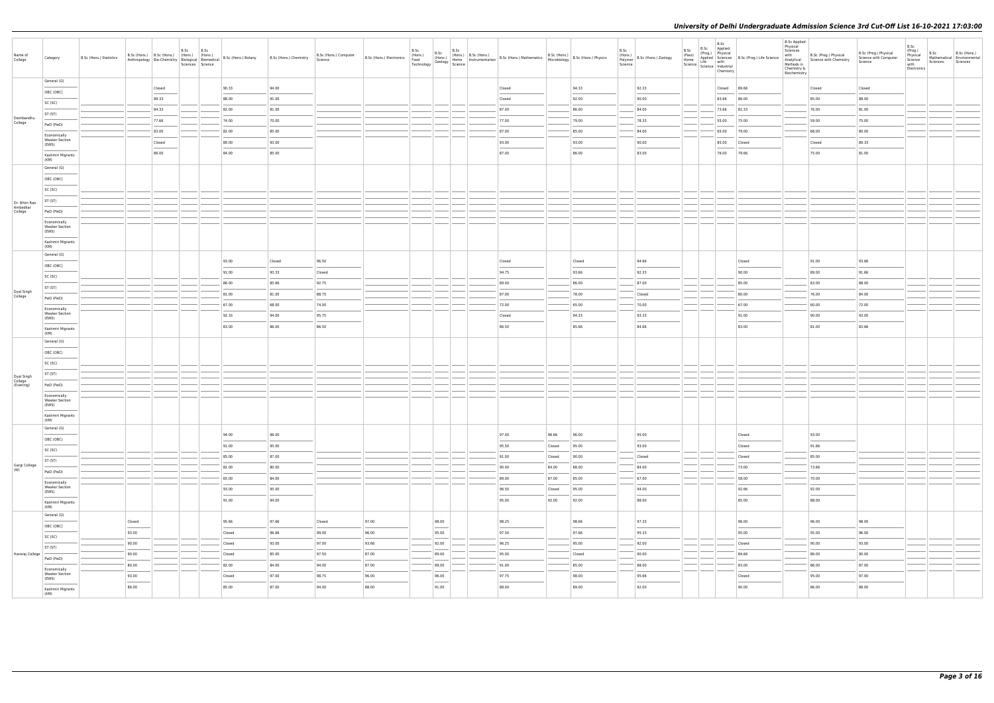| Name of<br>College                 | Category                                       | B.Sc (Hons.) Statistics |        |        | B.Sc B.Sc<br>Sciences Science | B.Sc (Hons.) B.Sc (Hons.) (Hons.) (Hons.) (Hons.) B.Sc (Hons.) Botany<br>Anthropology Bio-Chemistry Biological Biomedical B.Sc (Hons.) Botany | B.Sc (Hons.) Chemistry | B.Sc (Hons.) Computer<br>Science | B.Sc (Hons.) Electronics   [110113.7] | B.Sc | B.Sc                                                                                                                                                                                                                                                                                                                                                                                                                                                                                | B.Sc (Hons.) B.Sc (Bose (Hons.) B.Sc (Hons.) B.Sc (Hons.) Asset (Hons.) CHOMEL (Hons.) Home Instrumentation B.Sc (Hons.) Mathematics B.Sc (Hons.) Home Instrumentation B.Sc (Hons.) Microbiology (Seology Science |                  | B.Sc<br>$\left  \begin{array}{l} B.Sc \text{ (Hons.)} \\ \text{1.2.2.2.2.2.2.2.00001} \end{array} \right $ B.Sc (Hons.) Physics | (Hons.)<br>Polymer<br>Science | B.Sc (Hons.) Zoology | B.Sc<br>Chemistry | B.Sc B.Sc Applied<br>(Prog.) Physical<br>(Prog.) Physical<br>Home Applied Science<br>Life with<br>Science Life with<br>Science Industrial                                                                                                                                                                                                                                                                                                                                           | <b>B.Sc Applied</b><br>Physical<br>Sciences<br>with<br>Analytical<br>Methods in<br>Chemistry &<br>Biochemistry | B.Sc (Prog.) Physical<br>Science with Chemistry | B.Sc (Prog.) Physical<br>Science with Computer<br>Science | B.Sc<br>(Prog.)<br>B.Sc<br>B.Sc (Hons.)<br>Physical<br>Science<br>Mathematical Environmental<br>Sciences<br>Sciences<br>with<br>Electronics |
|------------------------------------|------------------------------------------------|-------------------------|--------|--------|-------------------------------|-----------------------------------------------------------------------------------------------------------------------------------------------|------------------------|----------------------------------|---------------------------------------|------|-------------------------------------------------------------------------------------------------------------------------------------------------------------------------------------------------------------------------------------------------------------------------------------------------------------------------------------------------------------------------------------------------------------------------------------------------------------------------------------|-------------------------------------------------------------------------------------------------------------------------------------------------------------------------------------------------------------------|------------------|---------------------------------------------------------------------------------------------------------------------------------|-------------------------------|----------------------|-------------------|-------------------------------------------------------------------------------------------------------------------------------------------------------------------------------------------------------------------------------------------------------------------------------------------------------------------------------------------------------------------------------------------------------------------------------------------------------------------------------------|----------------------------------------------------------------------------------------------------------------|-------------------------------------------------|-----------------------------------------------------------|---------------------------------------------------------------------------------------------------------------------------------------------|
|                                    | General (G)                                    |                         |        | Closed |                               | 90.33                                                                                                                                         | 94.00                  |                                  |                                       |      |                                                                                                                                                                                                                                                                                                                                                                                                                                                                                     | Closed                                                                                                                                                                                                            |                  | 94.33                                                                                                                           |                               | 92.33                |                   | Closed 89.66                                                                                                                                                                                                                                                                                                                                                                                                                                                                        |                                                                                                                | Closed                                          | Closed                                                    |                                                                                                                                             |
|                                    | OBC (OBC)                                      |                         |        | 89.33  |                               | 88.00                                                                                                                                         | 91.00                  |                                  |                                       |      |                                                                                                                                                                                                                                                                                                                                                                                                                                                                                     | Closed                                                                                                                                                                                                            |                  | 92.00                                                                                                                           |                               | 90.00                | 83.66             | 86.00                                                                                                                                                                                                                                                                                                                                                                                                                                                                               |                                                                                                                | 85.00                                           | 88.00                                                     |                                                                                                                                             |
|                                    | SC (SC)                                        |                         |        | 84.33  |                               | 82.00                                                                                                                                         | 81.00                  |                                  |                                       |      |                                                                                                                                                                                                                                                                                                                                                                                                                                                                                     | 87.00                                                                                                                                                                                                             |                  | 86.00                                                                                                                           |                               | 84.00                |                   | 73.66 82.33                                                                                                                                                                                                                                                                                                                                                                                                                                                                         |                                                                                                                | 76.00                                           | 81.00                                                     |                                                                                                                                             |
| Deshbandhu<br>College              | ST (ST)                                        |                         |        | 77.66  |                               | 74.00                                                                                                                                         | 70.00                  |                                  |                                       |      |                                                                                                                                                                                                                                                                                                                                                                                                                                                                                     | 77.00                                                                                                                                                                                                             |                  | 79.00                                                                                                                           |                               | 78.33                | 55.00             | 75.00                                                                                                                                                                                                                                                                                                                                                                                                                                                                               |                                                                                                                | 59.00                                           | 75.00                                                     |                                                                                                                                             |
|                                    | PwD (PwD)                                      |                         |        | 83.00  |                               | 82.00                                                                                                                                         | 85.00                  |                                  |                                       |      |                                                                                                                                                                                                                                                                                                                                                                                                                                                                                     | 87.00                                                                                                                                                                                                             |                  | 85.00                                                                                                                           |                               | 84.00                | 65.00             | 79.00                                                                                                                                                                                                                                                                                                                                                                                                                                                                               |                                                                                                                | 68.00                                           | 80.00                                                     |                                                                                                                                             |
|                                    | Economically<br><b>Weaker Section</b>          |                         |        | Closed |                               | 89.00                                                                                                                                         | 93.00                  |                                  |                                       |      |                                                                                                                                                                                                                                                                                                                                                                                                                                                                                     | 93.00                                                                                                                                                                                                             |                  | 93.00                                                                                                                           |                               | 90.00                | 85.00             | Closed                                                                                                                                                                                                                                                                                                                                                                                                                                                                              |                                                                                                                | Closed                                          | 89.33                                                     |                                                                                                                                             |
|                                    | (EWS)<br>Kashmiri Migrants                     |                         |        | 86.00  |                               | 84.00                                                                                                                                         | 85.00                  |                                  |                                       |      |                                                                                                                                                                                                                                                                                                                                                                                                                                                                                     | 87.00                                                                                                                                                                                                             |                  | 86.00                                                                                                                           |                               | 83.00                | 76.00             | 79.66                                                                                                                                                                                                                                                                                                                                                                                                                                                                               |                                                                                                                | 75.00                                           | 81.00                                                     |                                                                                                                                             |
|                                    | (KM)                                           |                         |        |        |                               |                                                                                                                                               |                        |                                  |                                       |      |                                                                                                                                                                                                                                                                                                                                                                                                                                                                                     |                                                                                                                                                                                                                   |                  |                                                                                                                                 |                               |                      |                   |                                                                                                                                                                                                                                                                                                                                                                                                                                                                                     |                                                                                                                |                                                 |                                                           |                                                                                                                                             |
|                                    | General (G)                                    |                         |        |        |                               |                                                                                                                                               |                        |                                  |                                       |      |                                                                                                                                                                                                                                                                                                                                                                                                                                                                                     |                                                                                                                                                                                                                   |                  |                                                                                                                                 |                               |                      |                   |                                                                                                                                                                                                                                                                                                                                                                                                                                                                                     |                                                                                                                |                                                 |                                                           |                                                                                                                                             |
|                                    | OBC (OBC)                                      |                         |        |        |                               |                                                                                                                                               |                        |                                  |                                       |      |                                                                                                                                                                                                                                                                                                                                                                                                                                                                                     |                                                                                                                                                                                                                   |                  |                                                                                                                                 |                               |                      |                   |                                                                                                                                                                                                                                                                                                                                                                                                                                                                                     |                                                                                                                |                                                 |                                                           |                                                                                                                                             |
|                                    | SC (SC)                                        |                         |        |        |                               |                                                                                                                                               |                        |                                  |                                       |      |                                                                                                                                                                                                                                                                                                                                                                                                                                                                                     |                                                                                                                                                                                                                   |                  |                                                                                                                                 |                               |                      |                   |                                                                                                                                                                                                                                                                                                                                                                                                                                                                                     |                                                                                                                |                                                 |                                                           |                                                                                                                                             |
| Dr. Bhim Rao<br>Ambedkar           | ST (ST)                                        |                         |        |        |                               |                                                                                                                                               |                        |                                  |                                       |      |                                                                                                                                                                                                                                                                                                                                                                                                                                                                                     |                                                                                                                                                                                                                   |                  |                                                                                                                                 |                               |                      |                   |                                                                                                                                                                                                                                                                                                                                                                                                                                                                                     |                                                                                                                |                                                 |                                                           |                                                                                                                                             |
| College                            | PwD (PwD)                                      |                         |        |        |                               |                                                                                                                                               |                        |                                  |                                       |      |                                                                                                                                                                                                                                                                                                                                                                                                                                                                                     |                                                                                                                                                                                                                   |                  |                                                                                                                                 |                               |                      |                   |                                                                                                                                                                                                                                                                                                                                                                                                                                                                                     |                                                                                                                |                                                 |                                                           |                                                                                                                                             |
|                                    | Economically<br><b>Weaker Section</b><br>(EWS) |                         |        |        |                               |                                                                                                                                               |                        |                                  |                                       |      |                                                                                                                                                                                                                                                                                                                                                                                                                                                                                     |                                                                                                                                                                                                                   |                  |                                                                                                                                 |                               |                      |                   |                                                                                                                                                                                                                                                                                                                                                                                                                                                                                     |                                                                                                                |                                                 |                                                           |                                                                                                                                             |
|                                    | Kashmiri Migrants<br>(KM)                      |                         |        |        |                               |                                                                                                                                               |                        |                                  |                                       |      |                                                                                                                                                                                                                                                                                                                                                                                                                                                                                     |                                                                                                                                                                                                                   |                  |                                                                                                                                 |                               |                      |                   |                                                                                                                                                                                                                                                                                                                                                                                                                                                                                     |                                                                                                                |                                                 |                                                           |                                                                                                                                             |
|                                    | General (G)                                    |                         |        |        |                               | 93.00                                                                                                                                         | Closed                 | 96.50                            |                                       |      |                                                                                                                                                                                                                                                                                                                                                                                                                                                                                     | Closed                                                                                                                                                                                                            |                  | Closed                                                                                                                          |                               | 94.66                |                   | Closed                                                                                                                                                                                                                                                                                                                                                                                                                                                                              |                                                                                                                | 91.00                                           | 93.66                                                     |                                                                                                                                             |
|                                    | OBC (OBC)                                      |                         |        |        |                               | 91.00                                                                                                                                         | 93.33                  | Closed                           |                                       |      |                                                                                                                                                                                                                                                                                                                                                                                                                                                                                     | 94.75                                                                                                                                                                                                             |                  | 93.66                                                                                                                           |                               | 92.33                |                   | 90.00                                                                                                                                                                                                                                                                                                                                                                                                                                                                               |                                                                                                                | 89.00                                           | 91.66                                                     |                                                                                                                                             |
|                                    | SC (SC)                                        |                         |        |        |                               | 86.00                                                                                                                                         | 85.66                  | 92.75                            |                                       |      |                                                                                                                                                                                                                                                                                                                                                                                                                                                                                     | 89.00                                                                                                                                                                                                             |                  | 86.00                                                                                                                           |                               | 87.00                |                   | 85.00                                                                                                                                                                                                                                                                                                                                                                                                                                                                               |                                                                                                                | 83.00                                           | 88.00                                                     |                                                                                                                                             |
| Dyal Singh<br>College              | ST (ST)                                        |                         |        |        |                               | 81.00                                                                                                                                         | 81.00                  | 88.75                            |                                       |      |                                                                                                                                                                                                                                                                                                                                                                                                                                                                                     | 87.00                                                                                                                                                                                                             |                  | 78.00                                                                                                                           |                               | Closed               |                   | 80.00                                                                                                                                                                                                                                                                                                                                                                                                                                                                               |                                                                                                                | 76.00                                           | 84.00                                                     |                                                                                                                                             |
|                                    | PwD (PwD)                                      |                         |        |        |                               | 67.00                                                                                                                                         | 68.00                  | 74.00                            |                                       |      |                                                                                                                                                                                                                                                                                                                                                                                                                                                                                     | 72.00                                                                                                                                                                                                             |                  | 65.00                                                                                                                           |                               | 70.00                |                   | 67.00                                                                                                                                                                                                                                                                                                                                                                                                                                                                               |                                                                                                                | 60.00                                           | 72.00                                                     |                                                                                                                                             |
|                                    | Economically<br><b>Weaker Section</b>          |                         |        |        |                               | 92.33                                                                                                                                         | 94.00                  | 95.75                            |                                       |      |                                                                                                                                                                                                                                                                                                                                                                                                                                                                                     | Closed                                                                                                                                                                                                            |                  | 94.33                                                                                                                           |                               | 93.33                |                   | 91.00                                                                                                                                                                                                                                                                                                                                                                                                                                                                               |                                                                                                                | 90.00                                           | 93.00                                                     |                                                                                                                                             |
|                                    | (EWS)                                          |                         |        |        |                               | 83.00                                                                                                                                         | 86.00                  | 86.50                            |                                       |      |                                                                                                                                                                                                                                                                                                                                                                                                                                                                                     | 86.50                                                                                                                                                                                                             |                  | 85.66                                                                                                                           |                               | 84.66                |                   | 83.00                                                                                                                                                                                                                                                                                                                                                                                                                                                                               |                                                                                                                | 81.00                                           | 83.66                                                     |                                                                                                                                             |
|                                    | Kashmiri Migrants<br>(KM)                      |                         |        |        |                               |                                                                                                                                               |                        |                                  |                                       |      |                                                                                                                                                                                                                                                                                                                                                                                                                                                                                     |                                                                                                                                                                                                                   |                  |                                                                                                                                 |                               |                      |                   |                                                                                                                                                                                                                                                                                                                                                                                                                                                                                     |                                                                                                                |                                                 |                                                           |                                                                                                                                             |
|                                    | General (G)                                    |                         |        |        |                               |                                                                                                                                               |                        |                                  |                                       |      |                                                                                                                                                                                                                                                                                                                                                                                                                                                                                     |                                                                                                                                                                                                                   |                  |                                                                                                                                 |                               |                      |                   |                                                                                                                                                                                                                                                                                                                                                                                                                                                                                     |                                                                                                                |                                                 |                                                           |                                                                                                                                             |
|                                    | OBC (OBC)                                      |                         |        |        |                               |                                                                                                                                               |                        |                                  |                                       |      |                                                                                                                                                                                                                                                                                                                                                                                                                                                                                     |                                                                                                                                                                                                                   |                  |                                                                                                                                 |                               |                      |                   |                                                                                                                                                                                                                                                                                                                                                                                                                                                                                     |                                                                                                                |                                                 |                                                           |                                                                                                                                             |
|                                    | SC (SC)                                        |                         |        |        |                               |                                                                                                                                               |                        |                                  |                                       |      |                                                                                                                                                                                                                                                                                                                                                                                                                                                                                     |                                                                                                                                                                                                                   |                  |                                                                                                                                 |                               |                      |                   |                                                                                                                                                                                                                                                                                                                                                                                                                                                                                     |                                                                                                                |                                                 |                                                           |                                                                                                                                             |
| Dyal Singh<br>College<br>(Evening) | ST (ST)                                        |                         |        |        |                               |                                                                                                                                               |                        |                                  |                                       |      |                                                                                                                                                                                                                                                                                                                                                                                                                                                                                     |                                                                                                                                                                                                                   |                  |                                                                                                                                 |                               |                      |                   |                                                                                                                                                                                                                                                                                                                                                                                                                                                                                     |                                                                                                                |                                                 |                                                           |                                                                                                                                             |
|                                    | PwD (PwD)                                      |                         |        |        |                               |                                                                                                                                               |                        |                                  |                                       |      |                                                                                                                                                                                                                                                                                                                                                                                                                                                                                     |                                                                                                                                                                                                                   |                  |                                                                                                                                 |                               |                      |                   |                                                                                                                                                                                                                                                                                                                                                                                                                                                                                     |                                                                                                                |                                                 |                                                           |                                                                                                                                             |
|                                    | Economically<br><b>Weaker Section</b><br>(EWS) |                         |        |        |                               |                                                                                                                                               |                        |                                  |                                       |      |                                                                                                                                                                                                                                                                                                                                                                                                                                                                                     |                                                                                                                                                                                                                   |                  |                                                                                                                                 |                               |                      |                   |                                                                                                                                                                                                                                                                                                                                                                                                                                                                                     |                                                                                                                |                                                 |                                                           |                                                                                                                                             |
|                                    | Kashmiri Migrants<br>(KM)                      |                         |        |        |                               |                                                                                                                                               |                        |                                  |                                       |      |                                                                                                                                                                                                                                                                                                                                                                                                                                                                                     |                                                                                                                                                                                                                   |                  |                                                                                                                                 |                               |                      |                   |                                                                                                                                                                                                                                                                                                                                                                                                                                                                                     |                                                                                                                |                                                 |                                                           |                                                                                                                                             |
|                                    | General (G)                                    |                         |        |        |                               | 94.00                                                                                                                                         | 96.00                  |                                  |                                       |      |                                                                                                                                                                                                                                                                                                                                                                                                                                                                                     | 97.00                                                                                                                                                                                                             | 96.66            | 96.00                                                                                                                           |                               | 95.00                |                   | Closed                                                                                                                                                                                                                                                                                                                                                                                                                                                                              |                                                                                                                | 93.00                                           |                                                           |                                                                                                                                             |
|                                    | OBC (OBC)                                      |                         |        |        |                               | 91.00                                                                                                                                         | 95.00                  |                                  |                                       |      |                                                                                                                                                                                                                                                                                                                                                                                                                                                                                     | 95.50                                                                                                                                                                                                             |                  | 95.00                                                                                                                           |                               | 93.00                |                   | Closed                                                                                                                                                                                                                                                                                                                                                                                                                                                                              |                                                                                                                | 91.66                                           |                                                           |                                                                                                                                             |
|                                    | SC (SC)                                        |                         |        |        |                               | 85.00                                                                                                                                         | 87.00                  |                                  |                                       |      |                                                                                                                                                                                                                                                                                                                                                                                                                                                                                     | 91.00                                                                                                                                                                                                             | Closed<br>Closed | 90.00                                                                                                                           |                               | Closed               |                   | Closed                                                                                                                                                                                                                                                                                                                                                                                                                                                                              |                                                                                                                | 85.00                                           |                                                           |                                                                                                                                             |
| Gargi College<br>(W)               | ST (ST)                                        |                         |        |        |                               | 82.00                                                                                                                                         | 80.00                  |                                  |                                       |      |                                                                                                                                                                                                                                                                                                                                                                                                                                                                                     | 90.00                                                                                                                                                                                                             | 84.00            | 88.00                                                                                                                           |                               | 84.00                |                   | 73.00                                                                                                                                                                                                                                                                                                                                                                                                                                                                               |                                                                                                                | 73.66                                           |                                                           |                                                                                                                                             |
|                                    | PwD (PwD)                                      |                         |        |        |                               | 65.00                                                                                                                                         | 84.00                  |                                  |                                       |      |                                                                                                                                                                                                                                                                                                                                                                                                                                                                                     | 89.00                                                                                                                                                                                                             | 87.00            | 85.00                                                                                                                           |                               | 67.00                |                   | 58.00                                                                                                                                                                                                                                                                                                                                                                                                                                                                               |                                                                                                                | 70.00                                           |                                                           |                                                                                                                                             |
|                                    | Economically<br><b>Weaker Section</b>          |                         |        |        |                               | 93.00                                                                                                                                         | 95.00                  |                                  |                                       |      |                                                                                                                                                                                                                                                                                                                                                                                                                                                                                     | 96.50                                                                                                                                                                                                             | Closed           | 95.00                                                                                                                           |                               | 94.00                |                   | 92.66                                                                                                                                                                                                                                                                                                                                                                                                                                                                               |                                                                                                                | 92.00                                           |                                                           |                                                                                                                                             |
|                                    | (EWS)                                          |                         |        |        |                               | 91.00                                                                                                                                         | 94.00                  |                                  |                                       |      |                                                                                                                                                                                                                                                                                                                                                                                                                                                                                     | <b>STATE</b><br>95.00                                                                                                                                                                                             | 92.00            | 92.00                                                                                                                           |                               | 88.00                |                   | $\frac{1}{2} \left( \frac{1}{2} \right) \left( \frac{1}{2} \right) \left( \frac{1}{2} \right) \left( \frac{1}{2} \right) \left( \frac{1}{2} \right) \left( \frac{1}{2} \right) \left( \frac{1}{2} \right) \left( \frac{1}{2} \right) \left( \frac{1}{2} \right) \left( \frac{1}{2} \right) \left( \frac{1}{2} \right) \left( \frac{1}{2} \right) \left( \frac{1}{2} \right) \left( \frac{1}{2} \right) \left( \frac{1}{2} \right) \left( \frac{1}{2} \right) \left( \frac$<br>85.00 |                                                                                                                | 88.00                                           |                                                           |                                                                                                                                             |
|                                    | Kashmiri Migrants<br>(KM)                      |                         |        |        |                               |                                                                                                                                               |                        |                                  |                                       |      |                                                                                                                                                                                                                                                                                                                                                                                                                                                                                     |                                                                                                                                                                                                                   |                  |                                                                                                                                 |                               |                      |                   |                                                                                                                                                                                                                                                                                                                                                                                                                                                                                     |                                                                                                                |                                                 |                                                           |                                                                                                                                             |
|                                    | General (G)                                    |                         | Closed |        |                               | 95.66                                                                                                                                         | 97.66                  | Closed                           | 97.00                                 |      | 98.00                                                                                                                                                                                                                                                                                                                                                                                                                                                                               | 98.25                                                                                                                                                                                                             |                  | 98.66                                                                                                                           |                               | 97.33                |                   | 96.00                                                                                                                                                                                                                                                                                                                                                                                                                                                                               |                                                                                                                | 96.00                                           | 98.00                                                     |                                                                                                                                             |
|                                    | OBC (OBC)                                      |                         | 93.00  |        |                               | Closed                                                                                                                                        | 96.66                  | 99.00                            | 96.00                                 |      | $\frac{1}{2}$<br>95.00                                                                                                                                                                                                                                                                                                                                                                                                                                                              | 97.50                                                                                                                                                                                                             |                  | 97.66                                                                                                                           |                               | 95.33                |                   | 95.00                                                                                                                                                                                                                                                                                                                                                                                                                                                                               |                                                                                                                | 95.00                                           | 96.00                                                     |                                                                                                                                             |
|                                    | SC (SC)                                        |                         | 90.00  |        |                               | Closed                                                                                                                                        | 93.00                  | 97.00                            | 93.66                                 |      | 92.00                                                                                                                                                                                                                                                                                                                                                                                                                                                                               | 96.25                                                                                                                                                                                                             |                  | 95.00                                                                                                                           |                               | 92.00                |                   | Closed                                                                                                                                                                                                                                                                                                                                                                                                                                                                              |                                                                                                                | 90.00                                           | 93.00                                                     |                                                                                                                                             |
| Hansraj College                    | ST (ST)                                        |                         | 90.00  |        |                               | Closed                                                                                                                                        | 85.00                  | 97.50                            | 87.00                                 |      | 89.00                                                                                                                                                                                                                                                                                                                                                                                                                                                                               | 95.00                                                                                                                                                                                                             |                  | Closed                                                                                                                          |                               | 90.00                |                   | 84.66                                                                                                                                                                                                                                                                                                                                                                                                                                                                               |                                                                                                                | 86.00                                           | 90.00                                                     |                                                                                                                                             |
|                                    | PwD (PwD)                                      |                         | 80.00  |        |                               | 82.00                                                                                                                                         | 84.00                  | 94.00                            | 87.00                                 |      | 89.00                                                                                                                                                                                                                                                                                                                                                                                                                                                                               | 91.00                                                                                                                                                                                                             |                  | 85.00                                                                                                                           |                               | 88.00                |                   | 83.00                                                                                                                                                                                                                                                                                                                                                                                                                                                                               |                                                                                                                | 86.00                                           | 87.00                                                     |                                                                                                                                             |
|                                    | Economically<br><b>Weaker Section</b>          |                         | 93.00  |        |                               | Closed                                                                                                                                        | 97.00                  | 98.75                            | 96.00                                 |      | 96.00                                                                                                                                                                                                                                                                                                                                                                                                                                                                               | 97.75                                                                                                                                                                                                             |                  | 98.00                                                                                                                           |                               | 95.66                |                   | Closed                                                                                                                                                                                                                                                                                                                                                                                                                                                                              |                                                                                                                | 95.00                                           | 97.00                                                     |                                                                                                                                             |
|                                    | (EWS)                                          |                         | 86.00  |        |                               | 85.00                                                                                                                                         | 87.00                  | 94.00                            | 88.00                                 |      | $\frac{1}{2} \left( \frac{1}{2} \right) \left( \frac{1}{2} \right) \left( \frac{1}{2} \right) \left( \frac{1}{2} \right) \left( \frac{1}{2} \right) \left( \frac{1}{2} \right) \left( \frac{1}{2} \right) \left( \frac{1}{2} \right) \left( \frac{1}{2} \right) \left( \frac{1}{2} \right) \left( \frac{1}{2} \right) \left( \frac{1}{2} \right) \left( \frac{1}{2} \right) \left( \frac{1}{2} \right) \left( \frac{1}{2} \right) \left( \frac{1}{2} \right) \left( \frac$<br>91.00 | 88.00                                                                                                                                                                                                             |                  | 89.00                                                                                                                           |                               | 92.00                |                   | 90.00                                                                                                                                                                                                                                                                                                                                                                                                                                                                               |                                                                                                                | 86.00                                           | 88.00                                                     |                                                                                                                                             |
|                                    | Kashmiri Migrants<br>(KM)                      |                         |        |        |                               |                                                                                                                                               |                        |                                  |                                       |      |                                                                                                                                                                                                                                                                                                                                                                                                                                                                                     |                                                                                                                                                                                                                   |                  |                                                                                                                                 |                               |                      |                   |                                                                                                                                                                                                                                                                                                                                                                                                                                                                                     |                                                                                                                |                                                 |                                                           |                                                                                                                                             |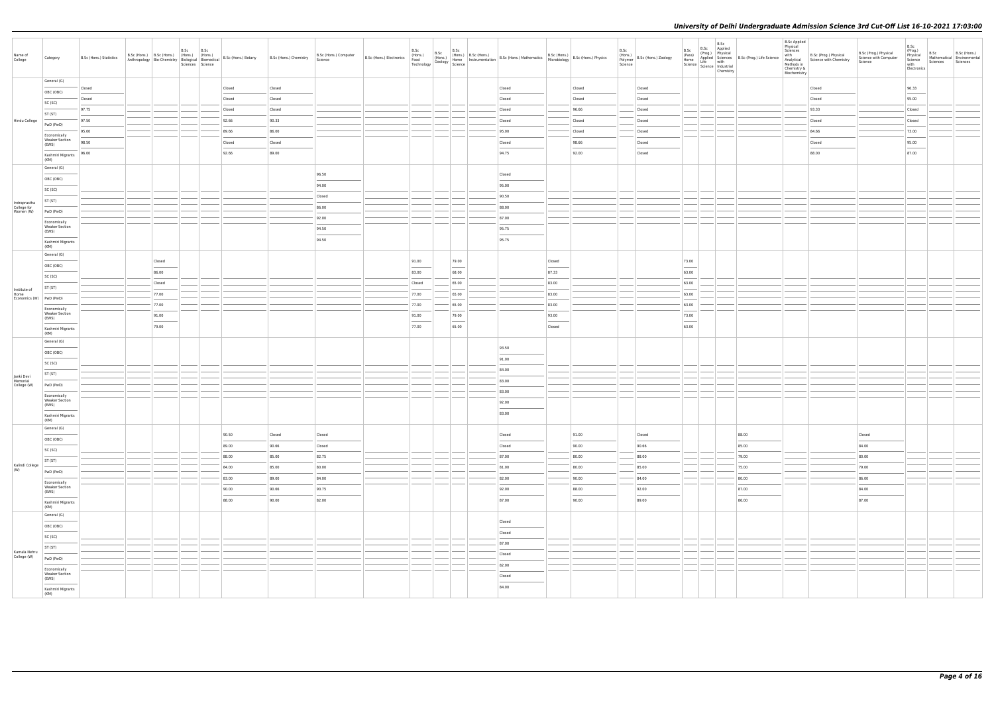| Name of<br>College       | Category                                       | B.Sc (Hons.) Statistics |        | B.Sc | B.Sc<br>Sciences Science | B.Sc (Hons.) B.Sc (Hons.) (Hons.) (Hons.) B.Sc (Hons.) Botany<br>Anthropology Bio-Chemistry Biological Biomedical B.Sc (Hons.) Botany | B.Sc (Hons.) Chemistry | B.Sc (Hons.) Computer<br>Science | B.Sc (Hons.) Electronics | B.Sc<br>(Hons.)<br>Food<br>Technology | B.Sc<br>(Hons.)<br>Geology   Runne | B.Sc  | (Hons.) B.Sc (Hons.) B.Sc (Hons.) Mathematics<br>Home Instrumentation B.Sc (Hons.) Mathematics |        | B.Sc (Hons.)<br>Microbiology B.Sc (Hons.) Physics | B.Sc<br>(Hons.)<br>Science | $\left  \frac{\text{trivial}}{\text{Polymer}} \right $ B.Sc (Hons.) Zoology | B.Sc<br>(Pass)<br>Home | B.Sc<br>(Prog.) | B.Sc<br>Applied<br>Physical<br>Applied Sciences B.Sc (<br>Science   Lite<br>  Science   Industrial<br>Chemistry |       |
|--------------------------|------------------------------------------------|-------------------------|--------|------|--------------------------|---------------------------------------------------------------------------------------------------------------------------------------|------------------------|----------------------------------|--------------------------|---------------------------------------|------------------------------------|-------|------------------------------------------------------------------------------------------------|--------|---------------------------------------------------|----------------------------|-----------------------------------------------------------------------------|------------------------|-----------------|-----------------------------------------------------------------------------------------------------------------|-------|
|                          | General (G)                                    |                         |        |      |                          |                                                                                                                                       |                        |                                  |                          |                                       |                                    |       |                                                                                                |        |                                                   |                            |                                                                             |                        |                 |                                                                                                                 |       |
|                          | OBC (OBC)                                      | Closed                  |        |      |                          | Closed                                                                                                                                | Closed                 |                                  |                          |                                       |                                    |       | Closed                                                                                         |        | Closed                                            |                            | Closed                                                                      |                        |                 |                                                                                                                 |       |
|                          | SC (SC)                                        | Closed                  |        |      |                          | Closed                                                                                                                                | Closed                 |                                  |                          |                                       |                                    |       | Closed                                                                                         |        | Closed                                            |                            | Closed                                                                      |                        |                 |                                                                                                                 |       |
|                          | ST (ST)                                        | 97.75                   |        |      |                          | Closed                                                                                                                                | Closed                 |                                  |                          |                                       |                                    |       | Closed                                                                                         |        | 96.66                                             |                            | Closed                                                                      |                        |                 |                                                                                                                 |       |
| Hindu College            | PwD (PwD)                                      | 97.50                   |        |      |                          | 92.66                                                                                                                                 | 90.33                  |                                  |                          |                                       |                                    |       | Closed                                                                                         |        | Closed                                            |                            | Closed                                                                      |                        |                 |                                                                                                                 |       |
|                          | Economically                                   | 95.00                   |        |      |                          | 89.66                                                                                                                                 | 86.00                  |                                  |                          |                                       |                                    |       | 95.00                                                                                          |        | Closed                                            |                            | Closed                                                                      |                        |                 |                                                                                                                 |       |
|                          | <b>Weaker Section</b><br>(EWS)                 | 98.50                   |        |      |                          | Closed                                                                                                                                | Closed                 |                                  |                          |                                       |                                    |       | Closed                                                                                         |        | 98.66                                             |                            | Closed                                                                      |                        |                 |                                                                                                                 |       |
|                          | Kashmiri Migrants<br>(KM)                      | 96.00                   |        |      |                          | 92.66                                                                                                                                 | 89.00                  |                                  |                          |                                       |                                    |       | 94.75                                                                                          |        | 92.00                                             |                            | Closed                                                                      |                        |                 |                                                                                                                 |       |
|                          | General (G)                                    |                         |        |      |                          |                                                                                                                                       |                        | 96.50                            |                          |                                       |                                    |       | Closed                                                                                         |        |                                                   |                            |                                                                             |                        |                 |                                                                                                                 |       |
|                          | OBC (OBC)                                      |                         |        |      |                          |                                                                                                                                       |                        |                                  |                          |                                       |                                    |       |                                                                                                |        |                                                   |                            |                                                                             |                        |                 |                                                                                                                 |       |
|                          | SC (SC)                                        |                         |        |      |                          |                                                                                                                                       |                        | 94.00                            |                          |                                       |                                    |       | 95.00                                                                                          |        |                                                   |                            |                                                                             |                        |                 |                                                                                                                 |       |
| Indraprastha             | ST (ST)                                        |                         |        |      |                          |                                                                                                                                       |                        | Closed                           |                          |                                       |                                    |       | 90.50                                                                                          |        |                                                   |                            |                                                                             |                        |                 |                                                                                                                 |       |
| College for<br>Women (W) | PwD (PwD)                                      |                         |        |      |                          |                                                                                                                                       |                        | 86.00                            |                          |                                       |                                    |       | 88.00                                                                                          |        |                                                   |                            |                                                                             |                        |                 |                                                                                                                 |       |
|                          | Economically                                   |                         |        |      |                          |                                                                                                                                       |                        | 92.00                            |                          |                                       |                                    |       | 87.00                                                                                          |        |                                                   |                            |                                                                             |                        |                 |                                                                                                                 |       |
|                          | <b>Weaker Section</b><br>(EWS)                 |                         |        |      |                          |                                                                                                                                       |                        | 94.50                            |                          |                                       |                                    |       | 95.75                                                                                          |        |                                                   |                            |                                                                             |                        |                 |                                                                                                                 |       |
|                          | Kashmiri Migrants<br>(KM)                      |                         |        |      |                          |                                                                                                                                       |                        | 94.50                            |                          |                                       |                                    |       | 95.75                                                                                          |        |                                                   |                            |                                                                             |                        |                 |                                                                                                                 |       |
|                          | General (G)                                    |                         |        |      |                          |                                                                                                                                       |                        |                                  |                          |                                       |                                    |       |                                                                                                |        |                                                   |                            |                                                                             |                        |                 |                                                                                                                 |       |
|                          | OBC (OBC)                                      |                         | Closed |      |                          |                                                                                                                                       |                        |                                  |                          | 91.00                                 |                                    | 79.00 |                                                                                                | Closed |                                                   |                            |                                                                             | 73.00                  |                 |                                                                                                                 |       |
|                          | SC (SC)                                        |                         | 86.00  |      |                          |                                                                                                                                       |                        |                                  |                          | 83.00                                 |                                    | 68.00 |                                                                                                | 87.33  |                                                   |                            |                                                                             | 63.00                  |                 |                                                                                                                 |       |
|                          | ST (ST)                                        |                         | Closed |      |                          |                                                                                                                                       |                        |                                  |                          | Closed                                |                                    | 65.00 |                                                                                                | 83.00  |                                                   |                            |                                                                             | 63.00                  |                 |                                                                                                                 |       |
| Institute of<br>Home     | PwD (PwD)                                      |                         | 77.00  |      |                          |                                                                                                                                       |                        |                                  |                          | 77.00                                 |                                    | 65.00 |                                                                                                | 83.00  |                                                   |                            |                                                                             | 63.00                  |                 |                                                                                                                 |       |
| Economics (W)            |                                                |                         | 77.00  |      |                          |                                                                                                                                       |                        |                                  |                          | 77.00                                 |                                    | 65.00 |                                                                                                | 83.00  |                                                   |                            |                                                                             | 63.00                  |                 |                                                                                                                 |       |
|                          | Economically<br><b>Weaker Section</b><br>(EWS) |                         | 91.00  |      |                          |                                                                                                                                       |                        |                                  |                          | 91.00                                 |                                    | 79.00 |                                                                                                | 93.00  |                                                   |                            |                                                                             | 73.00                  |                 |                                                                                                                 |       |
|                          | Kashmiri Migrants                              |                         | 79.00  |      |                          |                                                                                                                                       |                        |                                  |                          | 77.00                                 |                                    | 65.00 |                                                                                                | Closed |                                                   |                            |                                                                             | 63.00                  |                 |                                                                                                                 |       |
|                          | (KM)                                           |                         |        |      |                          |                                                                                                                                       |                        |                                  |                          |                                       |                                    |       |                                                                                                |        |                                                   |                            |                                                                             |                        |                 |                                                                                                                 |       |
|                          | General (G)                                    |                         |        |      |                          |                                                                                                                                       |                        |                                  |                          |                                       |                                    |       | 93.50                                                                                          |        |                                                   |                            |                                                                             |                        |                 |                                                                                                                 |       |
|                          | OBC (OBC)                                      |                         |        |      |                          |                                                                                                                                       |                        |                                  |                          |                                       |                                    |       | 91.00                                                                                          |        |                                                   |                            |                                                                             |                        |                 |                                                                                                                 |       |
|                          | SC (SC)                                        |                         |        |      |                          |                                                                                                                                       |                        |                                  |                          |                                       |                                    |       | 84.00                                                                                          |        |                                                   |                            |                                                                             |                        |                 |                                                                                                                 |       |
| Janki Devi<br>Memorial   | ST (ST)                                        |                         |        |      |                          |                                                                                                                                       |                        |                                  |                          |                                       |                                    |       | 83.00                                                                                          |        |                                                   |                            |                                                                             |                        |                 |                                                                                                                 |       |
| College (W)              | PwD (PwD)                                      |                         |        |      |                          |                                                                                                                                       |                        |                                  |                          |                                       |                                    |       | 83.00                                                                                          |        |                                                   |                            |                                                                             |                        |                 |                                                                                                                 |       |
|                          | Economically<br><b>Weaker Section</b>          |                         |        |      |                          |                                                                                                                                       |                        |                                  |                          |                                       |                                    |       |                                                                                                |        |                                                   |                            |                                                                             |                        |                 |                                                                                                                 |       |
|                          | (EWS)                                          |                         |        |      |                          |                                                                                                                                       |                        |                                  |                          |                                       |                                    |       | 92.00                                                                                          |        |                                                   |                            |                                                                             |                        |                 |                                                                                                                 |       |
|                          | Kashmiri Migrants<br>(KM)                      |                         |        |      |                          |                                                                                                                                       |                        |                                  |                          |                                       |                                    |       | 83.00                                                                                          |        |                                                   |                            |                                                                             |                        |                 |                                                                                                                 |       |
|                          | General (G)                                    |                         |        |      |                          | 90.50                                                                                                                                 | Closed                 | Closed                           |                          |                                       |                                    |       | Closed                                                                                         |        | 91.00                                             |                            | Closed                                                                      |                        |                 |                                                                                                                 | 88.00 |
|                          | OBC (OBC)                                      |                         |        |      |                          | 89.00                                                                                                                                 | 90.66                  | Closed                           |                          |                                       |                                    |       | Closed                                                                                         |        | 90.00                                             |                            | 90.66                                                                       |                        |                 |                                                                                                                 | 85.00 |
|                          | SC (SC)                                        |                         |        |      |                          | 88.00                                                                                                                                 | 85.00                  | 82.75                            |                          |                                       |                                    |       | 87.00                                                                                          |        | 80.00                                             |                            | 88.00                                                                       |                        |                 |                                                                                                                 | 79.00 |
| Kalindi College          | ST (ST)                                        |                         |        |      |                          | 84.00                                                                                                                                 | 85.00                  | 80.00                            |                          |                                       |                                    |       | 81.00                                                                                          |        | 80.00                                             |                            | 85.00                                                                       |                        |                 |                                                                                                                 | 75.00 |
| (W)                      | PwD (PwD)                                      |                         |        |      |                          | 83.00                                                                                                                                 | 89.00                  | 84.00                            |                          |                                       |                                    |       | 82.00                                                                                          |        | 90.00                                             |                            | 84.00                                                                       |                        |                 |                                                                                                                 | 80.00 |
|                          | Economically<br><b>Weaker Section</b>          |                         |        |      |                          |                                                                                                                                       | 90.66                  |                                  |                          |                                       |                                    |       |                                                                                                |        |                                                   |                            |                                                                             |                        |                 |                                                                                                                 |       |
|                          | (EWS)                                          |                         |        |      |                          | 90.00                                                                                                                                 |                        | 90.75                            |                          |                                       |                                    |       | 92.00                                                                                          |        | 88.00                                             |                            | 92.00                                                                       |                        |                 |                                                                                                                 | 87.00 |
|                          | Kashmiri Migrants<br>(KM)                      |                         |        |      |                          | 88.00                                                                                                                                 | 90.00                  | 82.00                            |                          |                                       |                                    |       | 87.00                                                                                          |        | 90.00                                             |                            | 89.00                                                                       |                        |                 |                                                                                                                 | 86.00 |
|                          | General (G)                                    |                         |        |      |                          |                                                                                                                                       |                        |                                  |                          |                                       |                                    |       | Closed                                                                                         |        |                                                   |                            |                                                                             |                        |                 |                                                                                                                 |       |
|                          | OBC (OBC)                                      |                         |        |      |                          |                                                                                                                                       |                        |                                  |                          |                                       |                                    |       | Closed                                                                                         |        |                                                   |                            |                                                                             |                        |                 |                                                                                                                 |       |
|                          | SC (SC)                                        |                         |        |      |                          |                                                                                                                                       |                        |                                  |                          |                                       |                                    |       | 87.00                                                                                          |        |                                                   |                            |                                                                             |                        |                 |                                                                                                                 |       |
| Kamala Nehru             | ST (ST)                                        |                         |        |      |                          |                                                                                                                                       |                        |                                  |                          |                                       |                                    |       |                                                                                                |        |                                                   |                            |                                                                             |                        |                 |                                                                                                                 |       |
| College (W)              | PwD (PwD)                                      |                         |        |      |                          |                                                                                                                                       |                        |                                  |                          |                                       |                                    |       | Closed                                                                                         |        |                                                   |                            |                                                                             |                        |                 |                                                                                                                 |       |
|                          | Economically<br><b>Weaker Section</b>          |                         |        |      |                          |                                                                                                                                       |                        |                                  |                          |                                       |                                    |       | 82.00                                                                                          |        |                                                   |                            |                                                                             |                        |                 |                                                                                                                 |       |
|                          | (EWS)                                          |                         |        |      |                          |                                                                                                                                       |                        |                                  |                          |                                       |                                    |       | Closed                                                                                         |        |                                                   |                            |                                                                             |                        |                 |                                                                                                                 |       |
|                          | Kashmiri Migrants<br>(KM)                      |                         |        |      |                          |                                                                                                                                       |                        |                                  |                          |                                       |                                    |       | 84.00                                                                                          |        |                                                   |                            |                                                                             |                        |                 |                                                                                                                 |       |

| B.Sc (Prog.) Life Science | <b>B.Sc Applied<br/>Physical<br/>Sciences</b><br>with<br>Analytical<br>Methods in<br>Chemistry &<br>Biochemistry | B.Sc (Prog.) Physical<br>Science with Chemistry | B.Sc (Prog.) Physical<br>Science with Computer<br>Science | B.Sc<br>(Prog.)<br>Physical<br>Science<br>with<br>Electronics | B.Sc<br>Mathematical<br>Sciences | B.Sc (Hons.)<br>Environmental<br>Sciences |
|---------------------------|------------------------------------------------------------------------------------------------------------------|-------------------------------------------------|-----------------------------------------------------------|---------------------------------------------------------------|----------------------------------|-------------------------------------------|
|                           |                                                                                                                  |                                                 |                                                           |                                                               |                                  |                                           |
|                           |                                                                                                                  | Closed                                          |                                                           | 96.33                                                         |                                  |                                           |
|                           |                                                                                                                  | Closed                                          |                                                           | 95.00                                                         |                                  |                                           |
|                           |                                                                                                                  | 93.33                                           |                                                           | Closed                                                        |                                  |                                           |
|                           |                                                                                                                  | Closed                                          |                                                           | Closed                                                        |                                  |                                           |
|                           |                                                                                                                  | 84.66                                           |                                                           | 73.00                                                         |                                  |                                           |
|                           |                                                                                                                  | Closed                                          |                                                           | 95.00                                                         |                                  |                                           |
|                           |                                                                                                                  | 88.00                                           |                                                           | 87.00                                                         |                                  |                                           |
|                           |                                                                                                                  |                                                 |                                                           |                                                               |                                  |                                           |
|                           |                                                                                                                  |                                                 |                                                           |                                                               |                                  |                                           |
|                           |                                                                                                                  |                                                 |                                                           |                                                               |                                  |                                           |
|                           |                                                                                                                  |                                                 |                                                           |                                                               |                                  |                                           |
|                           |                                                                                                                  |                                                 |                                                           |                                                               |                                  |                                           |
|                           |                                                                                                                  |                                                 |                                                           |                                                               |                                  |                                           |
|                           |                                                                                                                  |                                                 |                                                           |                                                               |                                  |                                           |
|                           |                                                                                                                  |                                                 |                                                           |                                                               |                                  |                                           |
|                           |                                                                                                                  |                                                 |                                                           |                                                               |                                  |                                           |
|                           |                                                                                                                  |                                                 |                                                           |                                                               |                                  |                                           |
|                           |                                                                                                                  |                                                 |                                                           |                                                               |                                  |                                           |
|                           |                                                                                                                  |                                                 |                                                           |                                                               |                                  |                                           |
|                           |                                                                                                                  |                                                 |                                                           |                                                               |                                  |                                           |
|                           |                                                                                                                  |                                                 |                                                           |                                                               |                                  |                                           |
|                           |                                                                                                                  |                                                 |                                                           |                                                               |                                  |                                           |
|                           |                                                                                                                  |                                                 |                                                           |                                                               |                                  |                                           |
|                           |                                                                                                                  |                                                 |                                                           |                                                               |                                  |                                           |
|                           |                                                                                                                  |                                                 |                                                           |                                                               |                                  |                                           |
|                           |                                                                                                                  |                                                 |                                                           |                                                               |                                  |                                           |
|                           |                                                                                                                  |                                                 |                                                           |                                                               |                                  |                                           |
|                           |                                                                                                                  |                                                 |                                                           |                                                               |                                  |                                           |
|                           |                                                                                                                  |                                                 |                                                           |                                                               |                                  |                                           |
|                           |                                                                                                                  |                                                 |                                                           |                                                               |                                  |                                           |
|                           |                                                                                                                  |                                                 |                                                           |                                                               |                                  |                                           |
|                           |                                                                                                                  |                                                 |                                                           |                                                               |                                  |                                           |
| 88.00                     |                                                                                                                  |                                                 | Closed                                                    |                                                               |                                  |                                           |
| 85.00                     |                                                                                                                  |                                                 | 84.00                                                     |                                                               |                                  |                                           |
| 79.00                     |                                                                                                                  |                                                 | 80.00                                                     |                                                               |                                  |                                           |
| 75.00                     |                                                                                                                  |                                                 | 79.00                                                     |                                                               |                                  |                                           |
| 80.00                     |                                                                                                                  |                                                 | 86.00                                                     |                                                               |                                  |                                           |
| 87.00                     |                                                                                                                  |                                                 | 84.00                                                     |                                                               |                                  |                                           |
| 86.00                     |                                                                                                                  |                                                 | 87.00                                                     |                                                               |                                  |                                           |
|                           |                                                                                                                  |                                                 |                                                           |                                                               |                                  |                                           |
|                           |                                                                                                                  |                                                 |                                                           |                                                               |                                  |                                           |
|                           |                                                                                                                  |                                                 |                                                           |                                                               |                                  |                                           |
|                           |                                                                                                                  |                                                 |                                                           |                                                               |                                  |                                           |
|                           |                                                                                                                  |                                                 |                                                           |                                                               |                                  |                                           |
|                           |                                                                                                                  |                                                 |                                                           |                                                               |                                  |                                           |
|                           |                                                                                                                  |                                                 |                                                           |                                                               |                                  |                                           |
|                           |                                                                                                                  |                                                 |                                                           |                                                               |                                  |                                           |
|                           |                                                                                                                  |                                                 |                                                           |                                                               |                                  |                                           |
|                           |                                                                                                                  |                                                 |                                                           |                                                               |                                  |                                           |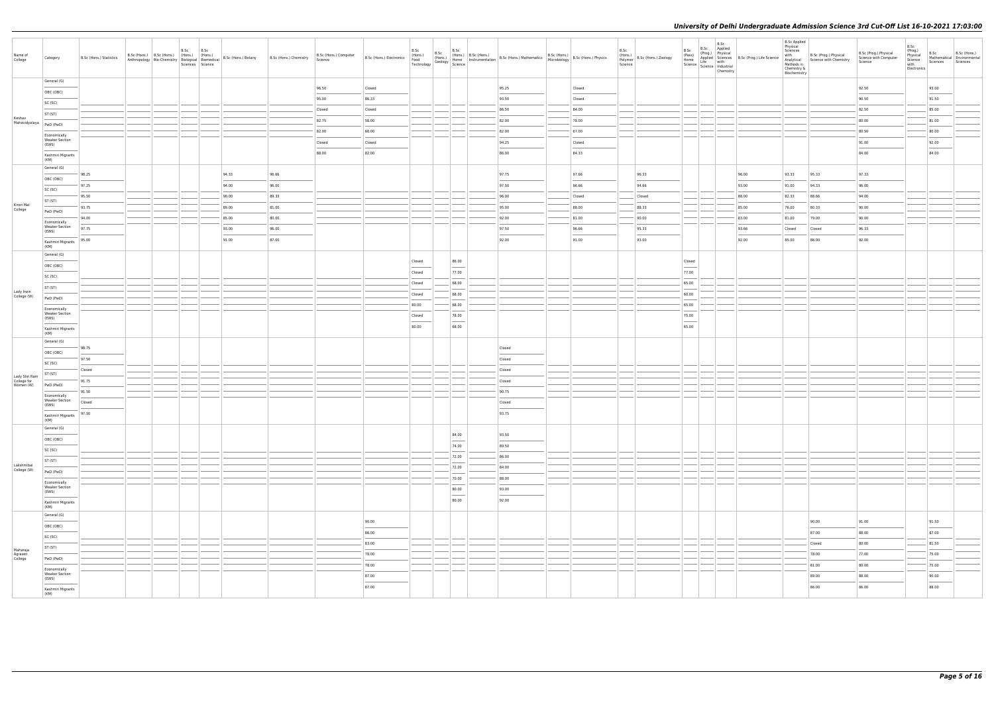| Name of<br>College                        | Category                                                                                                                                                                                                                                                                                                                                                                                                                                                                                | B.Sc (Hons.) Statistics | B.Sc (Hons.) B.Sc (Hons.) (Hons.) (Hons.) |  | B.Sc B.Sc<br>Sciences Science | Anthropology Bio-Chemistry Biological Biomedical B.Sc (Hons.) Botany | B.Sc (Hons.) Chemistry | B.Sc (Hons.) Computer<br>Science | B.Sc (Hons.) Electronics          | B.Sc<br>(Hons.)                   |                                   | $B.Sc$<br>(Hons.) $B.Sc$ (Hons.) | B.Sc (Hons.) B.Sc (Hons.) B.Sc (Hons.) B.Sc (Hons.) Athematics B.Sc (Hons.) B.Sc (Hons.) Home Instrumentation B.Sc (Hons.) Mathematics B.Sc (Hons.) B.Sc (Hons.) Physics Technology Science Instrumentation B.Sc (Hons.) Micro                                                                                                                                                                                                                                                      |        | B.Sc<br>Science | (Hons.)<br>Polymer   B.Sc (Hons.) Zoology |                                                                                                                                                                                                                                                                                                                                                                                                                                                                                      | B.Sc<br>Chemistry | B.Sc B.Sc Applied<br>(Prog.) Physical<br>(Prog.) Physical<br>Home Applied Science<br>Life with<br>Science Life with<br>Science Industrial | <b>B.Sc Applied</b><br>Physical<br>Sciences<br>with<br>Methods in<br>Chemistry &<br>Biochemistry | B.Sc (Prog.) Physical<br>Analytical Science with Chemistry | B.Sc (Prog.) Physical<br>Science with Computer<br>Science | B.Sc<br>(Prog.)<br>Physical<br>Science<br>with<br>Electronics | B.Sc<br>B.Sc (Hons.)<br>Mathematical Environmental<br>Sciences<br>Sciences                                                                                                                                                                                                                                                                                                                                                                                                          |
|-------------------------------------------|-----------------------------------------------------------------------------------------------------------------------------------------------------------------------------------------------------------------------------------------------------------------------------------------------------------------------------------------------------------------------------------------------------------------------------------------------------------------------------------------|-------------------------|-------------------------------------------|--|-------------------------------|----------------------------------------------------------------------|------------------------|----------------------------------|-----------------------------------|-----------------------------------|-----------------------------------|----------------------------------|-------------------------------------------------------------------------------------------------------------------------------------------------------------------------------------------------------------------------------------------------------------------------------------------------------------------------------------------------------------------------------------------------------------------------------------------------------------------------------------|--------|-----------------|-------------------------------------------|--------------------------------------------------------------------------------------------------------------------------------------------------------------------------------------------------------------------------------------------------------------------------------------------------------------------------------------------------------------------------------------------------------------------------------------------------------------------------------------|-------------------|-------------------------------------------------------------------------------------------------------------------------------------------|--------------------------------------------------------------------------------------------------|------------------------------------------------------------|-----------------------------------------------------------|---------------------------------------------------------------|-------------------------------------------------------------------------------------------------------------------------------------------------------------------------------------------------------------------------------------------------------------------------------------------------------------------------------------------------------------------------------------------------------------------------------------------------------------------------------------|
|                                           | General (G)                                                                                                                                                                                                                                                                                                                                                                                                                                                                             |                         |                                           |  |                               |                                                                      |                        | 96.50                            | Closed                            |                                   |                                   |                                  | 95.25                                                                                                                                                                                                                                                                                                                                                                                                                                                                               | Closed |                 |                                           |                                                                                                                                                                                                                                                                                                                                                                                                                                                                                      |                   |                                                                                                                                           |                                                                                                  |                                                            | 92.50                                                     |                                                               | 93.00                                                                                                                                                                                                                                                                                                                                                                                                                                                                               |
|                                           | OBC (OBC)                                                                                                                                                                                                                                                                                                                                                                                                                                                                               |                         |                                           |  |                               |                                                                      |                        | 95.00                            | 86.33                             |                                   |                                   |                                  | 93.50                                                                                                                                                                                                                                                                                                                                                                                                                                                                               | Closed |                 |                                           |                                                                                                                                                                                                                                                                                                                                                                                                                                                                                      |                   |                                                                                                                                           |                                                                                                  |                                                            | 90.50                                                     |                                                               | 91.50                                                                                                                                                                                                                                                                                                                                                                                                                                                                               |
|                                           | SC (SC)<br>ST (ST)                                                                                                                                                                                                                                                                                                                                                                                                                                                                      |                         |                                           |  |                               |                                                                      |                        | Closed                           | Closed                            |                                   |                                   |                                  | 86.50                                                                                                                                                                                                                                                                                                                                                                                                                                                                               | 84.00  |                 |                                           |                                                                                                                                                                                                                                                                                                                                                                                                                                                                                      |                   |                                                                                                                                           |                                                                                                  |                                                            | 82.50                                                     |                                                               | 85.00                                                                                                                                                                                                                                                                                                                                                                                                                                                                               |
| Keshav<br>Mahavidyalaya                   | PwD (PwD)                                                                                                                                                                                                                                                                                                                                                                                                                                                                               |                         |                                           |  |                               |                                                                      |                        | 82.75                            | 58.00                             |                                   |                                   |                                  | 82.00                                                                                                                                                                                                                                                                                                                                                                                                                                                                               | 78.00  |                 |                                           |                                                                                                                                                                                                                                                                                                                                                                                                                                                                                      |                   |                                                                                                                                           |                                                                                                  |                                                            | 80.00                                                     |                                                               | 81.00                                                                                                                                                                                                                                                                                                                                                                                                                                                                               |
|                                           | Economically                                                                                                                                                                                                                                                                                                                                                                                                                                                                            |                         |                                           |  |                               |                                                                      |                        | 82.00                            | 68.00                             |                                   |                                   |                                  | 82.00                                                                                                                                                                                                                                                                                                                                                                                                                                                                               | 67.00  |                 |                                           |                                                                                                                                                                                                                                                                                                                                                                                                                                                                                      |                   |                                                                                                                                           |                                                                                                  |                                                            | 80.50                                                     |                                                               | 80.00                                                                                                                                                                                                                                                                                                                                                                                                                                                                               |
|                                           | <b>Weaker Section</b><br>(EWS)                                                                                                                                                                                                                                                                                                                                                                                                                                                          |                         |                                           |  |                               |                                                                      |                        | Closed                           | Closed                            |                                   |                                   |                                  | 94.25                                                                                                                                                                                                                                                                                                                                                                                                                                                                               | Closed |                 |                                           |                                                                                                                                                                                                                                                                                                                                                                                                                                                                                      |                   |                                                                                                                                           |                                                                                                  |                                                            | 91.00                                                     |                                                               | 92.00                                                                                                                                                                                                                                                                                                                                                                                                                                                                               |
|                                           | Kashmiri Migrants                                                                                                                                                                                                                                                                                                                                                                                                                                                                       |                         |                                           |  |                               |                                                                      |                        | 88.00                            | 82.00                             |                                   |                                   |                                  | 86.00                                                                                                                                                                                                                                                                                                                                                                                                                                                                               | 84.33  |                 |                                           |                                                                                                                                                                                                                                                                                                                                                                                                                                                                                      |                   |                                                                                                                                           |                                                                                                  |                                                            | 84.00                                                     |                                                               | 84.00                                                                                                                                                                                                                                                                                                                                                                                                                                                                               |
|                                           | (KM)<br>General (G)                                                                                                                                                                                                                                                                                                                                                                                                                                                                     |                         |                                           |  |                               |                                                                      |                        |                                  |                                   |                                   |                                   |                                  |                                                                                                                                                                                                                                                                                                                                                                                                                                                                                     |        |                 |                                           |                                                                                                                                                                                                                                                                                                                                                                                                                                                                                      |                   |                                                                                                                                           |                                                                                                  |                                                            |                                                           |                                                               |                                                                                                                                                                                                                                                                                                                                                                                                                                                                                     |
|                                           | OBC (OBC)                                                                                                                                                                                                                                                                                                                                                                                                                                                                               | 98.25                   |                                           |  |                               | 94.33                                                                | 96.66                  |                                  |                                   |                                   |                                   |                                  | 97.75                                                                                                                                                                                                                                                                                                                                                                                                                                                                               | 97.66  |                 | 96.33                                     |                                                                                                                                                                                                                                                                                                                                                                                                                                                                                      |                   | 96.00                                                                                                                                     | 93.33                                                                                            | 95.33                                                      | 97.33                                                     |                                                               |                                                                                                                                                                                                                                                                                                                                                                                                                                                                                     |
|                                           | SC (SC)                                                                                                                                                                                                                                                                                                                                                                                                                                                                                 | 97.25                   |                                           |  |                               | 94.00                                                                | 96.00                  |                                  |                                   |                                   |                                   |                                  | 97.50                                                                                                                                                                                                                                                                                                                                                                                                                                                                               | 96.66  |                 | 94.66                                     |                                                                                                                                                                                                                                                                                                                                                                                                                                                                                      |                   | 93.00                                                                                                                                     | 91.00                                                                                            | 94.33                                                      | 96.00                                                     |                                                               |                                                                                                                                                                                                                                                                                                                                                                                                                                                                                     |
|                                           | ST (ST)                                                                                                                                                                                                                                                                                                                                                                                                                                                                                 | 95.50                   |                                           |  |                               | 90.00                                                                | 89.33                  |                                  |                                   |                                   |                                   |                                  | 96.00                                                                                                                                                                                                                                                                                                                                                                                                                                                                               | Closed |                 | Closed                                    |                                                                                                                                                                                                                                                                                                                                                                                                                                                                                      |                   | 88.00                                                                                                                                     | 82.33                                                                                            | 88.66                                                      | 94.00                                                     |                                                               |                                                                                                                                                                                                                                                                                                                                                                                                                                                                                     |
| Kirori Mal<br>College                     | PwD (PwD)                                                                                                                                                                                                                                                                                                                                                                                                                                                                               | 93.75                   |                                           |  |                               | 89.00                                                                | 81.00                  |                                  |                                   |                                   |                                   |                                  | 95.00                                                                                                                                                                                                                                                                                                                                                                                                                                                                               | 88.00  |                 | 88.33                                     |                                                                                                                                                                                                                                                                                                                                                                                                                                                                                      |                   | 85.00                                                                                                                                     | 76.00                                                                                            | 80.33                                                      | 90.00                                                     |                                                               |                                                                                                                                                                                                                                                                                                                                                                                                                                                                                     |
|                                           | Economically                                                                                                                                                                                                                                                                                                                                                                                                                                                                            | 94.00                   |                                           |  |                               | 85.00                                                                | 80.00                  |                                  |                                   |                                   |                                   |                                  | 92.00                                                                                                                                                                                                                                                                                                                                                                                                                                                                               | 81.00  |                 | 90.00                                     |                                                                                                                                                                                                                                                                                                                                                                                                                                                                                      |                   | 83.00                                                                                                                                     | 81.00                                                                                            | 79.00                                                      | 90.00                                                     |                                                               |                                                                                                                                                                                                                                                                                                                                                                                                                                                                                     |
|                                           | <b>Weaker Section</b><br>(EWS)                                                                                                                                                                                                                                                                                                                                                                                                                                                          | 97.75                   |                                           |  |                               | 93.00                                                                | 96.00                  |                                  |                                   |                                   |                                   |                                  | 97.50                                                                                                                                                                                                                                                                                                                                                                                                                                                                               | 96.66  |                 | 95.33                                     |                                                                                                                                                                                                                                                                                                                                                                                                                                                                                      |                   | 93.66                                                                                                                                     | Closed                                                                                           | Closed                                                     | 96.33                                                     |                                                               |                                                                                                                                                                                                                                                                                                                                                                                                                                                                                     |
|                                           | Kashmiri Migrants<br>(KM)                                                                                                                                                                                                                                                                                                                                                                                                                                                               | 95.00                   |                                           |  |                               | 91.00                                                                | 87.00                  |                                  |                                   |                                   |                                   |                                  | 92.00                                                                                                                                                                                                                                                                                                                                                                                                                                                                               | 91.00  |                 | 93.00                                     |                                                                                                                                                                                                                                                                                                                                                                                                                                                                                      |                   | 92.00                                                                                                                                     | 85.00                                                                                            | 86.00                                                      | 92.00                                                     |                                                               |                                                                                                                                                                                                                                                                                                                                                                                                                                                                                     |
|                                           | General (G)                                                                                                                                                                                                                                                                                                                                                                                                                                                                             |                         |                                           |  |                               |                                                                      |                        |                                  |                                   |                                   |                                   |                                  |                                                                                                                                                                                                                                                                                                                                                                                                                                                                                     |        |                 |                                           |                                                                                                                                                                                                                                                                                                                                                                                                                                                                                      |                   |                                                                                                                                           |                                                                                                  |                                                            |                                                           |                                                               |                                                                                                                                                                                                                                                                                                                                                                                                                                                                                     |
|                                           | OBC (OBC)                                                                                                                                                                                                                                                                                                                                                                                                                                                                               |                         |                                           |  |                               |                                                                      |                        |                                  |                                   | Closed                            | 86.00<br>$\sim$                   |                                  |                                                                                                                                                                                                                                                                                                                                                                                                                                                                                     |        |                 |                                           | Closed<br>$\frac{1}{2} \left( \frac{1}{2} \right) \left( \frac{1}{2} \right) \left( \frac{1}{2} \right) \left( \frac{1}{2} \right) \left( \frac{1}{2} \right) \left( \frac{1}{2} \right) \left( \frac{1}{2} \right) \left( \frac{1}{2} \right) \left( \frac{1}{2} \right) \left( \frac{1}{2} \right) \left( \frac{1}{2} \right) \left( \frac{1}{2} \right) \left( \frac{1}{2} \right) \left( \frac{1}{2} \right) \left( \frac{1}{2} \right) \left( \frac{1}{2} \right) \left( \frac$ |                   |                                                                                                                                           |                                                                                                  |                                                            |                                                           |                                                               |                                                                                                                                                                                                                                                                                                                                                                                                                                                                                     |
|                                           | SC (SC)                                                                                                                                                                                                                                                                                                                                                                                                                                                                                 |                         |                                           |  |                               |                                                                      |                        |                                  |                                   | Closed                            | 77.00                             |                                  |                                                                                                                                                                                                                                                                                                                                                                                                                                                                                     |        |                 |                                           | 77.00                                                                                                                                                                                                                                                                                                                                                                                                                                                                                |                   |                                                                                                                                           |                                                                                                  |                                                            |                                                           |                                                               |                                                                                                                                                                                                                                                                                                                                                                                                                                                                                     |
| Lady Irwin                                | ST (ST)                                                                                                                                                                                                                                                                                                                                                                                                                                                                                 |                         |                                           |  |                               |                                                                      |                        |                                  |                                   | Closed                            | 68.00<br>68.00                    |                                  |                                                                                                                                                                                                                                                                                                                                                                                                                                                                                     |        |                 |                                           | 65.00<br>60.00                                                                                                                                                                                                                                                                                                                                                                                                                                                                       |                   |                                                                                                                                           |                                                                                                  |                                                            |                                                           |                                                               |                                                                                                                                                                                                                                                                                                                                                                                                                                                                                     |
| College (W)                               | PwD (PwD)                                                                                                                                                                                                                                                                                                                                                                                                                                                                               |                         |                                           |  |                               |                                                                      |                        |                                  |                                   | Closed<br>80.00                   | 68.00                             |                                  |                                                                                                                                                                                                                                                                                                                                                                                                                                                                                     |        |                 |                                           | 65.00                                                                                                                                                                                                                                                                                                                                                                                                                                                                                |                   |                                                                                                                                           |                                                                                                  |                                                            |                                                           |                                                               |                                                                                                                                                                                                                                                                                                                                                                                                                                                                                     |
|                                           | Economically<br><b>Weaker Section</b>                                                                                                                                                                                                                                                                                                                                                                                                                                                   |                         |                                           |  |                               |                                                                      |                        |                                  |                                   | Closed                            | 78.00                             |                                  |                                                                                                                                                                                                                                                                                                                                                                                                                                                                                     |        |                 |                                           | 75.00                                                                                                                                                                                                                                                                                                                                                                                                                                                                                |                   |                                                                                                                                           |                                                                                                  |                                                            |                                                           |                                                               |                                                                                                                                                                                                                                                                                                                                                                                                                                                                                     |
|                                           | (EWS)                                                                                                                                                                                                                                                                                                                                                                                                                                                                                   |                         |                                           |  |                               |                                                                      |                        |                                  |                                   | $\overline{\phantom{a}}$<br>80.00 | $\overline{\phantom{a}}$<br>68.00 |                                  |                                                                                                                                                                                                                                                                                                                                                                                                                                                                                     |        |                 |                                           | $\overline{\phantom{a}}$<br>65.00                                                                                                                                                                                                                                                                                                                                                                                                                                                    |                   |                                                                                                                                           |                                                                                                  |                                                            |                                                           |                                                               |                                                                                                                                                                                                                                                                                                                                                                                                                                                                                     |
|                                           | Kashmiri Migrants<br>(KM)                                                                                                                                                                                                                                                                                                                                                                                                                                                               |                         |                                           |  |                               |                                                                      |                        |                                  |                                   |                                   |                                   |                                  |                                                                                                                                                                                                                                                                                                                                                                                                                                                                                     |        |                 |                                           |                                                                                                                                                                                                                                                                                                                                                                                                                                                                                      |                   |                                                                                                                                           |                                                                                                  |                                                            |                                                           |                                                               |                                                                                                                                                                                                                                                                                                                                                                                                                                                                                     |
|                                           | General (G)                                                                                                                                                                                                                                                                                                                                                                                                                                                                             | 98.75                   |                                           |  |                               |                                                                      |                        |                                  |                                   |                                   |                                   |                                  | Closed                                                                                                                                                                                                                                                                                                                                                                                                                                                                              |        |                 |                                           |                                                                                                                                                                                                                                                                                                                                                                                                                                                                                      |                   |                                                                                                                                           |                                                                                                  |                                                            |                                                           |                                                               |                                                                                                                                                                                                                                                                                                                                                                                                                                                                                     |
|                                           | OBC (OBC)                                                                                                                                                                                                                                                                                                                                                                                                                                                                               | 97.50                   |                                           |  |                               |                                                                      |                        |                                  |                                   |                                   |                                   |                                  | Closed                                                                                                                                                                                                                                                                                                                                                                                                                                                                              |        |                 |                                           |                                                                                                                                                                                                                                                                                                                                                                                                                                                                                      |                   |                                                                                                                                           |                                                                                                  |                                                            |                                                           |                                                               |                                                                                                                                                                                                                                                                                                                                                                                                                                                                                     |
|                                           | SC (SC)                                                                                                                                                                                                                                                                                                                                                                                                                                                                                 | Closed                  |                                           |  |                               |                                                                      |                        |                                  |                                   |                                   |                                   |                                  | Closed                                                                                                                                                                                                                                                                                                                                                                                                                                                                              |        |                 |                                           |                                                                                                                                                                                                                                                                                                                                                                                                                                                                                      |                   |                                                                                                                                           |                                                                                                  |                                                            |                                                           |                                                               |                                                                                                                                                                                                                                                                                                                                                                                                                                                                                     |
| Lady Shri Ram<br>College for<br>Women (W) | ST (ST)<br>PwD (PwD)                                                                                                                                                                                                                                                                                                                                                                                                                                                                    | 91.75                   |                                           |  |                               |                                                                      |                        |                                  |                                   |                                   |                                   |                                  | Closed                                                                                                                                                                                                                                                                                                                                                                                                                                                                              |        |                 |                                           |                                                                                                                                                                                                                                                                                                                                                                                                                                                                                      |                   |                                                                                                                                           |                                                                                                  |                                                            |                                                           |                                                               |                                                                                                                                                                                                                                                                                                                                                                                                                                                                                     |
|                                           | Economically                                                                                                                                                                                                                                                                                                                                                                                                                                                                            | 91.50                   |                                           |  |                               |                                                                      |                        |                                  |                                   |                                   |                                   |                                  | 90.75                                                                                                                                                                                                                                                                                                                                                                                                                                                                               |        |                 |                                           |                                                                                                                                                                                                                                                                                                                                                                                                                                                                                      |                   |                                                                                                                                           |                                                                                                  |                                                            |                                                           |                                                               |                                                                                                                                                                                                                                                                                                                                                                                                                                                                                     |
|                                           | <b>Weaker Section</b><br>(EWS)                                                                                                                                                                                                                                                                                                                                                                                                                                                          | Closed                  |                                           |  |                               |                                                                      |                        |                                  |                                   |                                   |                                   |                                  | Closed                                                                                                                                                                                                                                                                                                                                                                                                                                                                              |        |                 |                                           |                                                                                                                                                                                                                                                                                                                                                                                                                                                                                      |                   |                                                                                                                                           |                                                                                                  |                                                            |                                                           |                                                               |                                                                                                                                                                                                                                                                                                                                                                                                                                                                                     |
|                                           | Kashmiri Migrants   97.50                                                                                                                                                                                                                                                                                                                                                                                                                                                               |                         |                                           |  |                               |                                                                      |                        |                                  |                                   |                                   |                                   |                                  | 93.75                                                                                                                                                                                                                                                                                                                                                                                                                                                                               |        |                 |                                           |                                                                                                                                                                                                                                                                                                                                                                                                                                                                                      |                   |                                                                                                                                           |                                                                                                  |                                                            |                                                           |                                                               |                                                                                                                                                                                                                                                                                                                                                                                                                                                                                     |
|                                           | (KM)<br>General (G)                                                                                                                                                                                                                                                                                                                                                                                                                                                                     |                         |                                           |  |                               |                                                                      |                        |                                  |                                   |                                   |                                   |                                  |                                                                                                                                                                                                                                                                                                                                                                                                                                                                                     |        |                 |                                           |                                                                                                                                                                                                                                                                                                                                                                                                                                                                                      |                   |                                                                                                                                           |                                                                                                  |                                                            |                                                           |                                                               |                                                                                                                                                                                                                                                                                                                                                                                                                                                                                     |
|                                           | OBC (OBC)                                                                                                                                                                                                                                                                                                                                                                                                                                                                               |                         |                                           |  |                               |                                                                      |                        |                                  |                                   |                                   | 84.00<br>$\frac{1}{2}$            |                                  | 93.50<br>$\frac{1}{2}$                                                                                                                                                                                                                                                                                                                                                                                                                                                              |        |                 |                                           |                                                                                                                                                                                                                                                                                                                                                                                                                                                                                      |                   |                                                                                                                                           |                                                                                                  |                                                            |                                                           |                                                               |                                                                                                                                                                                                                                                                                                                                                                                                                                                                                     |
|                                           | SC (SC)                                                                                                                                                                                                                                                                                                                                                                                                                                                                                 |                         |                                           |  |                               |                                                                      |                        |                                  |                                   |                                   | 74.00                             |                                  | 89.50                                                                                                                                                                                                                                                                                                                                                                                                                                                                               |        |                 |                                           |                                                                                                                                                                                                                                                                                                                                                                                                                                                                                      |                   |                                                                                                                                           |                                                                                                  |                                                            |                                                           |                                                               |                                                                                                                                                                                                                                                                                                                                                                                                                                                                                     |
|                                           | ST (ST)                                                                                                                                                                                                                                                                                                                                                                                                                                                                                 |                         |                                           |  |                               |                                                                      |                        |                                  |                                   |                                   | 72.00                             |                                  | 86.00                                                                                                                                                                                                                                                                                                                                                                                                                                                                               |        |                 |                                           |                                                                                                                                                                                                                                                                                                                                                                                                                                                                                      |                   |                                                                                                                                           |                                                                                                  |                                                            |                                                           |                                                               |                                                                                                                                                                                                                                                                                                                                                                                                                                                                                     |
| Lakshmibai<br>College (W)                 | PwD (PwD)                                                                                                                                                                                                                                                                                                                                                                                                                                                                               |                         |                                           |  |                               |                                                                      |                        |                                  |                                   |                                   | 72.00                             |                                  | 84.00                                                                                                                                                                                                                                                                                                                                                                                                                                                                               |        |                 |                                           |                                                                                                                                                                                                                                                                                                                                                                                                                                                                                      |                   |                                                                                                                                           |                                                                                                  |                                                            |                                                           |                                                               |                                                                                                                                                                                                                                                                                                                                                                                                                                                                                     |
|                                           | Economically<br><b>Weaker Section</b>                                                                                                                                                                                                                                                                                                                                                                                                                                                   |                         |                                           |  |                               |                                                                      |                        |                                  |                                   |                                   | 70.00                             |                                  | 88.00                                                                                                                                                                                                                                                                                                                                                                                                                                                                               |        |                 |                                           |                                                                                                                                                                                                                                                                                                                                                                                                                                                                                      |                   |                                                                                                                                           |                                                                                                  |                                                            |                                                           |                                                               |                                                                                                                                                                                                                                                                                                                                                                                                                                                                                     |
|                                           | (EWS)<br>$\frac{1}{2} \left( \frac{1}{2} \right) \left( \frac{1}{2} \right) \left( \frac{1}{2} \right) \left( \frac{1}{2} \right) \left( \frac{1}{2} \right) \left( \frac{1}{2} \right) \left( \frac{1}{2} \right) \left( \frac{1}{2} \right) \left( \frac{1}{2} \right) \left( \frac{1}{2} \right) \left( \frac{1}{2} \right) \left( \frac{1}{2} \right) \left( \frac{1}{2} \right) \left( \frac{1}{2} \right) \left( \frac{1}{2} \right) \left( \frac{1}{2} \right) \left( \frac$     |                         |                                           |  |                               |                                                                      |                        |                                  |                                   |                                   | 80.00<br>$\sim$                   |                                  | 93.00<br>$\frac{1}{2} \left( \frac{1}{2} \right) \left( \frac{1}{2} \right) \left( \frac{1}{2} \right) \left( \frac{1}{2} \right) \left( \frac{1}{2} \right) \left( \frac{1}{2} \right) \left( \frac{1}{2} \right) \left( \frac{1}{2} \right) \left( \frac{1}{2} \right) \left( \frac{1}{2} \right) \left( \frac{1}{2} \right) \left( \frac{1}{2} \right) \left( \frac{1}{2} \right) \left( \frac{1}{2} \right) \left( \frac{1}{2} \right) \left( \frac{1}{2} \right) \left( \frac$ |        |                 |                                           |                                                                                                                                                                                                                                                                                                                                                                                                                                                                                      |                   |                                                                                                                                           |                                                                                                  |                                                            |                                                           |                                                               |                                                                                                                                                                                                                                                                                                                                                                                                                                                                                     |
|                                           | Kashmiri Migrants<br>(KM)                                                                                                                                                                                                                                                                                                                                                                                                                                                               |                         |                                           |  |                               |                                                                      |                        |                                  |                                   |                                   | 80.00                             |                                  | 92.00                                                                                                                                                                                                                                                                                                                                                                                                                                                                               |        |                 |                                           |                                                                                                                                                                                                                                                                                                                                                                                                                                                                                      |                   |                                                                                                                                           |                                                                                                  |                                                            |                                                           |                                                               |                                                                                                                                                                                                                                                                                                                                                                                                                                                                                     |
|                                           | General (G)                                                                                                                                                                                                                                                                                                                                                                                                                                                                             |                         |                                           |  |                               |                                                                      |                        |                                  |                                   |                                   |                                   |                                  |                                                                                                                                                                                                                                                                                                                                                                                                                                                                                     |        |                 |                                           |                                                                                                                                                                                                                                                                                                                                                                                                                                                                                      |                   |                                                                                                                                           |                                                                                                  |                                                            |                                                           |                                                               |                                                                                                                                                                                                                                                                                                                                                                                                                                                                                     |
|                                           | OBC (OBC)<br>$\frac{1}{2} \left( \frac{1}{2} \right) \left( \frac{1}{2} \right) \left( \frac{1}{2} \right) \left( \frac{1}{2} \right) \left( \frac{1}{2} \right) \left( \frac{1}{2} \right) \left( \frac{1}{2} \right) \left( \frac{1}{2} \right) \left( \frac{1}{2} \right) \left( \frac{1}{2} \right) \left( \frac{1}{2} \right) \left( \frac{1}{2} \right) \left( \frac{1}{2} \right) \left( \frac{1}{2} \right) \left( \frac{1}{2} \right) \left( \frac{1}{2} \right) \left( \frac$ |                         |                                           |  |                               |                                                                      |                        |                                  | 90.00<br>$\overline{\phantom{a}}$ |                                   |                                   |                                  |                                                                                                                                                                                                                                                                                                                                                                                                                                                                                     |        |                 |                                           |                                                                                                                                                                                                                                                                                                                                                                                                                                                                                      |                   |                                                                                                                                           |                                                                                                  | 90.00                                                      | 91.00                                                     |                                                               | 91.50<br>$\overline{\phantom{a}}$                                                                                                                                                                                                                                                                                                                                                                                                                                                   |
|                                           | SC (SC)                                                                                                                                                                                                                                                                                                                                                                                                                                                                                 |                         |                                           |  |                               |                                                                      |                        |                                  | 86.00                             |                                   |                                   |                                  |                                                                                                                                                                                                                                                                                                                                                                                                                                                                                     |        |                 |                                           |                                                                                                                                                                                                                                                                                                                                                                                                                                                                                      |                   |                                                                                                                                           |                                                                                                  | 87.00                                                      | 88.00                                                     |                                                               | 87.00                                                                                                                                                                                                                                                                                                                                                                                                                                                                               |
| Maharaja                                  | ST (ST)                                                                                                                                                                                                                                                                                                                                                                                                                                                                                 |                         |                                           |  |                               |                                                                      |                        |                                  | 83.00<br>78.00                    |                                   |                                   |                                  |                                                                                                                                                                                                                                                                                                                                                                                                                                                                                     |        |                 |                                           |                                                                                                                                                                                                                                                                                                                                                                                                                                                                                      |                   |                                                                                                                                           |                                                                                                  | Closed<br>78.00                                            | 80.00<br>77.00                                            |                                                               | 81.50<br>75.00                                                                                                                                                                                                                                                                                                                                                                                                                                                                      |
| Agrasen<br>College                        | PwD (PwD)                                                                                                                                                                                                                                                                                                                                                                                                                                                                               |                         |                                           |  |                               |                                                                      |                        |                                  | 78.00                             |                                   |                                   |                                  |                                                                                                                                                                                                                                                                                                                                                                                                                                                                                     |        |                 |                                           |                                                                                                                                                                                                                                                                                                                                                                                                                                                                                      |                   |                                                                                                                                           |                                                                                                  | 81.00                                                      | 80.00                                                     |                                                               | 75.00                                                                                                                                                                                                                                                                                                                                                                                                                                                                               |
|                                           | Economically<br><b>Weaker Section</b>                                                                                                                                                                                                                                                                                                                                                                                                                                                   |                         |                                           |  |                               |                                                                      |                        |                                  | 87.00                             |                                   |                                   |                                  |                                                                                                                                                                                                                                                                                                                                                                                                                                                                                     |        |                 |                                           |                                                                                                                                                                                                                                                                                                                                                                                                                                                                                      |                   |                                                                                                                                           |                                                                                                  | 89.00                                                      | 88.00                                                     |                                                               | 90.00                                                                                                                                                                                                                                                                                                                                                                                                                                                                               |
|                                           | (EWS)                                                                                                                                                                                                                                                                                                                                                                                                                                                                                   |                         |                                           |  |                               |                                                                      |                        |                                  | 87.00                             |                                   |                                   |                                  |                                                                                                                                                                                                                                                                                                                                                                                                                                                                                     |        |                 |                                           |                                                                                                                                                                                                                                                                                                                                                                                                                                                                                      |                   |                                                                                                                                           |                                                                                                  | __<br>86.00                                                | 86.00                                                     |                                                               | $\frac{1}{2} \left( \frac{1}{2} \right) \left( \frac{1}{2} \right) \left( \frac{1}{2} \right) \left( \frac{1}{2} \right) \left( \frac{1}{2} \right) \left( \frac{1}{2} \right) \left( \frac{1}{2} \right) \left( \frac{1}{2} \right) \left( \frac{1}{2} \right) \left( \frac{1}{2} \right) \left( \frac{1}{2} \right) \left( \frac{1}{2} \right) \left( \frac{1}{2} \right) \left( \frac{1}{2} \right) \left( \frac{1}{2} \right) \left( \frac{1}{2} \right) \left( \frac$<br>88.00 |
|                                           | Kashmiri Migrants<br>(KM)                                                                                                                                                                                                                                                                                                                                                                                                                                                               |                         |                                           |  |                               |                                                                      |                        |                                  |                                   |                                   |                                   |                                  |                                                                                                                                                                                                                                                                                                                                                                                                                                                                                     |        |                 |                                           |                                                                                                                                                                                                                                                                                                                                                                                                                                                                                      |                   |                                                                                                                                           |                                                                                                  |                                                            |                                                           |                                                               |                                                                                                                                                                                                                                                                                                                                                                                                                                                                                     |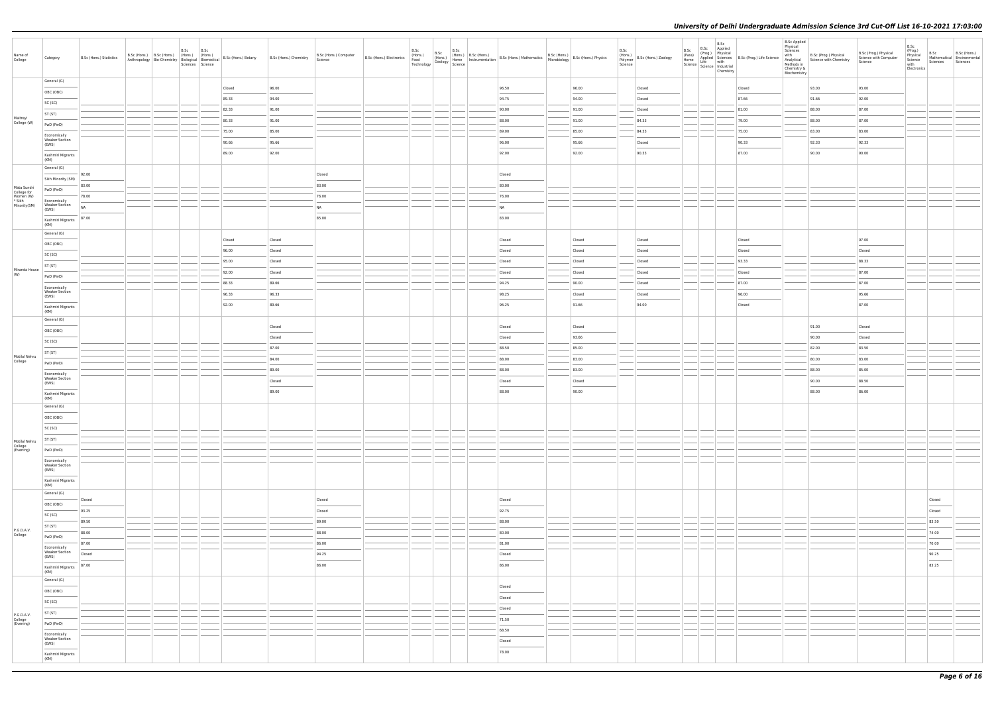| Name of<br>College                                | Category                                                                                                                                                                                                                                                                                                                                                                                                                                                                                                 | B.Sc (Hons.) Statistics | B.Sc<br>B.Sc (Hons.) B.Sc (Hons.) (Hons.) (Hons.) | B.Sc | Anthropology Bio-Chemistry Biological Biomedical B.Sc (Hons.) Botany<br>Sciences Science Biomedical Biomedical Biomedical Biomedia<br>Science Science | B.Sc (Hons.) Chemistry | B.Sc (Hons.) Computer<br>Science |  |  | B.Sc (Hons.) B.Sc (Hons.) B.Sc (Hons.) B.Sc (Hons.) B.Sc (Hons.) B.Sc (Hons.) B.Sc (Hons.) B.Sc (Hons.) B.Sc (Hons.) B.Sc (Hons.) B.Sc (Hons.) B.Sc (Hons.) B.Sc (Hons.) B.Sc (Hons.) Physics Technology Geology Science (Begi |        | B.Sc | $\left \begin{array}{c}\n\ldots \ldots \ldots \ldots \\\n\end{array}\right $ B.Sc (Hons.) Zoology<br>Science | B.Sc<br>(Pass) | B.Sc<br>B.Sc Applied<br>(Prog.) Physical<br>Chemistry | (Pass)<br>Home Applied Sciences<br>B.Sc (Prog.) Life Science<br>Science Life with<br>Science Industrial                                                                                                                                                                                                                                                                                                                                                                             | <b>B.Sc Applied</b><br>Physical<br>Sciences<br>with<br>Chemistry &<br>Biochemistry | B.Sc (Prog.) Physical<br>Analytical Science with Chemistry | B.Sc (Prog.) Physical<br>Science with Computer<br>Science | B.Sc<br>(Prog.)<br>Physical<br>Science<br>with<br>Electronics | B.Sc<br>Sciences | B.Sc (Hons.)<br>Mathematical Environmental<br>Sciences |
|---------------------------------------------------|----------------------------------------------------------------------------------------------------------------------------------------------------------------------------------------------------------------------------------------------------------------------------------------------------------------------------------------------------------------------------------------------------------------------------------------------------------------------------------------------------------|-------------------------|---------------------------------------------------|------|-------------------------------------------------------------------------------------------------------------------------------------------------------|------------------------|----------------------------------|--|--|--------------------------------------------------------------------------------------------------------------------------------------------------------------------------------------------------------------------------------|--------|------|--------------------------------------------------------------------------------------------------------------|----------------|-------------------------------------------------------|-------------------------------------------------------------------------------------------------------------------------------------------------------------------------------------------------------------------------------------------------------------------------------------------------------------------------------------------------------------------------------------------------------------------------------------------------------------------------------------|------------------------------------------------------------------------------------|------------------------------------------------------------|-----------------------------------------------------------|---------------------------------------------------------------|------------------|--------------------------------------------------------|
|                                                   | General (G)                                                                                                                                                                                                                                                                                                                                                                                                                                                                                              |                         |                                                   |      | Closed                                                                                                                                                | 96.00                  |                                  |  |  | 96.50                                                                                                                                                                                                                          | 96.00  |      | Closed                                                                                                       |                |                                                       | Closed                                                                                                                                                                                                                                                                                                                                                                                                                                                                              |                                                                                    | 93.00                                                      | 93.00                                                     |                                                               |                  |                                                        |
|                                                   | OBC (OBC)                                                                                                                                                                                                                                                                                                                                                                                                                                                                                                |                         |                                                   |      | 89.33                                                                                                                                                 | 94.00                  |                                  |  |  | 94.75                                                                                                                                                                                                                          | 94.00  |      | Closed                                                                                                       |                |                                                       | 87.66                                                                                                                                                                                                                                                                                                                                                                                                                                                                               |                                                                                    | 91.66                                                      | 92.00                                                     |                                                               |                  |                                                        |
|                                                   | SC (SC)                                                                                                                                                                                                                                                                                                                                                                                                                                                                                                  |                         |                                                   |      | 82.33                                                                                                                                                 | 91.00                  |                                  |  |  | 90.00                                                                                                                                                                                                                          | 91.00  |      | Closed                                                                                                       |                |                                                       | 81.00                                                                                                                                                                                                                                                                                                                                                                                                                                                                               |                                                                                    | 88.00                                                      | 87.00                                                     |                                                               |                  |                                                        |
| Maitreyi<br>College (W)                           | ST (ST)                                                                                                                                                                                                                                                                                                                                                                                                                                                                                                  |                         |                                                   |      | 80.33                                                                                                                                                 | 91.00                  |                                  |  |  | 88.00                                                                                                                                                                                                                          | 91.00  |      | 84.33                                                                                                        |                |                                                       | 79.00                                                                                                                                                                                                                                                                                                                                                                                                                                                                               |                                                                                    | 88.00                                                      | 87.00                                                     |                                                               |                  |                                                        |
|                                                   | PwD (PwD)                                                                                                                                                                                                                                                                                                                                                                                                                                                                                                |                         |                                                   |      | 75.00                                                                                                                                                 | 85.00                  |                                  |  |  | 89.00                                                                                                                                                                                                                          | 85.00  |      | 84.33                                                                                                        |                |                                                       | 75.00                                                                                                                                                                                                                                                                                                                                                                                                                                                                               |                                                                                    | 83.00                                                      | 83.00                                                     |                                                               |                  |                                                        |
|                                                   | Economically<br><b>Weaker Section</b><br>(EWS)                                                                                                                                                                                                                                                                                                                                                                                                                                                           |                         |                                                   |      | 90.66                                                                                                                                                 | 95.66                  |                                  |  |  | 96.00                                                                                                                                                                                                                          | 95.66  |      | Closed                                                                                                       |                |                                                       | 90.33                                                                                                                                                                                                                                                                                                                                                                                                                                                                               |                                                                                    | 92.33                                                      | 92.33                                                     |                                                               |                  |                                                        |
|                                                   | Kashmiri Migrants                                                                                                                                                                                                                                                                                                                                                                                                                                                                                        |                         |                                                   |      | 89.00                                                                                                                                                 | 92.00                  |                                  |  |  | 92.00                                                                                                                                                                                                                          | 92.00  |      | 90.33                                                                                                        |                |                                                       | $\frac{1}{2} \left( \frac{1}{2} \right) \left( \frac{1}{2} \right) \left( \frac{1}{2} \right) \left( \frac{1}{2} \right) \left( \frac{1}{2} \right) \left( \frac{1}{2} \right) \left( \frac{1}{2} \right) \left( \frac{1}{2} \right) \left( \frac{1}{2} \right) \left( \frac{1}{2} \right) \left( \frac{1}{2} \right) \left( \frac{1}{2} \right) \left( \frac{1}{2} \right) \left( \frac{1}{2} \right) \left( \frac{1}{2} \right) \left( \frac{1}{2} \right) \left( \frac$<br>87.00 |                                                                                    | 90.00                                                      | 90.00                                                     |                                                               |                  |                                                        |
|                                                   | (KM)                                                                                                                                                                                                                                                                                                                                                                                                                                                                                                     |                         |                                                   |      |                                                                                                                                                       |                        |                                  |  |  |                                                                                                                                                                                                                                |        |      |                                                                                                              |                |                                                       |                                                                                                                                                                                                                                                                                                                                                                                                                                                                                     |                                                                                    |                                                            |                                                           |                                                               |                  |                                                        |
|                                                   | General (G)                                                                                                                                                                                                                                                                                                                                                                                                                                                                                              | 92.00                   |                                                   |      |                                                                                                                                                       |                        | Closed                           |  |  | Closed                                                                                                                                                                                                                         |        |      |                                                                                                              |                |                                                       |                                                                                                                                                                                                                                                                                                                                                                                                                                                                                     |                                                                                    |                                                            |                                                           |                                                               |                  |                                                        |
|                                                   | Sikh Minority (SM)                                                                                                                                                                                                                                                                                                                                                                                                                                                                                       | 83.00                   |                                                   |      |                                                                                                                                                       |                        | 83.00                            |  |  | 80.00                                                                                                                                                                                                                          |        |      |                                                                                                              |                |                                                       |                                                                                                                                                                                                                                                                                                                                                                                                                                                                                     |                                                                                    |                                                            |                                                           |                                                               |                  |                                                        |
| Mata Sundri<br>College for<br>Women (W)<br>* Sikh | PwD (PwD)                                                                                                                                                                                                                                                                                                                                                                                                                                                                                                | 78.00                   |                                                   |      |                                                                                                                                                       |                        | 76.00                            |  |  | 76.00                                                                                                                                                                                                                          |        |      |                                                                                                              |                |                                                       |                                                                                                                                                                                                                                                                                                                                                                                                                                                                                     |                                                                                    |                                                            |                                                           |                                                               |                  |                                                        |
| Minority(SM)                                      | Economically<br><b>Weaker Section</b><br>(EWS)                                                                                                                                                                                                                                                                                                                                                                                                                                                           | NA                      |                                                   |      |                                                                                                                                                       |                        | <b>NA</b>                        |  |  | NA                                                                                                                                                                                                                             |        |      |                                                                                                              |                |                                                       |                                                                                                                                                                                                                                                                                                                                                                                                                                                                                     |                                                                                    |                                                            |                                                           |                                                               |                  |                                                        |
|                                                   | Kashmiri Migrants                                                                                                                                                                                                                                                                                                                                                                                                                                                                                        | 87.00                   |                                                   |      |                                                                                                                                                       |                        | 85.00                            |  |  | 83.00                                                                                                                                                                                                                          |        |      |                                                                                                              |                |                                                       |                                                                                                                                                                                                                                                                                                                                                                                                                                                                                     |                                                                                    |                                                            |                                                           |                                                               |                  |                                                        |
|                                                   | (KM)<br>General (G)                                                                                                                                                                                                                                                                                                                                                                                                                                                                                      |                         |                                                   |      |                                                                                                                                                       |                        |                                  |  |  |                                                                                                                                                                                                                                |        |      |                                                                                                              |                |                                                       |                                                                                                                                                                                                                                                                                                                                                                                                                                                                                     |                                                                                    |                                                            |                                                           |                                                               |                  |                                                        |
|                                                   | OBC (OBC)                                                                                                                                                                                                                                                                                                                                                                                                                                                                                                |                         |                                                   |      | Closed                                                                                                                                                | Closed                 |                                  |  |  | Closed                                                                                                                                                                                                                         | Closed |      | Closed                                                                                                       |                |                                                       | Closed                                                                                                                                                                                                                                                                                                                                                                                                                                                                              |                                                                                    |                                                            | 97.00                                                     |                                                               |                  |                                                        |
|                                                   | SC (SC)                                                                                                                                                                                                                                                                                                                                                                                                                                                                                                  |                         |                                                   |      | 96.00                                                                                                                                                 | Closed                 |                                  |  |  | Closed                                                                                                                                                                                                                         | Closed |      | Closed                                                                                                       |                |                                                       | Closed                                                                                                                                                                                                                                                                                                                                                                                                                                                                              |                                                                                    |                                                            | Closed                                                    |                                                               |                  |                                                        |
|                                                   | ST (ST)                                                                                                                                                                                                                                                                                                                                                                                                                                                                                                  |                         |                                                   |      | 95.00                                                                                                                                                 | Closed                 |                                  |  |  | Closed                                                                                                                                                                                                                         | Closed |      | Closed                                                                                                       |                |                                                       | 93.33                                                                                                                                                                                                                                                                                                                                                                                                                                                                               |                                                                                    |                                                            | 88.33                                                     |                                                               |                  |                                                        |
| Miranda House<br>(W)                              | PwD (PwD)                                                                                                                                                                                                                                                                                                                                                                                                                                                                                                |                         |                                                   |      | 92.00                                                                                                                                                 | Closed                 |                                  |  |  | Closed                                                                                                                                                                                                                         | Closed |      | Closed                                                                                                       |                |                                                       | Closed                                                                                                                                                                                                                                                                                                                                                                                                                                                                              |                                                                                    |                                                            | 87.00                                                     |                                                               |                  |                                                        |
|                                                   | Economically                                                                                                                                                                                                                                                                                                                                                                                                                                                                                             |                         |                                                   |      | 88.33                                                                                                                                                 | 89.66                  |                                  |  |  | 94.25                                                                                                                                                                                                                          | 90.00  |      | Closed                                                                                                       |                |                                                       | 87.00                                                                                                                                                                                                                                                                                                                                                                                                                                                                               |                                                                                    |                                                            | 87.00                                                     |                                                               |                  |                                                        |
|                                                   | <b>Weaker Section</b><br>(EWS)                                                                                                                                                                                                                                                                                                                                                                                                                                                                           |                         |                                                   |      | 96.33                                                                                                                                                 | 96.33                  |                                  |  |  | 98.25                                                                                                                                                                                                                          | Closed |      | Closed                                                                                                       |                |                                                       | 96.00                                                                                                                                                                                                                                                                                                                                                                                                                                                                               |                                                                                    |                                                            | 95.66                                                     |                                                               |                  |                                                        |
|                                                   | Kashmiri Migrants<br>(KM)                                                                                                                                                                                                                                                                                                                                                                                                                                                                                |                         |                                                   |      | 92.00                                                                                                                                                 | 89.66                  |                                  |  |  | 96.25                                                                                                                                                                                                                          | 91.66  |      | 94.00                                                                                                        |                |                                                       | Closed                                                                                                                                                                                                                                                                                                                                                                                                                                                                              |                                                                                    |                                                            | 87.00                                                     |                                                               |                  |                                                        |
|                                                   | General (G)                                                                                                                                                                                                                                                                                                                                                                                                                                                                                              |                         |                                                   |      |                                                                                                                                                       |                        |                                  |  |  |                                                                                                                                                                                                                                |        |      |                                                                                                              |                |                                                       |                                                                                                                                                                                                                                                                                                                                                                                                                                                                                     |                                                                                    |                                                            |                                                           |                                                               |                  |                                                        |
|                                                   | OBC (OBC)                                                                                                                                                                                                                                                                                                                                                                                                                                                                                                |                         |                                                   |      |                                                                                                                                                       | Closed                 |                                  |  |  | Closed                                                                                                                                                                                                                         | Closed |      |                                                                                                              |                |                                                       |                                                                                                                                                                                                                                                                                                                                                                                                                                                                                     |                                                                                    | 91.00                                                      | Closed                                                    |                                                               |                  |                                                        |
|                                                   | SC (SC)                                                                                                                                                                                                                                                                                                                                                                                                                                                                                                  |                         |                                                   |      |                                                                                                                                                       | Closed                 |                                  |  |  | Closed                                                                                                                                                                                                                         | 93.66  |      |                                                                                                              |                |                                                       |                                                                                                                                                                                                                                                                                                                                                                                                                                                                                     |                                                                                    | 90.00                                                      | Closed                                                    |                                                               |                  |                                                        |
|                                                   | ST (ST)                                                                                                                                                                                                                                                                                                                                                                                                                                                                                                  |                         |                                                   |      |                                                                                                                                                       | 87.00                  |                                  |  |  | 88.50                                                                                                                                                                                                                          | 85.00  |      |                                                                                                              |                |                                                       |                                                                                                                                                                                                                                                                                                                                                                                                                                                                                     |                                                                                    | 82.00                                                      | 83.50                                                     |                                                               |                  |                                                        |
| Motilal Nehru<br>College                          | PwD (PwD)                                                                                                                                                                                                                                                                                                                                                                                                                                                                                                |                         |                                                   |      |                                                                                                                                                       | 84.00                  |                                  |  |  | 88.00                                                                                                                                                                                                                          | 83.00  |      |                                                                                                              |                |                                                       |                                                                                                                                                                                                                                                                                                                                                                                                                                                                                     |                                                                                    | 80.00                                                      | 83.00                                                     |                                                               |                  |                                                        |
|                                                   | Economically                                                                                                                                                                                                                                                                                                                                                                                                                                                                                             |                         |                                                   |      |                                                                                                                                                       | 89.00                  |                                  |  |  | 88.00                                                                                                                                                                                                                          | 83.00  |      |                                                                                                              |                |                                                       |                                                                                                                                                                                                                                                                                                                                                                                                                                                                                     |                                                                                    | 88.00                                                      | 85.00                                                     |                                                               |                  |                                                        |
|                                                   | <b>Weaker Section</b><br>(EWS)                                                                                                                                                                                                                                                                                                                                                                                                                                                                           |                         |                                                   |      |                                                                                                                                                       | Closed                 |                                  |  |  | Closed                                                                                                                                                                                                                         | Closed |      |                                                                                                              |                |                                                       |                                                                                                                                                                                                                                                                                                                                                                                                                                                                                     |                                                                                    | 90.00                                                      | 88.50                                                     |                                                               |                  |                                                        |
|                                                   | Kashmiri Migrants<br>(KM)                                                                                                                                                                                                                                                                                                                                                                                                                                                                                |                         |                                                   |      |                                                                                                                                                       | 89.00                  |                                  |  |  | 88.00                                                                                                                                                                                                                          | 90.00  |      |                                                                                                              |                |                                                       |                                                                                                                                                                                                                                                                                                                                                                                                                                                                                     |                                                                                    | 88.00                                                      | 86.00                                                     |                                                               |                  |                                                        |
|                                                   | General (G)                                                                                                                                                                                                                                                                                                                                                                                                                                                                                              |                         |                                                   |      |                                                                                                                                                       |                        |                                  |  |  |                                                                                                                                                                                                                                |        |      |                                                                                                              |                |                                                       |                                                                                                                                                                                                                                                                                                                                                                                                                                                                                     |                                                                                    |                                                            |                                                           |                                                               |                  |                                                        |
|                                                   | OBC (OBC)                                                                                                                                                                                                                                                                                                                                                                                                                                                                                                |                         |                                                   |      |                                                                                                                                                       |                        |                                  |  |  |                                                                                                                                                                                                                                |        |      |                                                                                                              |                |                                                       |                                                                                                                                                                                                                                                                                                                                                                                                                                                                                     |                                                                                    |                                                            |                                                           |                                                               |                  |                                                        |
|                                                   | SC (SC)                                                                                                                                                                                                                                                                                                                                                                                                                                                                                                  |                         |                                                   |      |                                                                                                                                                       |                        |                                  |  |  |                                                                                                                                                                                                                                |        |      |                                                                                                              |                |                                                       |                                                                                                                                                                                                                                                                                                                                                                                                                                                                                     |                                                                                    |                                                            |                                                           |                                                               |                  |                                                        |
| Motilal Nehru                                     | ST (ST)                                                                                                                                                                                                                                                                                                                                                                                                                                                                                                  |                         |                                                   |      |                                                                                                                                                       |                        |                                  |  |  |                                                                                                                                                                                                                                |        |      |                                                                                                              |                |                                                       |                                                                                                                                                                                                                                                                                                                                                                                                                                                                                     |                                                                                    |                                                            |                                                           |                                                               |                  |                                                        |
| College<br>(Evening)                              | PwD (PwD)                                                                                                                                                                                                                                                                                                                                                                                                                                                                                                |                         |                                                   |      |                                                                                                                                                       |                        |                                  |  |  |                                                                                                                                                                                                                                |        |      |                                                                                                              |                |                                                       |                                                                                                                                                                                                                                                                                                                                                                                                                                                                                     |                                                                                    |                                                            |                                                           |                                                               |                  |                                                        |
|                                                   | Economically<br><b>Weaker Section</b>                                                                                                                                                                                                                                                                                                                                                                                                                                                                    |                         |                                                   |      |                                                                                                                                                       |                        |                                  |  |  |                                                                                                                                                                                                                                |        |      |                                                                                                              |                |                                                       |                                                                                                                                                                                                                                                                                                                                                                                                                                                                                     |                                                                                    |                                                            |                                                           |                                                               |                  |                                                        |
|                                                   | (EWS)<br>$\frac{1}{2} \left( \frac{1}{2} \right) \left( \frac{1}{2} \right) \left( \frac{1}{2} \right) \left( \frac{1}{2} \right) \left( \frac{1}{2} \right) \left( \frac{1}{2} \right) \left( \frac{1}{2} \right) \left( \frac{1}{2} \right) \left( \frac{1}{2} \right) \left( \frac{1}{2} \right) \left( \frac{1}{2} \right) \left( \frac{1}{2} \right) \left( \frac{1}{2} \right) \left( \frac{1}{2} \right) \left( \frac{1}{2} \right) \left( \frac{1}{2} \right) \left( \frac$<br>Kashmiri Migrants |                         |                                                   |      |                                                                                                                                                       |                        |                                  |  |  |                                                                                                                                                                                                                                |        |      |                                                                                                              |                |                                                       |                                                                                                                                                                                                                                                                                                                                                                                                                                                                                     |                                                                                    |                                                            |                                                           |                                                               |                  |                                                        |
|                                                   | (KM)                                                                                                                                                                                                                                                                                                                                                                                                                                                                                                     |                         |                                                   |      |                                                                                                                                                       |                        |                                  |  |  |                                                                                                                                                                                                                                |        |      |                                                                                                              |                |                                                       |                                                                                                                                                                                                                                                                                                                                                                                                                                                                                     |                                                                                    |                                                            |                                                           |                                                               |                  |                                                        |
|                                                   | General (G)<br><b>Contract Contract</b>                                                                                                                                                                                                                                                                                                                                                                                                                                                                  | Closed                  |                                                   |      |                                                                                                                                                       |                        | Closed                           |  |  | Closed                                                                                                                                                                                                                         |        |      |                                                                                                              |                |                                                       |                                                                                                                                                                                                                                                                                                                                                                                                                                                                                     |                                                                                    |                                                            |                                                           |                                                               | Closed           |                                                        |
|                                                   | OBC (OBC)                                                                                                                                                                                                                                                                                                                                                                                                                                                                                                | 93.25                   |                                                   |      |                                                                                                                                                       |                        | Closed                           |  |  | 92.75                                                                                                                                                                                                                          |        |      |                                                                                                              |                |                                                       |                                                                                                                                                                                                                                                                                                                                                                                                                                                                                     |                                                                                    |                                                            |                                                           |                                                               | Closed           |                                                        |
|                                                   | SC (SC)                                                                                                                                                                                                                                                                                                                                                                                                                                                                                                  | 89.50                   |                                                   |      |                                                                                                                                                       |                        | 89.00                            |  |  | 88.00                                                                                                                                                                                                                          |        |      |                                                                                                              |                |                                                       |                                                                                                                                                                                                                                                                                                                                                                                                                                                                                     |                                                                                    |                                                            |                                                           |                                                               | 83.50            |                                                        |
| P.G.D.A.V.<br>College                             | ST (ST)                                                                                                                                                                                                                                                                                                                                                                                                                                                                                                  | 88.00                   |                                                   |      |                                                                                                                                                       |                        | 88.00                            |  |  | 80.00                                                                                                                                                                                                                          |        |      |                                                                                                              |                |                                                       |                                                                                                                                                                                                                                                                                                                                                                                                                                                                                     |                                                                                    |                                                            |                                                           |                                                               | 74.00            |                                                        |
|                                                   | PwD (PwD)                                                                                                                                                                                                                                                                                                                                                                                                                                                                                                | 87.00                   |                                                   |      |                                                                                                                                                       |                        | 86.00                            |  |  | 81.00                                                                                                                                                                                                                          |        |      |                                                                                                              |                |                                                       |                                                                                                                                                                                                                                                                                                                                                                                                                                                                                     |                                                                                    |                                                            |                                                           |                                                               | 70.00            |                                                        |
|                                                   | Economically<br><b>Weaker Section</b><br>(EWS)                                                                                                                                                                                                                                                                                                                                                                                                                                                           | Closed                  |                                                   |      |                                                                                                                                                       |                        | 94.25                            |  |  | Closed                                                                                                                                                                                                                         |        |      |                                                                                                              |                |                                                       |                                                                                                                                                                                                                                                                                                                                                                                                                                                                                     |                                                                                    |                                                            |                                                           |                                                               | 90.25            |                                                        |
|                                                   | Kashmiri Migrants                                                                                                                                                                                                                                                                                                                                                                                                                                                                                        | 87.00                   |                                                   |      |                                                                                                                                                       |                        | 86.00                            |  |  | 86.00                                                                                                                                                                                                                          |        |      |                                                                                                              |                |                                                       |                                                                                                                                                                                                                                                                                                                                                                                                                                                                                     |                                                                                    |                                                            |                                                           |                                                               | 83.25            |                                                        |
|                                                   | (KM)<br>General (G)                                                                                                                                                                                                                                                                                                                                                                                                                                                                                      |                         |                                                   |      |                                                                                                                                                       |                        |                                  |  |  |                                                                                                                                                                                                                                |        |      |                                                                                                              |                |                                                       |                                                                                                                                                                                                                                                                                                                                                                                                                                                                                     |                                                                                    |                                                            |                                                           |                                                               |                  |                                                        |
|                                                   | OBC (OBC)                                                                                                                                                                                                                                                                                                                                                                                                                                                                                                |                         |                                                   |      |                                                                                                                                                       |                        |                                  |  |  | Closed                                                                                                                                                                                                                         |        |      |                                                                                                              |                |                                                       |                                                                                                                                                                                                                                                                                                                                                                                                                                                                                     |                                                                                    |                                                            |                                                           |                                                               |                  |                                                        |
|                                                   | SC (SC)                                                                                                                                                                                                                                                                                                                                                                                                                                                                                                  |                         |                                                   |      |                                                                                                                                                       |                        |                                  |  |  | Closed                                                                                                                                                                                                                         |        |      |                                                                                                              |                |                                                       |                                                                                                                                                                                                                                                                                                                                                                                                                                                                                     |                                                                                    |                                                            |                                                           |                                                               |                  |                                                        |
|                                                   | ST (ST)                                                                                                                                                                                                                                                                                                                                                                                                                                                                                                  |                         |                                                   |      |                                                                                                                                                       |                        |                                  |  |  | Closed                                                                                                                                                                                                                         |        |      |                                                                                                              |                |                                                       |                                                                                                                                                                                                                                                                                                                                                                                                                                                                                     |                                                                                    |                                                            |                                                           |                                                               |                  |                                                        |
| P.G.D.A.V.<br>College<br>(Evening)                | PwD (PwD)                                                                                                                                                                                                                                                                                                                                                                                                                                                                                                |                         |                                                   |      |                                                                                                                                                       |                        |                                  |  |  | 71.50                                                                                                                                                                                                                          |        |      |                                                                                                              |                |                                                       |                                                                                                                                                                                                                                                                                                                                                                                                                                                                                     |                                                                                    |                                                            |                                                           |                                                               |                  |                                                        |
|                                                   | Economically                                                                                                                                                                                                                                                                                                                                                                                                                                                                                             |                         |                                                   |      |                                                                                                                                                       |                        |                                  |  |  | 68.50                                                                                                                                                                                                                          |        |      |                                                                                                              |                |                                                       |                                                                                                                                                                                                                                                                                                                                                                                                                                                                                     |                                                                                    |                                                            |                                                           |                                                               |                  |                                                        |
|                                                   | <b>Weaker Section</b><br>(EWS)                                                                                                                                                                                                                                                                                                                                                                                                                                                                           |                         |                                                   |      |                                                                                                                                                       |                        |                                  |  |  | Closed                                                                                                                                                                                                                         |        |      |                                                                                                              |                |                                                       |                                                                                                                                                                                                                                                                                                                                                                                                                                                                                     |                                                                                    |                                                            |                                                           |                                                               |                  |                                                        |
|                                                   | <b>Contract Contract</b><br>Kashmiri Migrants                                                                                                                                                                                                                                                                                                                                                                                                                                                            |                         |                                                   |      |                                                                                                                                                       |                        |                                  |  |  | 78.00                                                                                                                                                                                                                          |        |      |                                                                                                              |                |                                                       |                                                                                                                                                                                                                                                                                                                                                                                                                                                                                     |                                                                                    |                                                            |                                                           |                                                               |                  |                                                        |
|                                                   | (KM)                                                                                                                                                                                                                                                                                                                                                                                                                                                                                                     |                         |                                                   |      |                                                                                                                                                       |                        |                                  |  |  |                                                                                                                                                                                                                                |        |      |                                                                                                              |                |                                                       |                                                                                                                                                                                                                                                                                                                                                                                                                                                                                     |                                                                                    |                                                            |                                                           |                                                               |                  |                                                        |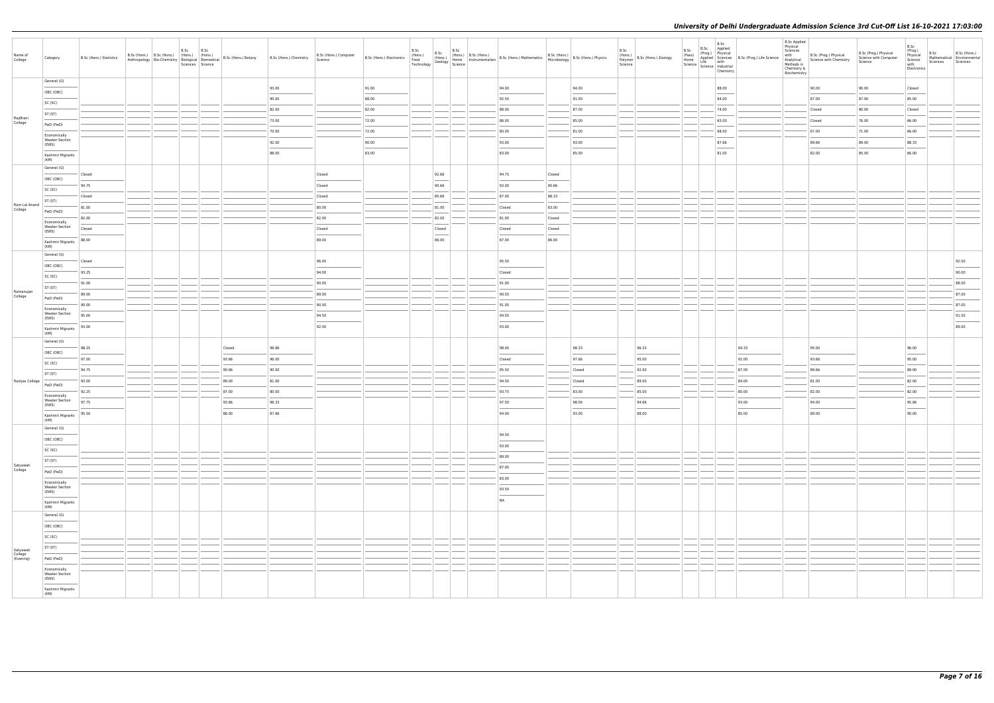| Name of<br>College                | Category                                                                                                                                                                                                                                                                                                                                                                                                                                                                            | B.Sc (Hons.) Statistics | B.Sc (Hons.) B.Sc (Hons.) (Hons.) (Hons.) | B.Sc | B.Sc<br>Sciences Science |        | Anthropology Bio-Chemistry   Thoms.) (Hons.) B.Sc (Hons.) Botany B.Sc (Hons.) Chemistry | B.Sc (Hons.) Computer<br>Science |       | B.Sc   | B.Sc | B.Sc (Hons.) B.Sc (Hons.) B.Sc (Hons.) B.Sc (Hons.) B.Sc (Hons.) B.Sc (Hons.) B.Sc (Hons.) B.Sc (Hons.) B.Sc (Hons.) B.Sc (Hons.) B.Sc (Hons.) B.Sc (Hons.) B.Sc (Hons.) Physics Technology Science B.Sc (Hons.) Physics (Hons |        |        | B.Sc<br>Science | (Hons.)<br>Polymer B.Sc (Hons.) Zoology | B.Sc<br>B.Sc B.Sc Applied<br>(Pass) (Prog.) Physical<br>Home Applied Science<br>Home Science Industrial<br>Science Industrial<br>Science Industrial<br>Chamierv.<br>Chemistry | <b>B.Sc Applied</b><br>Physical<br>Sciences<br>with<br>Chemistry &<br>Biochemistry | B.Sc (Prog.) Physical<br>Analytical Science with Chemistry<br>Methods in | B.Sc (Prog.) Physical<br>Science with Computer<br>Science | B.Sc<br>(Prog.)<br>Physical<br>Science<br>with<br>Electronics | B.Sc<br>Mathematical Environmental<br>Sciences Sciences | B.Sc (Hons.)                      |
|-----------------------------------|-------------------------------------------------------------------------------------------------------------------------------------------------------------------------------------------------------------------------------------------------------------------------------------------------------------------------------------------------------------------------------------------------------------------------------------------------------------------------------------|-------------------------|-------------------------------------------|------|--------------------------|--------|-----------------------------------------------------------------------------------------|----------------------------------|-------|--------|------|--------------------------------------------------------------------------------------------------------------------------------------------------------------------------------------------------------------------------------|--------|--------|-----------------|-----------------------------------------|-------------------------------------------------------------------------------------------------------------------------------------------------------------------------------|------------------------------------------------------------------------------------|--------------------------------------------------------------------------|-----------------------------------------------------------|---------------------------------------------------------------|---------------------------------------------------------|-----------------------------------|
|                                   | General (G)                                                                                                                                                                                                                                                                                                                                                                                                                                                                         |                         |                                           |      |                          |        | 93.00                                                                                   |                                  | 91.00 |        |      | 94.00                                                                                                                                                                                                                          |        | 94.00  |                 |                                         | 88.00                                                                                                                                                                         |                                                                                    | 90.00                                                                    | 90.00                                                     | Closed                                                        |                                                         |                                   |
|                                   | OBC (OBC)                                                                                                                                                                                                                                                                                                                                                                                                                                                                           |                         |                                           |      |                          |        | 90.00                                                                                   |                                  | 88.00 |        |      | 92.50                                                                                                                                                                                                                          |        | 91.00  |                 |                                         | 84.00                                                                                                                                                                         |                                                                                    | 87.00                                                                    | 87.00                                                     | 85.00                                                         |                                                         |                                   |
|                                   | SC (SC)                                                                                                                                                                                                                                                                                                                                                                                                                                                                             |                         |                                           |      |                          |        | 82.00                                                                                   |                                  | 82.00 |        |      | 88.00                                                                                                                                                                                                                          |        | 87.00  |                 |                                         | 74.00                                                                                                                                                                         |                                                                                    | Closed                                                                   | 80.00                                                     | Closed                                                        |                                                         |                                   |
| Rajdhani<br>College               | ST (ST)<br>PwD (PwD)                                                                                                                                                                                                                                                                                                                                                                                                                                                                |                         |                                           |      |                          |        | 73.00                                                                                   |                                  | 72.00 |        |      | 86.00                                                                                                                                                                                                                          |        | 85.00  |                 |                                         | 65.00                                                                                                                                                                         |                                                                                    | Closed                                                                   | 76.00                                                     | 66.00                                                         |                                                         |                                   |
|                                   | Economically                                                                                                                                                                                                                                                                                                                                                                                                                                                                        |                         |                                           |      |                          |        | 70.00                                                                                   |                                  | 72.00 |        |      | 80.00                                                                                                                                                                                                                          |        | 81.00  |                 |                                         | 68.00                                                                                                                                                                         |                                                                                    | 67.00                                                                    | 71.00                                                     | 66.00                                                         |                                                         |                                   |
|                                   | <b>Weaker Section</b><br>(EWS)                                                                                                                                                                                                                                                                                                                                                                                                                                                      |                         |                                           |      |                          |        | 92.00                                                                                   |                                  | 90.00 |        |      | 93.00                                                                                                                                                                                                                          |        | 93.00  |                 |                                         | 87.66                                                                                                                                                                         |                                                                                    | 89.66                                                                    | 89.00                                                     | 88.33                                                         |                                                         |                                   |
|                                   | Kashmiri Migrants                                                                                                                                                                                                                                                                                                                                                                                                                                                                   |                         |                                           |      |                          |        | 88.00                                                                                   |                                  | 83.00 |        |      | 83.00                                                                                                                                                                                                                          |        | 85.00  |                 |                                         | 81.00                                                                                                                                                                         |                                                                                    | 82.00                                                                    | 85.00                                                     | 66.00                                                         |                                                         |                                   |
|                                   | (KM)<br>General (G)                                                                                                                                                                                                                                                                                                                                                                                                                                                                 |                         |                                           |      |                          |        |                                                                                         |                                  |       |        |      |                                                                                                                                                                                                                                |        |        |                 |                                         |                                                                                                                                                                               |                                                                                    |                                                                          |                                                           |                                                               |                                                         |                                   |
|                                   | OBC (OBC)                                                                                                                                                                                                                                                                                                                                                                                                                                                                           | Closed                  |                                           |      |                          |        |                                                                                         | Closed                           |       | 92.66  |      | 94.75                                                                                                                                                                                                                          | Closed |        |                 |                                         |                                                                                                                                                                               |                                                                                    |                                                                          |                                                           |                                                               |                                                         |                                   |
|                                   | SC (SC)                                                                                                                                                                                                                                                                                                                                                                                                                                                                             | 94.75                   |                                           |      |                          |        |                                                                                         | Closed                           |       | 90.66  |      | 93.00                                                                                                                                                                                                                          | 90.66  |        |                 |                                         |                                                                                                                                                                               |                                                                                    |                                                                          |                                                           |                                                               |                                                         |                                   |
|                                   | ST (ST)                                                                                                                                                                                                                                                                                                                                                                                                                                                                             | Closed                  |                                           |      |                          |        |                                                                                         | Closed                           |       | 85.66  |      | 87.00                                                                                                                                                                                                                          | 88.33  |        |                 |                                         |                                                                                                                                                                               |                                                                                    |                                                                          |                                                           |                                                               |                                                         |                                   |
| Ram Lal Anand<br>College          | PwD (PwD)                                                                                                                                                                                                                                                                                                                                                                                                                                                                           | 81.00                   |                                           |      |                          |        |                                                                                         | 80.00                            |       | 81.00  |      | Closed                                                                                                                                                                                                                         | 83.00  |        |                 |                                         |                                                                                                                                                                               |                                                                                    |                                                                          |                                                           |                                                               |                                                         |                                   |
|                                   | Economically                                                                                                                                                                                                                                                                                                                                                                                                                                                                        | 82.00                   |                                           |      |                          |        |                                                                                         | 82.00                            |       | 82.00  |      | 81.00                                                                                                                                                                                                                          | Closed |        |                 |                                         |                                                                                                                                                                               |                                                                                    |                                                                          |                                                           |                                                               |                                                         |                                   |
|                                   | <b>Weaker Section</b><br>(EWS)                                                                                                                                                                                                                                                                                                                                                                                                                                                      | Closed                  |                                           |      |                          |        |                                                                                         | Closed                           |       | Closed |      | Closed                                                                                                                                                                                                                         | Closed |        |                 |                                         |                                                                                                                                                                               |                                                                                    |                                                                          |                                                           |                                                               |                                                         |                                   |
|                                   | Kashmiri Migrants<br>(KM)                                                                                                                                                                                                                                                                                                                                                                                                                                                           | 88.00                   |                                           |      |                          |        |                                                                                         | 89.00                            |       | 86.00  |      | 87.00                                                                                                                                                                                                                          | 86.00  |        |                 |                                         |                                                                                                                                                                               |                                                                                    |                                                                          |                                                           |                                                               |                                                         |                                   |
|                                   | General (G)                                                                                                                                                                                                                                                                                                                                                                                                                                                                         |                         |                                           |      |                          |        |                                                                                         |                                  |       |        |      |                                                                                                                                                                                                                                |        |        |                 |                                         |                                                                                                                                                                               |                                                                                    |                                                                          |                                                           |                                                               |                                                         |                                   |
|                                   | OBC (OBC)                                                                                                                                                                                                                                                                                                                                                                                                                                                                           | Closed                  |                                           |      |                          |        |                                                                                         | 96.00<br><b>STATISTICS</b>       |       |        |      | 95.50<br><b>STATISTICS</b>                                                                                                                                                                                                     |        |        |                 |                                         |                                                                                                                                                                               |                                                                                    |                                                                          |                                                           |                                                               |                                                         | 92.50<br>$\overline{\phantom{a}}$ |
|                                   | SC (SC)                                                                                                                                                                                                                                                                                                                                                                                                                                                                             | 93.25                   |                                           |      |                          |        |                                                                                         | 94.00                            |       |        |      | Closed                                                                                                                                                                                                                         |        |        |                 |                                         |                                                                                                                                                                               |                                                                                    |                                                                          |                                                           |                                                               |                                                         | 90.00                             |
|                                   | ST (ST)                                                                                                                                                                                                                                                                                                                                                                                                                                                                             | 91.00                   |                                           |      |                          |        |                                                                                         | 90.00                            |       |        |      | 91.00                                                                                                                                                                                                                          |        |        |                 |                                         |                                                                                                                                                                               |                                                                                    |                                                                          |                                                           |                                                               |                                                         | 88.00                             |
| Ramanujan<br>College              | PwD (PwD)                                                                                                                                                                                                                                                                                                                                                                                                                                                                           | 89.00<br>90.00          |                                           |      |                          |        |                                                                                         | 89.00<br>90.00                   |       |        |      | 90.50<br>91.00                                                                                                                                                                                                                 |        |        |                 |                                         |                                                                                                                                                                               |                                                                                    |                                                                          |                                                           |                                                               |                                                         | 87.00<br>87.00                    |
|                                   | Economically<br><b>Weaker Section</b>                                                                                                                                                                                                                                                                                                                                                                                                                                               | 95.00                   |                                           |      |                          |        |                                                                                         | 94.50                            |       |        |      | 94.50                                                                                                                                                                                                                          |        |        |                 |                                         |                                                                                                                                                                               |                                                                                    |                                                                          |                                                           |                                                               |                                                         | 91.50                             |
|                                   | (EWS)                                                                                                                                                                                                                                                                                                                                                                                                                                                                               | 93.00                   |                                           |      |                          |        |                                                                                         | 92.00                            |       |        |      | 93.00                                                                                                                                                                                                                          |        |        |                 |                                         |                                                                                                                                                                               |                                                                                    |                                                                          |                                                           |                                                               |                                                         | $\overline{\phantom{a}}$<br>89.00 |
|                                   | Kashmiri Migrants<br>(KM)                                                                                                                                                                                                                                                                                                                                                                                                                                                           |                         |                                           |      |                          |        |                                                                                         |                                  |       |        |      |                                                                                                                                                                                                                                |        |        |                 |                                         |                                                                                                                                                                               |                                                                                    |                                                                          |                                                           |                                                               |                                                         |                                   |
|                                   | General (G)                                                                                                                                                                                                                                                                                                                                                                                                                                                                         | 98.25                   |                                           |      |                          | Closed | 96.66                                                                                   |                                  |       |        |      | 98.00                                                                                                                                                                                                                          |        | 98.33  |                 | 96.33                                   | 94.33                                                                                                                                                                         |                                                                                    | 95.00                                                                    |                                                           | 96.00                                                         |                                                         |                                   |
|                                   | OBC (OBC)                                                                                                                                                                                                                                                                                                                                                                                                                                                                           | 97.00                   |                                           |      |                          | 93.66  | 96.00                                                                                   |                                  |       |        |      | Closed                                                                                                                                                                                                                         |        | 97.66  |                 | 95.00                                   | 92.00                                                                                                                                                                         |                                                                                    | 93.66                                                                    |                                                           | 95.00                                                         |                                                         |                                   |
|                                   | SC (SC)                                                                                                                                                                                                                                                                                                                                                                                                                                                                             | 94.75                   |                                           |      |                          | 90.66  | 90.00                                                                                   |                                  |       |        |      | 95.50                                                                                                                                                                                                                          |        | Closed |                 | 92.00                                   | 87.00                                                                                                                                                                         |                                                                                    | 89.66                                                                    |                                                           | 89.00                                                         |                                                         |                                   |
| Ramjas College                    | ST (ST)<br>PwD (PwD)                                                                                                                                                                                                                                                                                                                                                                                                                                                                | 93.00                   |                                           |      |                          | 89.00  | 81.00                                                                                   |                                  |       |        |      | 94.50                                                                                                                                                                                                                          |        | Closed |                 | 89.00                                   | 84.00                                                                                                                                                                         |                                                                                    | 81.00                                                                    |                                                           | 82.00                                                         |                                                         |                                   |
|                                   | Economically                                                                                                                                                                                                                                                                                                                                                                                                                                                                        | 92.25                   |                                           |      |                          | 87.00  | 80.00                                                                                   |                                  |       |        |      | 93.75                                                                                                                                                                                                                          |        | 83.00  |                 | 85.00                                   | 80.00                                                                                                                                                                         |                                                                                    | 82.00                                                                    |                                                           | 82.00                                                         |                                                         |                                   |
|                                   | Weaker Section<br>(EWS)                                                                                                                                                                                                                                                                                                                                                                                                                                                             | 97.75                   |                                           |      |                          | 93.66  | 96.33                                                                                   |                                  |       |        |      | 97.50                                                                                                                                                                                                                          |        | 98.00  |                 | 94.66                                   | 93.00                                                                                                                                                                         |                                                                                    | 94.00                                                                    |                                                           | 95.66                                                         |                                                         |                                   |
|                                   | Kashmiri Migrants   95.50                                                                                                                                                                                                                                                                                                                                                                                                                                                           |                         |                                           |      |                          | 86.00  | 87.66                                                                                   |                                  |       |        |      | 94.00                                                                                                                                                                                                                          |        | 93.00  |                 | 88.00                                   | 85.00                                                                                                                                                                         |                                                                                    | 89.00                                                                    |                                                           | 90.00                                                         |                                                         |                                   |
|                                   | (KM)<br>General (G)                                                                                                                                                                                                                                                                                                                                                                                                                                                                 |                         |                                           |      |                          |        |                                                                                         |                                  |       |        |      |                                                                                                                                                                                                                                |        |        |                 |                                         |                                                                                                                                                                               |                                                                                    |                                                                          |                                                           |                                                               |                                                         |                                   |
|                                   | OBC (OBC)                                                                                                                                                                                                                                                                                                                                                                                                                                                                           |                         |                                           |      |                          |        |                                                                                         |                                  |       |        |      | 94.50                                                                                                                                                                                                                          |        |        |                 |                                         |                                                                                                                                                                               |                                                                                    |                                                                          |                                                           |                                                               |                                                         |                                   |
|                                   | SC (SC)                                                                                                                                                                                                                                                                                                                                                                                                                                                                             |                         |                                           |      |                          |        |                                                                                         |                                  |       |        |      | 93.00                                                                                                                                                                                                                          |        |        |                 |                                         |                                                                                                                                                                               |                                                                                    |                                                                          |                                                           |                                                               |                                                         |                                   |
|                                   | ST (ST)                                                                                                                                                                                                                                                                                                                                                                                                                                                                             |                         |                                           |      |                          |        |                                                                                         |                                  |       |        |      | 89.00                                                                                                                                                                                                                          |        |        |                 |                                         |                                                                                                                                                                               |                                                                                    |                                                                          |                                                           |                                                               |                                                         |                                   |
| Satyawati<br>College              | PwD (PwD)                                                                                                                                                                                                                                                                                                                                                                                                                                                                           |                         |                                           |      |                          |        |                                                                                         |                                  |       |        |      | 87.00                                                                                                                                                                                                                          |        |        |                 |                                         |                                                                                                                                                                               |                                                                                    |                                                                          |                                                           |                                                               |                                                         |                                   |
|                                   | Economically<br><b>Weaker Section</b>                                                                                                                                                                                                                                                                                                                                                                                                                                               |                         |                                           |      |                          |        |                                                                                         |                                  |       |        |      | 83.00                                                                                                                                                                                                                          |        |        |                 |                                         |                                                                                                                                                                               |                                                                                    |                                                                          |                                                           |                                                               |                                                         |                                   |
|                                   | (EWS)<br>$\frac{1}{2} \left( \frac{1}{2} \right) \left( \frac{1}{2} \right) \left( \frac{1}{2} \right) \left( \frac{1}{2} \right) \left( \frac{1}{2} \right) \left( \frac{1}{2} \right) \left( \frac{1}{2} \right) \left( \frac{1}{2} \right) \left( \frac{1}{2} \right) \left( \frac{1}{2} \right) \left( \frac{1}{2} \right) \left( \frac{1}{2} \right) \left( \frac{1}{2} \right) \left( \frac{1}{2} \right) \left( \frac{1}{2} \right) \left( \frac{1}{2} \right) \left( \frac$ |                         |                                           |      |                          |        |                                                                                         |                                  |       |        |      | 93.50                                                                                                                                                                                                                          |        |        |                 |                                         |                                                                                                                                                                               |                                                                                    |                                                                          |                                                           |                                                               |                                                         |                                   |
|                                   | Kashmiri Migrants<br>(KM)                                                                                                                                                                                                                                                                                                                                                                                                                                                           |                         |                                           |      |                          |        |                                                                                         |                                  |       |        |      | <b>NA</b>                                                                                                                                                                                                                      |        |        |                 |                                         |                                                                                                                                                                               |                                                                                    |                                                                          |                                                           |                                                               |                                                         |                                   |
|                                   | General (G)                                                                                                                                                                                                                                                                                                                                                                                                                                                                         |                         |                                           |      |                          |        |                                                                                         |                                  |       |        |      |                                                                                                                                                                                                                                |        |        |                 |                                         |                                                                                                                                                                               |                                                                                    |                                                                          |                                                           |                                                               |                                                         |                                   |
|                                   | OBC (OBC)                                                                                                                                                                                                                                                                                                                                                                                                                                                                           |                         |                                           |      |                          |        |                                                                                         |                                  |       |        |      |                                                                                                                                                                                                                                |        |        |                 |                                         |                                                                                                                                                                               |                                                                                    |                                                                          |                                                           |                                                               |                                                         |                                   |
|                                   | SC (SC)<br><b>Contract Contract</b>                                                                                                                                                                                                                                                                                                                                                                                                                                                 |                         |                                           |      |                          |        |                                                                                         |                                  |       |        |      |                                                                                                                                                                                                                                |        |        |                 |                                         |                                                                                                                                                                               |                                                                                    |                                                                          |                                                           |                                                               |                                                         |                                   |
| Satyawati<br>College<br>(Evening) | ST (ST)                                                                                                                                                                                                                                                                                                                                                                                                                                                                             |                         |                                           |      |                          |        |                                                                                         |                                  |       |        |      |                                                                                                                                                                                                                                |        |        |                 |                                         |                                                                                                                                                                               |                                                                                    |                                                                          |                                                           |                                                               |                                                         |                                   |
|                                   | PwD (PwD)                                                                                                                                                                                                                                                                                                                                                                                                                                                                           |                         |                                           |      |                          |        |                                                                                         |                                  |       |        |      |                                                                                                                                                                                                                                |        |        |                 |                                         |                                                                                                                                                                               |                                                                                    |                                                                          |                                                           |                                                               |                                                         |                                   |
|                                   | Economically<br><b>Weaker Section</b>                                                                                                                                                                                                                                                                                                                                                                                                                                               |                         |                                           |      |                          |        |                                                                                         |                                  |       |        |      |                                                                                                                                                                                                                                |        |        |                 |                                         |                                                                                                                                                                               |                                                                                    |                                                                          |                                                           |                                                               |                                                         |                                   |
|                                   | (EWS)                                                                                                                                                                                                                                                                                                                                                                                                                                                                               |                         |                                           |      |                          |        |                                                                                         |                                  |       |        |      |                                                                                                                                                                                                                                |        |        |                 |                                         |                                                                                                                                                                               |                                                                                    |                                                                          |                                                           |                                                               |                                                         |                                   |
|                                   | Kashmiri Migrants<br>(KM)                                                                                                                                                                                                                                                                                                                                                                                                                                                           |                         |                                           |      |                          |        |                                                                                         |                                  |       |        |      |                                                                                                                                                                                                                                |        |        |                 |                                         |                                                                                                                                                                               |                                                                                    |                                                                          |                                                           |                                                               |                                                         |                                   |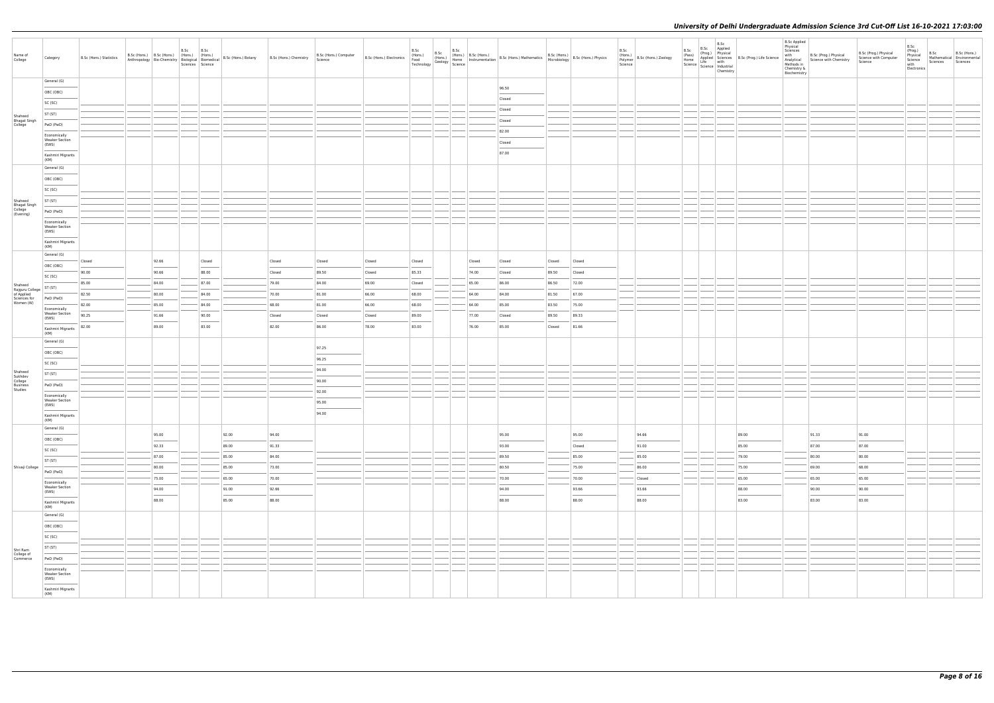| Name of<br>College                       | Category                              | B.Sc (Hons.) Statistics | B.Sc (Hons.) B.Sc (Hons.) (Hons.) (Hons.)<br>Anthropology Bio-Chemistry Biological Biomedical |                                                                                                                                                                                                                                                                                                                                                                                                                                                                                     | B.Sc B.Sc<br>Sciences Science |                                   | B.Sc (Hons.) Botany | B.Sc (Hons.) Chemistry | B.Sc (Hons.) Computer<br>Science |        |        |        | B.Sc (Hons.) B.Sc (Hons.) B.Sc (Hons.) B.Sc (Hons.) B.Sc (Hons.) B.Sc (Hons.) B.Sc (Hons.) B.Sc (Hons.) B.Sc (Hons.) B.Sc (Hons.) B.Sc (Hons.) B.Sc (Hons.) Physics Technology Geology Science Technology Science (Second |        |        | B.Sc<br>Science | (Hons.)<br>Polymer   B.Sc (Hons.) Zoology | B.Sc<br>Chemistry | B.Sc B.Sc Applied<br>(Prog.) Physical<br>(Prog.) Physical<br>Home Applied Science<br>Life with<br>Science Life with<br>Science Industrial | <b>B.Sc Applied</b><br>Physical<br>Sciences<br>with<br>Methods in<br>Chemistry &<br>Biochemistry | B.Sc (Prog.) Physical<br>Analytical Science with Chemistry | B.Sc (Prog.) Physical<br>Science with Computer<br>Science | B.Sc<br>(Prog.)<br>Physical<br>Science<br>with<br>Electronics | B.Sc<br>Sciences Sciences | B.Sc (Hons.)<br>Mathematical Environmental |
|------------------------------------------|---------------------------------------|-------------------------|-----------------------------------------------------------------------------------------------|-------------------------------------------------------------------------------------------------------------------------------------------------------------------------------------------------------------------------------------------------------------------------------------------------------------------------------------------------------------------------------------------------------------------------------------------------------------------------------------|-------------------------------|-----------------------------------|---------------------|------------------------|----------------------------------|--------|--------|--------|---------------------------------------------------------------------------------------------------------------------------------------------------------------------------------------------------------------------------|--------|--------|-----------------|-------------------------------------------|-------------------|-------------------------------------------------------------------------------------------------------------------------------------------|--------------------------------------------------------------------------------------------------|------------------------------------------------------------|-----------------------------------------------------------|---------------------------------------------------------------|---------------------------|--------------------------------------------|
|                                          | General (G)                           |                         |                                                                                               |                                                                                                                                                                                                                                                                                                                                                                                                                                                                                     |                               |                                   |                     |                        |                                  |        |        |        |                                                                                                                                                                                                                           |        |        |                 |                                           |                   |                                                                                                                                           |                                                                                                  |                                                            |                                                           |                                                               |                           |                                            |
|                                          | OBC (OBC)                             |                         |                                                                                               |                                                                                                                                                                                                                                                                                                                                                                                                                                                                                     |                               |                                   |                     |                        |                                  |        |        |        | 96.50                                                                                                                                                                                                                     |        |        |                 |                                           |                   |                                                                                                                                           |                                                                                                  |                                                            |                                                           |                                                               |                           |                                            |
|                                          | SC (SC)                               |                         |                                                                                               |                                                                                                                                                                                                                                                                                                                                                                                                                                                                                     |                               |                                   |                     |                        |                                  |        |        |        | Closed                                                                                                                                                                                                                    |        |        |                 |                                           |                   |                                                                                                                                           |                                                                                                  |                                                            |                                                           |                                                               |                           |                                            |
| Shaheed                                  | ST (ST)                               |                         |                                                                                               |                                                                                                                                                                                                                                                                                                                                                                                                                                                                                     |                               |                                   |                     |                        |                                  |        |        |        | Closed                                                                                                                                                                                                                    |        |        |                 |                                           |                   |                                                                                                                                           |                                                                                                  |                                                            |                                                           |                                                               |                           |                                            |
| Bhagat Singh<br>College                  | PwD (PwD)                             |                         |                                                                                               |                                                                                                                                                                                                                                                                                                                                                                                                                                                                                     |                               |                                   |                     |                        |                                  |        |        |        | Closed                                                                                                                                                                                                                    |        |        |                 |                                           |                   |                                                                                                                                           |                                                                                                  |                                                            |                                                           |                                                               |                           |                                            |
|                                          | Economically<br><b>Weaker Section</b> |                         |                                                                                               |                                                                                                                                                                                                                                                                                                                                                                                                                                                                                     |                               |                                   |                     |                        |                                  |        |        |        | 82.00                                                                                                                                                                                                                     |        |        |                 |                                           |                   |                                                                                                                                           |                                                                                                  |                                                            |                                                           |                                                               |                           |                                            |
|                                          | (EWS)                                 |                         |                                                                                               |                                                                                                                                                                                                                                                                                                                                                                                                                                                                                     |                               |                                   |                     |                        |                                  |        |        |        | Closed<br>87.00                                                                                                                                                                                                           |        |        |                 |                                           |                   |                                                                                                                                           |                                                                                                  |                                                            |                                                           |                                                               |                           |                                            |
|                                          | Kashmiri Migrants<br>(KM)             |                         |                                                                                               |                                                                                                                                                                                                                                                                                                                                                                                                                                                                                     |                               |                                   |                     |                        |                                  |        |        |        |                                                                                                                                                                                                                           |        |        |                 |                                           |                   |                                                                                                                                           |                                                                                                  |                                                            |                                                           |                                                               |                           |                                            |
|                                          | General (G)                           |                         |                                                                                               |                                                                                                                                                                                                                                                                                                                                                                                                                                                                                     |                               |                                   |                     |                        |                                  |        |        |        |                                                                                                                                                                                                                           |        |        |                 |                                           |                   |                                                                                                                                           |                                                                                                  |                                                            |                                                           |                                                               |                           |                                            |
|                                          | OBC (OBC)                             |                         |                                                                                               |                                                                                                                                                                                                                                                                                                                                                                                                                                                                                     |                               |                                   |                     |                        |                                  |        |        |        |                                                                                                                                                                                                                           |        |        |                 |                                           |                   |                                                                                                                                           |                                                                                                  |                                                            |                                                           |                                                               |                           |                                            |
|                                          | SC (SC)                               |                         |                                                                                               |                                                                                                                                                                                                                                                                                                                                                                                                                                                                                     |                               |                                   |                     |                        |                                  |        |        |        |                                                                                                                                                                                                                           |        |        |                 |                                           |                   |                                                                                                                                           |                                                                                                  |                                                            |                                                           |                                                               |                           |                                            |
| Shaheed                                  | ST (ST)                               |                         |                                                                                               |                                                                                                                                                                                                                                                                                                                                                                                                                                                                                     |                               |                                   |                     |                        |                                  |        |        |        |                                                                                                                                                                                                                           |        |        |                 |                                           |                   |                                                                                                                                           |                                                                                                  |                                                            |                                                           |                                                               |                           |                                            |
| Bhagat Singh<br>College<br>(Evening)     | PwD (PwD)                             |                         |                                                                                               |                                                                                                                                                                                                                                                                                                                                                                                                                                                                                     |                               |                                   |                     |                        |                                  |        |        |        |                                                                                                                                                                                                                           |        |        |                 |                                           |                   |                                                                                                                                           |                                                                                                  |                                                            |                                                           |                                                               |                           |                                            |
|                                          | Economically<br><b>Weaker Section</b> |                         |                                                                                               |                                                                                                                                                                                                                                                                                                                                                                                                                                                                                     |                               |                                   |                     |                        |                                  |        |        |        |                                                                                                                                                                                                                           |        |        |                 |                                           |                   |                                                                                                                                           |                                                                                                  |                                                            |                                                           |                                                               |                           |                                            |
|                                          | (EWS)                                 |                         |                                                                                               |                                                                                                                                                                                                                                                                                                                                                                                                                                                                                     |                               |                                   |                     |                        |                                  |        |        |        |                                                                                                                                                                                                                           |        |        |                 |                                           |                   |                                                                                                                                           |                                                                                                  |                                                            |                                                           |                                                               |                           |                                            |
|                                          | Kashmiri Migrants<br>(KM)             |                         |                                                                                               |                                                                                                                                                                                                                                                                                                                                                                                                                                                                                     |                               |                                   |                     |                        |                                  |        |        |        |                                                                                                                                                                                                                           |        |        |                 |                                           |                   |                                                                                                                                           |                                                                                                  |                                                            |                                                           |                                                               |                           |                                            |
|                                          | General (G)                           |                         |                                                                                               |                                                                                                                                                                                                                                                                                                                                                                                                                                                                                     |                               |                                   |                     |                        |                                  |        |        |        |                                                                                                                                                                                                                           |        |        |                 |                                           |                   |                                                                                                                                           |                                                                                                  |                                                            |                                                           |                                                               |                           |                                            |
|                                          | OBC (OBC)                             | Closed                  |                                                                                               | 92.66                                                                                                                                                                                                                                                                                                                                                                                                                                                                               |                               | Closed                            |                     | Closed                 | Closed                           | Closed | Closed | Closed | Closed                                                                                                                                                                                                                    | Closed | Closed |                 |                                           |                   |                                                                                                                                           |                                                                                                  |                                                            |                                                           |                                                               |                           |                                            |
|                                          | SC (SC)                               | 90.00                   |                                                                                               | 90.66                                                                                                                                                                                                                                                                                                                                                                                                                                                                               |                               | 88.00                             |                     | Closed                 | 89.50                            | Closed | 85.33  | 74.00  | Closed                                                                                                                                                                                                                    | 89.50  | Closed |                 |                                           |                   |                                                                                                                                           |                                                                                                  |                                                            |                                                           |                                                               |                           |                                            |
| Shaheed<br>Rajguru College<br>of Applied | ST (ST)                               | 85.00                   |                                                                                               | 84.00                                                                                                                                                                                                                                                                                                                                                                                                                                                                               |                               | 87.00                             |                     | 79.00                  | 84.00                            | 69.00  | Closed | 65.00  | 86.00                                                                                                                                                                                                                     | 86.50  | 72.00  |                 |                                           |                   |                                                                                                                                           |                                                                                                  |                                                            |                                                           |                                                               |                           |                                            |
| Sciences for<br>Women (W)                | PwD (PwD)                             | 82.50                   |                                                                                               | 80.00                                                                                                                                                                                                                                                                                                                                                                                                                                                                               |                               | 84.00                             |                     | 70.00                  | 81.00                            | 66.00  | 68.00  | 64.00  | 84.00                                                                                                                                                                                                                     | 81.50  | 67.00  |                 |                                           |                   |                                                                                                                                           |                                                                                                  |                                                            |                                                           |                                                               |                           |                                            |
|                                          | Economically<br><b>Weaker Section</b> | 82.00                   |                                                                                               | 85.00                                                                                                                                                                                                                                                                                                                                                                                                                                                                               |                               | 84.00                             |                     | 68.00                  | 81.00                            | 66.00  | 68.00  | 64.00  | 85.00                                                                                                                                                                                                                     | 83.50  | 75.00  |                 |                                           |                   |                                                                                                                                           |                                                                                                  |                                                            |                                                           |                                                               |                           |                                            |
|                                          | (EWS)                                 | 90.25                   |                                                                                               | 91.66<br>$\frac{1}{2} \left( \frac{1}{2} \right) \left( \frac{1}{2} \right) \left( \frac{1}{2} \right) \left( \frac{1}{2} \right) \left( \frac{1}{2} \right) \left( \frac{1}{2} \right) \left( \frac{1}{2} \right) \left( \frac{1}{2} \right) \left( \frac{1}{2} \right) \left( \frac{1}{2} \right) \left( \frac{1}{2} \right) \left( \frac{1}{2} \right) \left( \frac{1}{2} \right) \left( \frac{1}{2} \right) \left( \frac{1}{2} \right) \left( \frac{1}{2} \right) \left( \frac$ |                               | 90.00<br>$\overline{\phantom{a}}$ |                     | Closed                 | Closed                           | Closed | 89.00  | 77.00  | Closed                                                                                                                                                                                                                    | 89.50  | 89.33  |                 |                                           |                   |                                                                                                                                           |                                                                                                  |                                                            |                                                           |                                                               |                           |                                            |
|                                          | Kashmiri Migrants<br>(KM)             | 82.00                   |                                                                                               | 89.00                                                                                                                                                                                                                                                                                                                                                                                                                                                                               |                               | 83.00                             |                     | 82.00                  | 86.00                            | 78.00  | 83.00  | 76.00  | 85.00                                                                                                                                                                                                                     | Closed | 81.66  |                 |                                           |                   |                                                                                                                                           |                                                                                                  |                                                            |                                                           |                                                               |                           |                                            |
|                                          | General (G)                           |                         |                                                                                               |                                                                                                                                                                                                                                                                                                                                                                                                                                                                                     |                               |                                   |                     |                        |                                  |        |        |        |                                                                                                                                                                                                                           |        |        |                 |                                           |                   |                                                                                                                                           |                                                                                                  |                                                            |                                                           |                                                               |                           |                                            |
|                                          | OBC (OBC)                             |                         |                                                                                               |                                                                                                                                                                                                                                                                                                                                                                                                                                                                                     |                               |                                   |                     |                        | 97.25<br><b>STATISTICS</b>       |        |        |        |                                                                                                                                                                                                                           |        |        |                 |                                           |                   |                                                                                                                                           |                                                                                                  |                                                            |                                                           |                                                               |                           |                                            |
|                                          | SC (SC)                               |                         |                                                                                               |                                                                                                                                                                                                                                                                                                                                                                                                                                                                                     |                               |                                   |                     |                        | 96.25                            |        |        |        |                                                                                                                                                                                                                           |        |        |                 |                                           |                   |                                                                                                                                           |                                                                                                  |                                                            |                                                           |                                                               |                           |                                            |
| Shaheed<br>Sukhdev                       | ST (ST)                               |                         |                                                                                               |                                                                                                                                                                                                                                                                                                                                                                                                                                                                                     |                               |                                   |                     |                        | 94.00                            |        |        |        |                                                                                                                                                                                                                           |        |        |                 |                                           |                   |                                                                                                                                           |                                                                                                  |                                                            |                                                           |                                                               |                           |                                            |
| College<br>Business<br>Studies           | PwD (PwD)                             |                         |                                                                                               |                                                                                                                                                                                                                                                                                                                                                                                                                                                                                     |                               |                                   |                     |                        | 90.00                            |        |        |        |                                                                                                                                                                                                                           |        |        |                 |                                           |                   |                                                                                                                                           |                                                                                                  |                                                            |                                                           |                                                               |                           |                                            |
|                                          | Economically<br><b>Weaker Section</b> |                         |                                                                                               |                                                                                                                                                                                                                                                                                                                                                                                                                                                                                     |                               |                                   |                     |                        | 92.00                            |        |        |        |                                                                                                                                                                                                                           |        |        |                 |                                           |                   |                                                                                                                                           |                                                                                                  |                                                            |                                                           |                                                               |                           |                                            |
|                                          | (EWS)                                 |                         |                                                                                               |                                                                                                                                                                                                                                                                                                                                                                                                                                                                                     |                               |                                   |                     |                        | 95.00<br>94.00                   |        |        |        |                                                                                                                                                                                                                           |        |        |                 |                                           |                   |                                                                                                                                           |                                                                                                  |                                                            |                                                           |                                                               |                           |                                            |
|                                          | Kashmiri Migrants<br>(KM)             |                         |                                                                                               |                                                                                                                                                                                                                                                                                                                                                                                                                                                                                     |                               |                                   |                     |                        |                                  |        |        |        |                                                                                                                                                                                                                           |        |        |                 |                                           |                   |                                                                                                                                           |                                                                                                  |                                                            |                                                           |                                                               |                           |                                            |
|                                          | General (G)                           |                         |                                                                                               | 95.00                                                                                                                                                                                                                                                                                                                                                                                                                                                                               |                               |                                   | 92.00               | 94.00                  |                                  |        |        |        | 95.00                                                                                                                                                                                                                     |        | 95.00  |                 | 94.66                                     |                   | 89.00                                                                                                                                     |                                                                                                  | 91.33                                                      | 91.00                                                     |                                                               |                           |                                            |
|                                          | OBC (OBC)                             |                         |                                                                                               | 92.33                                                                                                                                                                                                                                                                                                                                                                                                                                                                               |                               |                                   | 89.00               | 91.33                  |                                  |        |        |        | 93.00                                                                                                                                                                                                                     |        | Closed |                 | 91.00                                     |                   | 85.00                                                                                                                                     |                                                                                                  | 87.00                                                      | 87.00                                                     |                                                               |                           |                                            |
|                                          | SC (SC)                               |                         |                                                                                               | 87.00                                                                                                                                                                                                                                                                                                                                                                                                                                                                               |                               |                                   | 85.00               | 84.00                  |                                  |        |        |        | 89.50                                                                                                                                                                                                                     |        | 85.00  |                 | 85.00                                     |                   | 79.00                                                                                                                                     |                                                                                                  | 80.00                                                      | 80.00                                                     |                                                               |                           |                                            |
| Shivaji College                          | ST (ST)                               |                         |                                                                                               | 80.00                                                                                                                                                                                                                                                                                                                                                                                                                                                                               |                               |                                   | 85.00               | 73.00                  |                                  |        |        |        | 80.50                                                                                                                                                                                                                     |        | 75.00  |                 | 86.00                                     |                   | 75.00                                                                                                                                     |                                                                                                  | 69.00                                                      | 68.00                                                     |                                                               |                           |                                            |
|                                          | PwD (PwD)                             |                         |                                                                                               | 75.00                                                                                                                                                                                                                                                                                                                                                                                                                                                                               |                               |                                   | 65.00               | 70.00                  |                                  |        |        |        | 70.00                                                                                                                                                                                                                     |        | 70.00  |                 | Closed                                    |                   | 65.00                                                                                                                                     |                                                                                                  | 65.00                                                      | 65.00                                                     |                                                               |                           |                                            |
|                                          | Economically<br>Weaker Section        |                         |                                                                                               | 94.00                                                                                                                                                                                                                                                                                                                                                                                                                                                                               |                               |                                   | 91.00               | 92.66                  |                                  |        |        |        | 94.00                                                                                                                                                                                                                     |        | 93.66  |                 | 93.66                                     |                   | 88.00                                                                                                                                     |                                                                                                  | 90.00                                                      | 90.00                                                     |                                                               |                           |                                            |
|                                          | (EWS)                                 |                         |                                                                                               | 88.00                                                                                                                                                                                                                                                                                                                                                                                                                                                                               |                               |                                   | 85.00               | 88.00                  |                                  |        |        |        | 88.00                                                                                                                                                                                                                     |        | 88.00  |                 | 88.00                                     |                   | 83.00                                                                                                                                     |                                                                                                  | 83.00                                                      | 83.00                                                     |                                                               |                           |                                            |
|                                          | Kashmiri Migrants<br>(KM)             |                         |                                                                                               |                                                                                                                                                                                                                                                                                                                                                                                                                                                                                     |                               |                                   |                     |                        |                                  |        |        |        |                                                                                                                                                                                                                           |        |        |                 |                                           |                   |                                                                                                                                           |                                                                                                  |                                                            |                                                           |                                                               |                           |                                            |
|                                          | General (G)                           |                         |                                                                                               |                                                                                                                                                                                                                                                                                                                                                                                                                                                                                     |                               |                                   |                     |                        |                                  |        |        |        |                                                                                                                                                                                                                           |        |        |                 |                                           |                   |                                                                                                                                           |                                                                                                  |                                                            |                                                           |                                                               |                           |                                            |
|                                          | OBC (OBC)                             |                         |                                                                                               |                                                                                                                                                                                                                                                                                                                                                                                                                                                                                     |                               |                                   |                     |                        |                                  |        |        |        |                                                                                                                                                                                                                           |        |        |                 |                                           |                   |                                                                                                                                           |                                                                                                  |                                                            |                                                           |                                                               |                           |                                            |
|                                          | SC (SC)                               |                         |                                                                                               |                                                                                                                                                                                                                                                                                                                                                                                                                                                                                     |                               |                                   |                     |                        |                                  |        |        |        |                                                                                                                                                                                                                           |        |        |                 |                                           |                   |                                                                                                                                           |                                                                                                  |                                                            |                                                           |                                                               |                           |                                            |
| Shri Ram<br>College of                   | ST (ST)                               |                         |                                                                                               |                                                                                                                                                                                                                                                                                                                                                                                                                                                                                     |                               |                                   |                     |                        |                                  |        |        |        |                                                                                                                                                                                                                           |        |        |                 |                                           |                   |                                                                                                                                           |                                                                                                  |                                                            |                                                           |                                                               |                           |                                            |
| Commerce                                 | PwD (PwD)                             |                         |                                                                                               |                                                                                                                                                                                                                                                                                                                                                                                                                                                                                     |                               |                                   |                     |                        |                                  |        |        |        |                                                                                                                                                                                                                           |        |        |                 |                                           |                   |                                                                                                                                           |                                                                                                  |                                                            |                                                           |                                                               |                           |                                            |
|                                          | Economically<br><b>Weaker Section</b> |                         |                                                                                               |                                                                                                                                                                                                                                                                                                                                                                                                                                                                                     |                               |                                   |                     |                        |                                  |        |        |        |                                                                                                                                                                                                                           |        |        |                 |                                           |                   |                                                                                                                                           |                                                                                                  |                                                            |                                                           |                                                               |                           |                                            |
|                                          | (EWS)<br>Kashmiri Migrants<br>(KM)    |                         |                                                                                               |                                                                                                                                                                                                                                                                                                                                                                                                                                                                                     |                               |                                   |                     |                        |                                  |        |        |        |                                                                                                                                                                                                                           |        |        |                 |                                           |                   |                                                                                                                                           |                                                                                                  |                                                            |                                                           |                                                               |                           |                                            |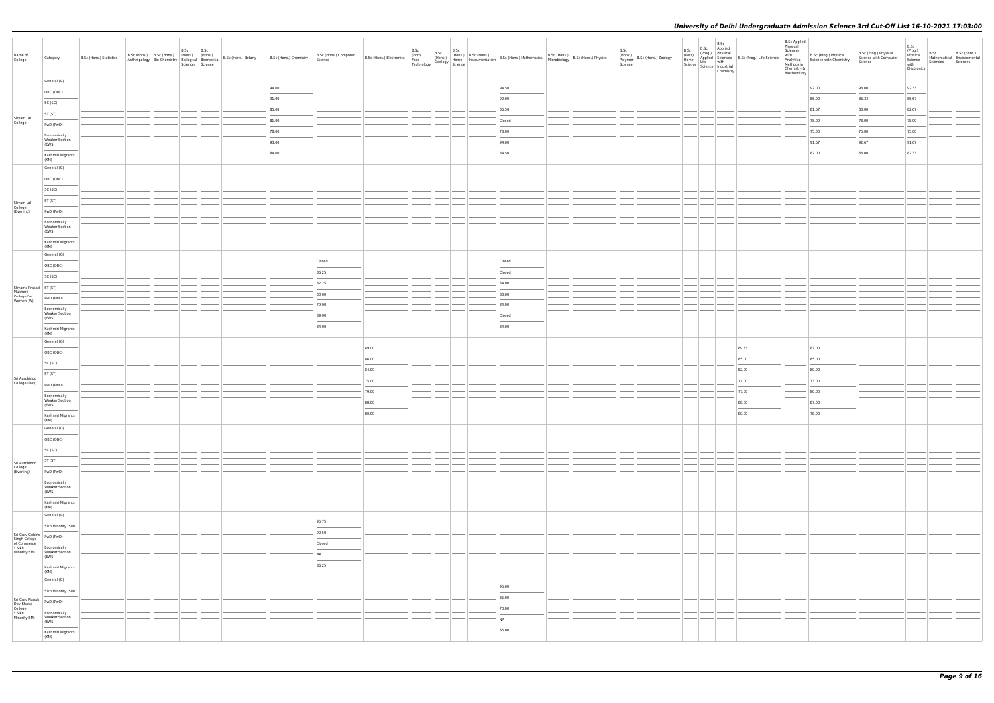| General (G)<br>92.33<br>94.00<br>94.50<br>92.00<br>93.00<br>OBC (OBC)<br>91.00<br>92.00<br>85.00<br>86.33<br>85.67<br>$\frac{1}{2} \left( \frac{1}{2} \right) \left( \frac{1}{2} \right) \left( \frac{1}{2} \right) \left( \frac{1}{2} \right) \left( \frac{1}{2} \right) \left( \frac{1}{2} \right) \left( \frac{1}{2} \right) \left( \frac{1}{2} \right) \left( \frac{1}{2} \right) \left( \frac{1}{2} \right) \left( \frac{1}{2} \right) \left( \frac{1}{2} \right) \left( \frac{1}{2} \right) \left( \frac{1}{2} \right) \left( \frac{1}{2} \right) \left( \frac{1}{2} \right) \left( \frac$<br>SC (SC)<br>85.00<br>86.50<br>81.67<br>83.00<br>82.67<br>ST (ST)<br>Shyam Lal<br>College<br>81.00<br>78.00<br>78.00<br>78.00<br>Closed<br>PwD (PwD)<br>78.00<br>78.00<br>75.00<br>75.00<br>75.00<br>Economically<br><b>Weaker Section</b><br>93.00<br>94.00<br>91.67<br>92.67<br>91.67<br>(EWS)<br>84.00<br>84.50<br>82.00<br>83.00<br>82.33<br>Kashmiri Migrants<br>(KM)<br>General (G)<br>OBC (OBC)<br>SC (SC)<br>ST (ST)<br>Shyam Lal<br>College<br>(Evening)<br>PwD (PwD)<br>Economically<br><b>Weaker Section</b><br>(EWS)<br>$\frac{1}{2} \left( \frac{1}{2} \right) \left( \frac{1}{2} \right) \left( \frac{1}{2} \right) \left( \frac{1}{2} \right) \left( \frac{1}{2} \right) \left( \frac{1}{2} \right) \left( \frac{1}{2} \right) \left( \frac{1}{2} \right) \left( \frac{1}{2} \right) \left( \frac{1}{2} \right) \left( \frac{1}{2} \right) \left( \frac{1}{2} \right) \left( \frac{1}{2} \right) \left( \frac{1}{2} \right) \left( \frac{1}{2} \right) \left( \frac{1}{2} \right) \left( \frac$<br>Kashmiri Migrants<br>(KM)<br>General (G)<br>Closed<br>Closed<br>OBC (OBC)<br>86.25<br>Closed<br>SC (SC)<br>82.25<br>84.00<br>Shyama Prasad<br>Mukherji<br>College For<br>Women (W)<br>80.00<br>83.00<br>PwD (PwD)<br>79.00<br>84.00<br>Economically<br><b>Weaker Section</b><br>89.00<br>Closed<br>(EWS)<br>84.00<br>84.00<br>Kashmiri Migrants<br>(KM)<br>General (G)<br>87.00<br>89.00<br>89.33<br>OBC (OBC)<br>85.00<br>$\frac{1}{2} \left( \frac{1}{2} \right) \left( \frac{1}{2} \right) \left( \frac{1}{2} \right) \left( \frac{1}{2} \right) \left( \frac{1}{2} \right) \left( \frac{1}{2} \right) \left( \frac{1}{2} \right) \left( \frac{1}{2} \right) \left( \frac{1}{2} \right) \left( \frac{1}{2} \right) \left( \frac{1}{2} \right) \left( \frac{1}{2} \right) \left( \frac{1}{2} \right) \left( \frac{1}{2} \right) \left( \frac{1}{2} \right) \left( \frac{1}{2} \right) \left( \frac$<br>86.00<br>85.00<br>SC (SC)<br>84.00<br>80.00<br>82.00<br>ST (ST)<br>Sri Aurobindo<br>75.00<br>77.00<br>73.00<br>College (Day)<br>PwD (PwD)<br>79.00<br>77.00<br>80.00<br>Economically<br><b>Weaker Section</b><br>88.00<br>87.00<br>88.00<br>(EWS)<br>80.00<br>80.00<br>78.00<br>Kashmiri Migrants<br>(KM)<br>General (G)<br>OBC (OBC)<br>SC (SC)<br>ST (ST)<br>Sri Aurobindo<br>College<br>(Evening)<br>PwD (PwD)<br>$\sim$ $\sim$<br>Economically<br><b>Weaker Section</b><br>(EWS)<br>$\frac{1}{2}$<br>Kashmiri Migrants<br>(KM)<br>General (G)<br>95.75<br>Sikh Minority (SM)<br>90.50<br>Sri Guru Gobind<br>Singh College<br>of Commerce<br>* Sikh<br>Minority(SM)<br>PwD (PwD)<br>Closed<br>Economically<br><b>Weaker Section</b><br>NA<br>(EWS)<br>86.25<br>Kashmiri Migrants<br>(KM)<br>General (G)<br>95.00<br>Sikh Minority (SM)<br>$\sim$<br>85.00<br>Sri Guru Nanak<br>Dev Khalsa<br>College<br>* Sikh<br>Minority(SM)<br>PwD (PwD)<br>70.00<br>Economically<br><b>Weaker Section</b><br>N <sub>A</sub><br>(EWS)<br>$\frac{1}{2} \left( \frac{1}{2} \right) \left( \frac{1}{2} \right) \left( \frac{1}{2} \right) \left( \frac{1}{2} \right) \left( \frac{1}{2} \right) \left( \frac{1}{2} \right) \left( \frac{1}{2} \right) \left( \frac{1}{2} \right) \left( \frac{1}{2} \right) \left( \frac{1}{2} \right) \left( \frac{1}{2} \right) \left( \frac{1}{2} \right) \left( \frac{1}{2} \right) \left( \frac{1}{2} \right) \left( \frac{1}{2} \right) \left( \frac{1}{2} \right) \left( \frac$<br><b>STATISTICS</b><br>85.00 | Name of<br>College | Category                  | B.Sc (Hons.) Statistics | B.Sc (Hons.) B.Sc (Hons.) (Hons.) (Hons.) | B.Sc<br>Sciences Science | B.Sc |  | B.Sc (Hons.) Computer<br>Science |  |  | B.Sc (Hons.) B.Sc (Hons.) B.Sc (Hons.) B.Sc (Hons.) B.Sc (Hons.) B.Sc (Hons.) B.Sc (Hons.) B.Sc (Hons.) B.Sc (Hons.) B.Sc (Hons.) Physics Technology Geology Science Technology Science (Sec (Hons.) Physics Technology Scienc |  | B.Sc<br>(Hons.)<br>Polymer B.Sc (Hons.) Zoology<br>Science | B.Sc<br>Chemistry | B.Sc B.Sc Applied<br>(Pass) Physical<br>Home Applied Science<br>Hoppled Science<br>Science Science Industrial<br>Science Industrial<br>Chamier <sub>ry</sub> | <b>B.Sc Applied</b><br>Physical<br>Sciences<br>with<br>Chemistry &<br>Biochemistry | B.Sc (Prog.) Physical<br>Analytical Science with Chemistry<br>Methods in | B.Sc (Prog.) Physical<br>Science with Computer<br>Science | B.Sc<br>(Prog.)<br>Physical<br>Science<br>with<br>Electronics | B.Sc<br>Sciences Sciences | B.Sc (Hons.)<br>Mathematical Environmental |
|----------------------------------------------------------------------------------------------------------------------------------------------------------------------------------------------------------------------------------------------------------------------------------------------------------------------------------------------------------------------------------------------------------------------------------------------------------------------------------------------------------------------------------------------------------------------------------------------------------------------------------------------------------------------------------------------------------------------------------------------------------------------------------------------------------------------------------------------------------------------------------------------------------------------------------------------------------------------------------------------------------------------------------------------------------------------------------------------------------------------------------------------------------------------------------------------------------------------------------------------------------------------------------------------------------------------------------------------------------------------------------------------------------------------------------------------------------------------------------------------------------------------------------------------------------------------------------------------------------------------------------------------------------------------------------------------------------------------------------------------------------------------------------------------------------------------------------------------------------------------------------------------------------------------------------------------------------------------------------------------------------------------------------------------------------------------------------------------------------------------------------------------------------------------------------------------------------------------------------------------------------------------------------------------------------------------------------------------------------------------------------------------------------------------------------------------------------------------------------------------------------------------------------------------------------------------------------------------------------------------------------------------------------------------------------------------------------------------------------------------------------------------------------------------------------------------------------------------------------------------------------------------------------------------------------------------------------------------------------------------------------------------------------------------------------------------------------------------------------------------------------------------------------------------------------------------------------------------------------------------------------------------------------------------------------------------------------------------------------------------------------------------------------------------------------------------------------------------------------------------------------------------------------------------------------------------------------------------------------------------------------------------------------------------------------------------------------------------------------------------------------------------------------------------------------------------------------------------------------------------------------------------------------------------------------------------------------------------------------------------------------------------------------------------------------------------|--------------------|---------------------------|-------------------------|-------------------------------------------|--------------------------|------|--|----------------------------------|--|--|--------------------------------------------------------------------------------------------------------------------------------------------------------------------------------------------------------------------------------|--|------------------------------------------------------------|-------------------|--------------------------------------------------------------------------------------------------------------------------------------------------------------|------------------------------------------------------------------------------------|--------------------------------------------------------------------------|-----------------------------------------------------------|---------------------------------------------------------------|---------------------------|--------------------------------------------|
|                                                                                                                                                                                                                                                                                                                                                                                                                                                                                                                                                                                                                                                                                                                                                                                                                                                                                                                                                                                                                                                                                                                                                                                                                                                                                                                                                                                                                                                                                                                                                                                                                                                                                                                                                                                                                                                                                                                                                                                                                                                                                                                                                                                                                                                                                                                                                                                                                                                                                                                                                                                                                                                                                                                                                                                                                                                                                                                                                                                                                                                                                                                                                                                                                                                                                                                                                                                                                                                                                                                                                                                                                                                                                                                                                                                                                                                                                                                                                                                                                                                                      |                    |                           |                         |                                           |                          |      |  |                                  |  |  |                                                                                                                                                                                                                                |  |                                                            |                   |                                                                                                                                                              |                                                                                    |                                                                          |                                                           |                                                               |                           |                                            |
|                                                                                                                                                                                                                                                                                                                                                                                                                                                                                                                                                                                                                                                                                                                                                                                                                                                                                                                                                                                                                                                                                                                                                                                                                                                                                                                                                                                                                                                                                                                                                                                                                                                                                                                                                                                                                                                                                                                                                                                                                                                                                                                                                                                                                                                                                                                                                                                                                                                                                                                                                                                                                                                                                                                                                                                                                                                                                                                                                                                                                                                                                                                                                                                                                                                                                                                                                                                                                                                                                                                                                                                                                                                                                                                                                                                                                                                                                                                                                                                                                                                                      |                    |                           |                         |                                           |                          |      |  |                                  |  |  |                                                                                                                                                                                                                                |  |                                                            |                   |                                                                                                                                                              |                                                                                    |                                                                          |                                                           |                                                               |                           |                                            |
|                                                                                                                                                                                                                                                                                                                                                                                                                                                                                                                                                                                                                                                                                                                                                                                                                                                                                                                                                                                                                                                                                                                                                                                                                                                                                                                                                                                                                                                                                                                                                                                                                                                                                                                                                                                                                                                                                                                                                                                                                                                                                                                                                                                                                                                                                                                                                                                                                                                                                                                                                                                                                                                                                                                                                                                                                                                                                                                                                                                                                                                                                                                                                                                                                                                                                                                                                                                                                                                                                                                                                                                                                                                                                                                                                                                                                                                                                                                                                                                                                                                                      |                    |                           |                         |                                           |                          |      |  |                                  |  |  |                                                                                                                                                                                                                                |  |                                                            |                   |                                                                                                                                                              |                                                                                    |                                                                          |                                                           |                                                               |                           |                                            |
|                                                                                                                                                                                                                                                                                                                                                                                                                                                                                                                                                                                                                                                                                                                                                                                                                                                                                                                                                                                                                                                                                                                                                                                                                                                                                                                                                                                                                                                                                                                                                                                                                                                                                                                                                                                                                                                                                                                                                                                                                                                                                                                                                                                                                                                                                                                                                                                                                                                                                                                                                                                                                                                                                                                                                                                                                                                                                                                                                                                                                                                                                                                                                                                                                                                                                                                                                                                                                                                                                                                                                                                                                                                                                                                                                                                                                                                                                                                                                                                                                                                                      |                    |                           |                         |                                           |                          |      |  |                                  |  |  |                                                                                                                                                                                                                                |  |                                                            |                   |                                                                                                                                                              |                                                                                    |                                                                          |                                                           |                                                               |                           |                                            |
|                                                                                                                                                                                                                                                                                                                                                                                                                                                                                                                                                                                                                                                                                                                                                                                                                                                                                                                                                                                                                                                                                                                                                                                                                                                                                                                                                                                                                                                                                                                                                                                                                                                                                                                                                                                                                                                                                                                                                                                                                                                                                                                                                                                                                                                                                                                                                                                                                                                                                                                                                                                                                                                                                                                                                                                                                                                                                                                                                                                                                                                                                                                                                                                                                                                                                                                                                                                                                                                                                                                                                                                                                                                                                                                                                                                                                                                                                                                                                                                                                                                                      |                    |                           |                         |                                           |                          |      |  |                                  |  |  |                                                                                                                                                                                                                                |  |                                                            |                   |                                                                                                                                                              |                                                                                    |                                                                          |                                                           |                                                               |                           |                                            |
|                                                                                                                                                                                                                                                                                                                                                                                                                                                                                                                                                                                                                                                                                                                                                                                                                                                                                                                                                                                                                                                                                                                                                                                                                                                                                                                                                                                                                                                                                                                                                                                                                                                                                                                                                                                                                                                                                                                                                                                                                                                                                                                                                                                                                                                                                                                                                                                                                                                                                                                                                                                                                                                                                                                                                                                                                                                                                                                                                                                                                                                                                                                                                                                                                                                                                                                                                                                                                                                                                                                                                                                                                                                                                                                                                                                                                                                                                                                                                                                                                                                                      |                    |                           |                         |                                           |                          |      |  |                                  |  |  |                                                                                                                                                                                                                                |  |                                                            |                   |                                                                                                                                                              |                                                                                    |                                                                          |                                                           |                                                               |                           |                                            |
|                                                                                                                                                                                                                                                                                                                                                                                                                                                                                                                                                                                                                                                                                                                                                                                                                                                                                                                                                                                                                                                                                                                                                                                                                                                                                                                                                                                                                                                                                                                                                                                                                                                                                                                                                                                                                                                                                                                                                                                                                                                                                                                                                                                                                                                                                                                                                                                                                                                                                                                                                                                                                                                                                                                                                                                                                                                                                                                                                                                                                                                                                                                                                                                                                                                                                                                                                                                                                                                                                                                                                                                                                                                                                                                                                                                                                                                                                                                                                                                                                                                                      |                    |                           |                         |                                           |                          |      |  |                                  |  |  |                                                                                                                                                                                                                                |  |                                                            |                   |                                                                                                                                                              |                                                                                    |                                                                          |                                                           |                                                               |                           |                                            |
|                                                                                                                                                                                                                                                                                                                                                                                                                                                                                                                                                                                                                                                                                                                                                                                                                                                                                                                                                                                                                                                                                                                                                                                                                                                                                                                                                                                                                                                                                                                                                                                                                                                                                                                                                                                                                                                                                                                                                                                                                                                                                                                                                                                                                                                                                                                                                                                                                                                                                                                                                                                                                                                                                                                                                                                                                                                                                                                                                                                                                                                                                                                                                                                                                                                                                                                                                                                                                                                                                                                                                                                                                                                                                                                                                                                                                                                                                                                                                                                                                                                                      |                    |                           |                         |                                           |                          |      |  |                                  |  |  |                                                                                                                                                                                                                                |  |                                                            |                   |                                                                                                                                                              |                                                                                    |                                                                          |                                                           |                                                               |                           |                                            |
|                                                                                                                                                                                                                                                                                                                                                                                                                                                                                                                                                                                                                                                                                                                                                                                                                                                                                                                                                                                                                                                                                                                                                                                                                                                                                                                                                                                                                                                                                                                                                                                                                                                                                                                                                                                                                                                                                                                                                                                                                                                                                                                                                                                                                                                                                                                                                                                                                                                                                                                                                                                                                                                                                                                                                                                                                                                                                                                                                                                                                                                                                                                                                                                                                                                                                                                                                                                                                                                                                                                                                                                                                                                                                                                                                                                                                                                                                                                                                                                                                                                                      |                    |                           |                         |                                           |                          |      |  |                                  |  |  |                                                                                                                                                                                                                                |  |                                                            |                   |                                                                                                                                                              |                                                                                    |                                                                          |                                                           |                                                               |                           |                                            |
|                                                                                                                                                                                                                                                                                                                                                                                                                                                                                                                                                                                                                                                                                                                                                                                                                                                                                                                                                                                                                                                                                                                                                                                                                                                                                                                                                                                                                                                                                                                                                                                                                                                                                                                                                                                                                                                                                                                                                                                                                                                                                                                                                                                                                                                                                                                                                                                                                                                                                                                                                                                                                                                                                                                                                                                                                                                                                                                                                                                                                                                                                                                                                                                                                                                                                                                                                                                                                                                                                                                                                                                                                                                                                                                                                                                                                                                                                                                                                                                                                                                                      |                    |                           |                         |                                           |                          |      |  |                                  |  |  |                                                                                                                                                                                                                                |  |                                                            |                   |                                                                                                                                                              |                                                                                    |                                                                          |                                                           |                                                               |                           |                                            |
|                                                                                                                                                                                                                                                                                                                                                                                                                                                                                                                                                                                                                                                                                                                                                                                                                                                                                                                                                                                                                                                                                                                                                                                                                                                                                                                                                                                                                                                                                                                                                                                                                                                                                                                                                                                                                                                                                                                                                                                                                                                                                                                                                                                                                                                                                                                                                                                                                                                                                                                                                                                                                                                                                                                                                                                                                                                                                                                                                                                                                                                                                                                                                                                                                                                                                                                                                                                                                                                                                                                                                                                                                                                                                                                                                                                                                                                                                                                                                                                                                                                                      |                    |                           |                         |                                           |                          |      |  |                                  |  |  |                                                                                                                                                                                                                                |  |                                                            |                   |                                                                                                                                                              |                                                                                    |                                                                          |                                                           |                                                               |                           |                                            |
|                                                                                                                                                                                                                                                                                                                                                                                                                                                                                                                                                                                                                                                                                                                                                                                                                                                                                                                                                                                                                                                                                                                                                                                                                                                                                                                                                                                                                                                                                                                                                                                                                                                                                                                                                                                                                                                                                                                                                                                                                                                                                                                                                                                                                                                                                                                                                                                                                                                                                                                                                                                                                                                                                                                                                                                                                                                                                                                                                                                                                                                                                                                                                                                                                                                                                                                                                                                                                                                                                                                                                                                                                                                                                                                                                                                                                                                                                                                                                                                                                                                                      |                    |                           |                         |                                           |                          |      |  |                                  |  |  |                                                                                                                                                                                                                                |  |                                                            |                   |                                                                                                                                                              |                                                                                    |                                                                          |                                                           |                                                               |                           |                                            |
|                                                                                                                                                                                                                                                                                                                                                                                                                                                                                                                                                                                                                                                                                                                                                                                                                                                                                                                                                                                                                                                                                                                                                                                                                                                                                                                                                                                                                                                                                                                                                                                                                                                                                                                                                                                                                                                                                                                                                                                                                                                                                                                                                                                                                                                                                                                                                                                                                                                                                                                                                                                                                                                                                                                                                                                                                                                                                                                                                                                                                                                                                                                                                                                                                                                                                                                                                                                                                                                                                                                                                                                                                                                                                                                                                                                                                                                                                                                                                                                                                                                                      |                    |                           |                         |                                           |                          |      |  |                                  |  |  |                                                                                                                                                                                                                                |  |                                                            |                   |                                                                                                                                                              |                                                                                    |                                                                          |                                                           |                                                               |                           |                                            |
|                                                                                                                                                                                                                                                                                                                                                                                                                                                                                                                                                                                                                                                                                                                                                                                                                                                                                                                                                                                                                                                                                                                                                                                                                                                                                                                                                                                                                                                                                                                                                                                                                                                                                                                                                                                                                                                                                                                                                                                                                                                                                                                                                                                                                                                                                                                                                                                                                                                                                                                                                                                                                                                                                                                                                                                                                                                                                                                                                                                                                                                                                                                                                                                                                                                                                                                                                                                                                                                                                                                                                                                                                                                                                                                                                                                                                                                                                                                                                                                                                                                                      |                    |                           |                         |                                           |                          |      |  |                                  |  |  |                                                                                                                                                                                                                                |  |                                                            |                   |                                                                                                                                                              |                                                                                    |                                                                          |                                                           |                                                               |                           |                                            |
|                                                                                                                                                                                                                                                                                                                                                                                                                                                                                                                                                                                                                                                                                                                                                                                                                                                                                                                                                                                                                                                                                                                                                                                                                                                                                                                                                                                                                                                                                                                                                                                                                                                                                                                                                                                                                                                                                                                                                                                                                                                                                                                                                                                                                                                                                                                                                                                                                                                                                                                                                                                                                                                                                                                                                                                                                                                                                                                                                                                                                                                                                                                                                                                                                                                                                                                                                                                                                                                                                                                                                                                                                                                                                                                                                                                                                                                                                                                                                                                                                                                                      |                    |                           |                         |                                           |                          |      |  |                                  |  |  |                                                                                                                                                                                                                                |  |                                                            |                   |                                                                                                                                                              |                                                                                    |                                                                          |                                                           |                                                               |                           |                                            |
|                                                                                                                                                                                                                                                                                                                                                                                                                                                                                                                                                                                                                                                                                                                                                                                                                                                                                                                                                                                                                                                                                                                                                                                                                                                                                                                                                                                                                                                                                                                                                                                                                                                                                                                                                                                                                                                                                                                                                                                                                                                                                                                                                                                                                                                                                                                                                                                                                                                                                                                                                                                                                                                                                                                                                                                                                                                                                                                                                                                                                                                                                                                                                                                                                                                                                                                                                                                                                                                                                                                                                                                                                                                                                                                                                                                                                                                                                                                                                                                                                                                                      |                    |                           |                         |                                           |                          |      |  |                                  |  |  |                                                                                                                                                                                                                                |  |                                                            |                   |                                                                                                                                                              |                                                                                    |                                                                          |                                                           |                                                               |                           |                                            |
|                                                                                                                                                                                                                                                                                                                                                                                                                                                                                                                                                                                                                                                                                                                                                                                                                                                                                                                                                                                                                                                                                                                                                                                                                                                                                                                                                                                                                                                                                                                                                                                                                                                                                                                                                                                                                                                                                                                                                                                                                                                                                                                                                                                                                                                                                                                                                                                                                                                                                                                                                                                                                                                                                                                                                                                                                                                                                                                                                                                                                                                                                                                                                                                                                                                                                                                                                                                                                                                                                                                                                                                                                                                                                                                                                                                                                                                                                                                                                                                                                                                                      |                    |                           |                         |                                           |                          |      |  |                                  |  |  |                                                                                                                                                                                                                                |  |                                                            |                   |                                                                                                                                                              |                                                                                    |                                                                          |                                                           |                                                               |                           |                                            |
|                                                                                                                                                                                                                                                                                                                                                                                                                                                                                                                                                                                                                                                                                                                                                                                                                                                                                                                                                                                                                                                                                                                                                                                                                                                                                                                                                                                                                                                                                                                                                                                                                                                                                                                                                                                                                                                                                                                                                                                                                                                                                                                                                                                                                                                                                                                                                                                                                                                                                                                                                                                                                                                                                                                                                                                                                                                                                                                                                                                                                                                                                                                                                                                                                                                                                                                                                                                                                                                                                                                                                                                                                                                                                                                                                                                                                                                                                                                                                                                                                                                                      |                    |                           |                         |                                           |                          |      |  |                                  |  |  |                                                                                                                                                                                                                                |  |                                                            |                   |                                                                                                                                                              |                                                                                    |                                                                          |                                                           |                                                               |                           |                                            |
|                                                                                                                                                                                                                                                                                                                                                                                                                                                                                                                                                                                                                                                                                                                                                                                                                                                                                                                                                                                                                                                                                                                                                                                                                                                                                                                                                                                                                                                                                                                                                                                                                                                                                                                                                                                                                                                                                                                                                                                                                                                                                                                                                                                                                                                                                                                                                                                                                                                                                                                                                                                                                                                                                                                                                                                                                                                                                                                                                                                                                                                                                                                                                                                                                                                                                                                                                                                                                                                                                                                                                                                                                                                                                                                                                                                                                                                                                                                                                                                                                                                                      |                    |                           |                         |                                           |                          |      |  |                                  |  |  |                                                                                                                                                                                                                                |  |                                                            |                   |                                                                                                                                                              |                                                                                    |                                                                          |                                                           |                                                               |                           |                                            |
|                                                                                                                                                                                                                                                                                                                                                                                                                                                                                                                                                                                                                                                                                                                                                                                                                                                                                                                                                                                                                                                                                                                                                                                                                                                                                                                                                                                                                                                                                                                                                                                                                                                                                                                                                                                                                                                                                                                                                                                                                                                                                                                                                                                                                                                                                                                                                                                                                                                                                                                                                                                                                                                                                                                                                                                                                                                                                                                                                                                                                                                                                                                                                                                                                                                                                                                                                                                                                                                                                                                                                                                                                                                                                                                                                                                                                                                                                                                                                                                                                                                                      |                    |                           |                         |                                           |                          |      |  |                                  |  |  |                                                                                                                                                                                                                                |  |                                                            |                   |                                                                                                                                                              |                                                                                    |                                                                          |                                                           |                                                               |                           |                                            |
|                                                                                                                                                                                                                                                                                                                                                                                                                                                                                                                                                                                                                                                                                                                                                                                                                                                                                                                                                                                                                                                                                                                                                                                                                                                                                                                                                                                                                                                                                                                                                                                                                                                                                                                                                                                                                                                                                                                                                                                                                                                                                                                                                                                                                                                                                                                                                                                                                                                                                                                                                                                                                                                                                                                                                                                                                                                                                                                                                                                                                                                                                                                                                                                                                                                                                                                                                                                                                                                                                                                                                                                                                                                                                                                                                                                                                                                                                                                                                                                                                                                                      |                    |                           |                         |                                           |                          |      |  |                                  |  |  |                                                                                                                                                                                                                                |  |                                                            |                   |                                                                                                                                                              |                                                                                    |                                                                          |                                                           |                                                               |                           |                                            |
|                                                                                                                                                                                                                                                                                                                                                                                                                                                                                                                                                                                                                                                                                                                                                                                                                                                                                                                                                                                                                                                                                                                                                                                                                                                                                                                                                                                                                                                                                                                                                                                                                                                                                                                                                                                                                                                                                                                                                                                                                                                                                                                                                                                                                                                                                                                                                                                                                                                                                                                                                                                                                                                                                                                                                                                                                                                                                                                                                                                                                                                                                                                                                                                                                                                                                                                                                                                                                                                                                                                                                                                                                                                                                                                                                                                                                                                                                                                                                                                                                                                                      |                    |                           |                         |                                           |                          |      |  |                                  |  |  |                                                                                                                                                                                                                                |  |                                                            |                   |                                                                                                                                                              |                                                                                    |                                                                          |                                                           |                                                               |                           |                                            |
|                                                                                                                                                                                                                                                                                                                                                                                                                                                                                                                                                                                                                                                                                                                                                                                                                                                                                                                                                                                                                                                                                                                                                                                                                                                                                                                                                                                                                                                                                                                                                                                                                                                                                                                                                                                                                                                                                                                                                                                                                                                                                                                                                                                                                                                                                                                                                                                                                                                                                                                                                                                                                                                                                                                                                                                                                                                                                                                                                                                                                                                                                                                                                                                                                                                                                                                                                                                                                                                                                                                                                                                                                                                                                                                                                                                                                                                                                                                                                                                                                                                                      |                    |                           |                         |                                           |                          |      |  |                                  |  |  |                                                                                                                                                                                                                                |  |                                                            |                   |                                                                                                                                                              |                                                                                    |                                                                          |                                                           |                                                               |                           |                                            |
|                                                                                                                                                                                                                                                                                                                                                                                                                                                                                                                                                                                                                                                                                                                                                                                                                                                                                                                                                                                                                                                                                                                                                                                                                                                                                                                                                                                                                                                                                                                                                                                                                                                                                                                                                                                                                                                                                                                                                                                                                                                                                                                                                                                                                                                                                                                                                                                                                                                                                                                                                                                                                                                                                                                                                                                                                                                                                                                                                                                                                                                                                                                                                                                                                                                                                                                                                                                                                                                                                                                                                                                                                                                                                                                                                                                                                                                                                                                                                                                                                                                                      |                    |                           |                         |                                           |                          |      |  |                                  |  |  |                                                                                                                                                                                                                                |  |                                                            |                   |                                                                                                                                                              |                                                                                    |                                                                          |                                                           |                                                               |                           |                                            |
|                                                                                                                                                                                                                                                                                                                                                                                                                                                                                                                                                                                                                                                                                                                                                                                                                                                                                                                                                                                                                                                                                                                                                                                                                                                                                                                                                                                                                                                                                                                                                                                                                                                                                                                                                                                                                                                                                                                                                                                                                                                                                                                                                                                                                                                                                                                                                                                                                                                                                                                                                                                                                                                                                                                                                                                                                                                                                                                                                                                                                                                                                                                                                                                                                                                                                                                                                                                                                                                                                                                                                                                                                                                                                                                                                                                                                                                                                                                                                                                                                                                                      |                    |                           |                         |                                           |                          |      |  |                                  |  |  |                                                                                                                                                                                                                                |  |                                                            |                   |                                                                                                                                                              |                                                                                    |                                                                          |                                                           |                                                               |                           |                                            |
|                                                                                                                                                                                                                                                                                                                                                                                                                                                                                                                                                                                                                                                                                                                                                                                                                                                                                                                                                                                                                                                                                                                                                                                                                                                                                                                                                                                                                                                                                                                                                                                                                                                                                                                                                                                                                                                                                                                                                                                                                                                                                                                                                                                                                                                                                                                                                                                                                                                                                                                                                                                                                                                                                                                                                                                                                                                                                                                                                                                                                                                                                                                                                                                                                                                                                                                                                                                                                                                                                                                                                                                                                                                                                                                                                                                                                                                                                                                                                                                                                                                                      |                    |                           |                         |                                           |                          |      |  |                                  |  |  |                                                                                                                                                                                                                                |  |                                                            |                   |                                                                                                                                                              |                                                                                    |                                                                          |                                                           |                                                               |                           |                                            |
|                                                                                                                                                                                                                                                                                                                                                                                                                                                                                                                                                                                                                                                                                                                                                                                                                                                                                                                                                                                                                                                                                                                                                                                                                                                                                                                                                                                                                                                                                                                                                                                                                                                                                                                                                                                                                                                                                                                                                                                                                                                                                                                                                                                                                                                                                                                                                                                                                                                                                                                                                                                                                                                                                                                                                                                                                                                                                                                                                                                                                                                                                                                                                                                                                                                                                                                                                                                                                                                                                                                                                                                                                                                                                                                                                                                                                                                                                                                                                                                                                                                                      |                    |                           |                         |                                           |                          |      |  |                                  |  |  |                                                                                                                                                                                                                                |  |                                                            |                   |                                                                                                                                                              |                                                                                    |                                                                          |                                                           |                                                               |                           |                                            |
|                                                                                                                                                                                                                                                                                                                                                                                                                                                                                                                                                                                                                                                                                                                                                                                                                                                                                                                                                                                                                                                                                                                                                                                                                                                                                                                                                                                                                                                                                                                                                                                                                                                                                                                                                                                                                                                                                                                                                                                                                                                                                                                                                                                                                                                                                                                                                                                                                                                                                                                                                                                                                                                                                                                                                                                                                                                                                                                                                                                                                                                                                                                                                                                                                                                                                                                                                                                                                                                                                                                                                                                                                                                                                                                                                                                                                                                                                                                                                                                                                                                                      |                    |                           |                         |                                           |                          |      |  |                                  |  |  |                                                                                                                                                                                                                                |  |                                                            |                   |                                                                                                                                                              |                                                                                    |                                                                          |                                                           |                                                               |                           |                                            |
|                                                                                                                                                                                                                                                                                                                                                                                                                                                                                                                                                                                                                                                                                                                                                                                                                                                                                                                                                                                                                                                                                                                                                                                                                                                                                                                                                                                                                                                                                                                                                                                                                                                                                                                                                                                                                                                                                                                                                                                                                                                                                                                                                                                                                                                                                                                                                                                                                                                                                                                                                                                                                                                                                                                                                                                                                                                                                                                                                                                                                                                                                                                                                                                                                                                                                                                                                                                                                                                                                                                                                                                                                                                                                                                                                                                                                                                                                                                                                                                                                                                                      |                    |                           |                         |                                           |                          |      |  |                                  |  |  |                                                                                                                                                                                                                                |  |                                                            |                   |                                                                                                                                                              |                                                                                    |                                                                          |                                                           |                                                               |                           |                                            |
|                                                                                                                                                                                                                                                                                                                                                                                                                                                                                                                                                                                                                                                                                                                                                                                                                                                                                                                                                                                                                                                                                                                                                                                                                                                                                                                                                                                                                                                                                                                                                                                                                                                                                                                                                                                                                                                                                                                                                                                                                                                                                                                                                                                                                                                                                                                                                                                                                                                                                                                                                                                                                                                                                                                                                                                                                                                                                                                                                                                                                                                                                                                                                                                                                                                                                                                                                                                                                                                                                                                                                                                                                                                                                                                                                                                                                                                                                                                                                                                                                                                                      |                    |                           |                         |                                           |                          |      |  |                                  |  |  |                                                                                                                                                                                                                                |  |                                                            |                   |                                                                                                                                                              |                                                                                    |                                                                          |                                                           |                                                               |                           |                                            |
|                                                                                                                                                                                                                                                                                                                                                                                                                                                                                                                                                                                                                                                                                                                                                                                                                                                                                                                                                                                                                                                                                                                                                                                                                                                                                                                                                                                                                                                                                                                                                                                                                                                                                                                                                                                                                                                                                                                                                                                                                                                                                                                                                                                                                                                                                                                                                                                                                                                                                                                                                                                                                                                                                                                                                                                                                                                                                                                                                                                                                                                                                                                                                                                                                                                                                                                                                                                                                                                                                                                                                                                                                                                                                                                                                                                                                                                                                                                                                                                                                                                                      |                    |                           |                         |                                           |                          |      |  |                                  |  |  |                                                                                                                                                                                                                                |  |                                                            |                   |                                                                                                                                                              |                                                                                    |                                                                          |                                                           |                                                               |                           |                                            |
|                                                                                                                                                                                                                                                                                                                                                                                                                                                                                                                                                                                                                                                                                                                                                                                                                                                                                                                                                                                                                                                                                                                                                                                                                                                                                                                                                                                                                                                                                                                                                                                                                                                                                                                                                                                                                                                                                                                                                                                                                                                                                                                                                                                                                                                                                                                                                                                                                                                                                                                                                                                                                                                                                                                                                                                                                                                                                                                                                                                                                                                                                                                                                                                                                                                                                                                                                                                                                                                                                                                                                                                                                                                                                                                                                                                                                                                                                                                                                                                                                                                                      |                    |                           |                         |                                           |                          |      |  |                                  |  |  |                                                                                                                                                                                                                                |  |                                                            |                   |                                                                                                                                                              |                                                                                    |                                                                          |                                                           |                                                               |                           |                                            |
|                                                                                                                                                                                                                                                                                                                                                                                                                                                                                                                                                                                                                                                                                                                                                                                                                                                                                                                                                                                                                                                                                                                                                                                                                                                                                                                                                                                                                                                                                                                                                                                                                                                                                                                                                                                                                                                                                                                                                                                                                                                                                                                                                                                                                                                                                                                                                                                                                                                                                                                                                                                                                                                                                                                                                                                                                                                                                                                                                                                                                                                                                                                                                                                                                                                                                                                                                                                                                                                                                                                                                                                                                                                                                                                                                                                                                                                                                                                                                                                                                                                                      |                    |                           |                         |                                           |                          |      |  |                                  |  |  |                                                                                                                                                                                                                                |  |                                                            |                   |                                                                                                                                                              |                                                                                    |                                                                          |                                                           |                                                               |                           |                                            |
|                                                                                                                                                                                                                                                                                                                                                                                                                                                                                                                                                                                                                                                                                                                                                                                                                                                                                                                                                                                                                                                                                                                                                                                                                                                                                                                                                                                                                                                                                                                                                                                                                                                                                                                                                                                                                                                                                                                                                                                                                                                                                                                                                                                                                                                                                                                                                                                                                                                                                                                                                                                                                                                                                                                                                                                                                                                                                                                                                                                                                                                                                                                                                                                                                                                                                                                                                                                                                                                                                                                                                                                                                                                                                                                                                                                                                                                                                                                                                                                                                                                                      |                    |                           |                         |                                           |                          |      |  |                                  |  |  |                                                                                                                                                                                                                                |  |                                                            |                   |                                                                                                                                                              |                                                                                    |                                                                          |                                                           |                                                               |                           |                                            |
|                                                                                                                                                                                                                                                                                                                                                                                                                                                                                                                                                                                                                                                                                                                                                                                                                                                                                                                                                                                                                                                                                                                                                                                                                                                                                                                                                                                                                                                                                                                                                                                                                                                                                                                                                                                                                                                                                                                                                                                                                                                                                                                                                                                                                                                                                                                                                                                                                                                                                                                                                                                                                                                                                                                                                                                                                                                                                                                                                                                                                                                                                                                                                                                                                                                                                                                                                                                                                                                                                                                                                                                                                                                                                                                                                                                                                                                                                                                                                                                                                                                                      |                    |                           |                         |                                           |                          |      |  |                                  |  |  |                                                                                                                                                                                                                                |  |                                                            |                   |                                                                                                                                                              |                                                                                    |                                                                          |                                                           |                                                               |                           |                                            |
|                                                                                                                                                                                                                                                                                                                                                                                                                                                                                                                                                                                                                                                                                                                                                                                                                                                                                                                                                                                                                                                                                                                                                                                                                                                                                                                                                                                                                                                                                                                                                                                                                                                                                                                                                                                                                                                                                                                                                                                                                                                                                                                                                                                                                                                                                                                                                                                                                                                                                                                                                                                                                                                                                                                                                                                                                                                                                                                                                                                                                                                                                                                                                                                                                                                                                                                                                                                                                                                                                                                                                                                                                                                                                                                                                                                                                                                                                                                                                                                                                                                                      |                    |                           |                         |                                           |                          |      |  |                                  |  |  |                                                                                                                                                                                                                                |  |                                                            |                   |                                                                                                                                                              |                                                                                    |                                                                          |                                                           |                                                               |                           |                                            |
|                                                                                                                                                                                                                                                                                                                                                                                                                                                                                                                                                                                                                                                                                                                                                                                                                                                                                                                                                                                                                                                                                                                                                                                                                                                                                                                                                                                                                                                                                                                                                                                                                                                                                                                                                                                                                                                                                                                                                                                                                                                                                                                                                                                                                                                                                                                                                                                                                                                                                                                                                                                                                                                                                                                                                                                                                                                                                                                                                                                                                                                                                                                                                                                                                                                                                                                                                                                                                                                                                                                                                                                                                                                                                                                                                                                                                                                                                                                                                                                                                                                                      |                    |                           |                         |                                           |                          |      |  |                                  |  |  |                                                                                                                                                                                                                                |  |                                                            |                   |                                                                                                                                                              |                                                                                    |                                                                          |                                                           |                                                               |                           |                                            |
|                                                                                                                                                                                                                                                                                                                                                                                                                                                                                                                                                                                                                                                                                                                                                                                                                                                                                                                                                                                                                                                                                                                                                                                                                                                                                                                                                                                                                                                                                                                                                                                                                                                                                                                                                                                                                                                                                                                                                                                                                                                                                                                                                                                                                                                                                                                                                                                                                                                                                                                                                                                                                                                                                                                                                                                                                                                                                                                                                                                                                                                                                                                                                                                                                                                                                                                                                                                                                                                                                                                                                                                                                                                                                                                                                                                                                                                                                                                                                                                                                                                                      |                    |                           |                         |                                           |                          |      |  |                                  |  |  |                                                                                                                                                                                                                                |  |                                                            |                   |                                                                                                                                                              |                                                                                    |                                                                          |                                                           |                                                               |                           |                                            |
|                                                                                                                                                                                                                                                                                                                                                                                                                                                                                                                                                                                                                                                                                                                                                                                                                                                                                                                                                                                                                                                                                                                                                                                                                                                                                                                                                                                                                                                                                                                                                                                                                                                                                                                                                                                                                                                                                                                                                                                                                                                                                                                                                                                                                                                                                                                                                                                                                                                                                                                                                                                                                                                                                                                                                                                                                                                                                                                                                                                                                                                                                                                                                                                                                                                                                                                                                                                                                                                                                                                                                                                                                                                                                                                                                                                                                                                                                                                                                                                                                                                                      |                    |                           |                         |                                           |                          |      |  |                                  |  |  |                                                                                                                                                                                                                                |  |                                                            |                   |                                                                                                                                                              |                                                                                    |                                                                          |                                                           |                                                               |                           |                                            |
|                                                                                                                                                                                                                                                                                                                                                                                                                                                                                                                                                                                                                                                                                                                                                                                                                                                                                                                                                                                                                                                                                                                                                                                                                                                                                                                                                                                                                                                                                                                                                                                                                                                                                                                                                                                                                                                                                                                                                                                                                                                                                                                                                                                                                                                                                                                                                                                                                                                                                                                                                                                                                                                                                                                                                                                                                                                                                                                                                                                                                                                                                                                                                                                                                                                                                                                                                                                                                                                                                                                                                                                                                                                                                                                                                                                                                                                                                                                                                                                                                                                                      |                    |                           |                         |                                           |                          |      |  |                                  |  |  |                                                                                                                                                                                                                                |  |                                                            |                   |                                                                                                                                                              |                                                                                    |                                                                          |                                                           |                                                               |                           |                                            |
|                                                                                                                                                                                                                                                                                                                                                                                                                                                                                                                                                                                                                                                                                                                                                                                                                                                                                                                                                                                                                                                                                                                                                                                                                                                                                                                                                                                                                                                                                                                                                                                                                                                                                                                                                                                                                                                                                                                                                                                                                                                                                                                                                                                                                                                                                                                                                                                                                                                                                                                                                                                                                                                                                                                                                                                                                                                                                                                                                                                                                                                                                                                                                                                                                                                                                                                                                                                                                                                                                                                                                                                                                                                                                                                                                                                                                                                                                                                                                                                                                                                                      |                    |                           |                         |                                           |                          |      |  |                                  |  |  |                                                                                                                                                                                                                                |  |                                                            |                   |                                                                                                                                                              |                                                                                    |                                                                          |                                                           |                                                               |                           |                                            |
|                                                                                                                                                                                                                                                                                                                                                                                                                                                                                                                                                                                                                                                                                                                                                                                                                                                                                                                                                                                                                                                                                                                                                                                                                                                                                                                                                                                                                                                                                                                                                                                                                                                                                                                                                                                                                                                                                                                                                                                                                                                                                                                                                                                                                                                                                                                                                                                                                                                                                                                                                                                                                                                                                                                                                                                                                                                                                                                                                                                                                                                                                                                                                                                                                                                                                                                                                                                                                                                                                                                                                                                                                                                                                                                                                                                                                                                                                                                                                                                                                                                                      |                    |                           |                         |                                           |                          |      |  |                                  |  |  |                                                                                                                                                                                                                                |  |                                                            |                   |                                                                                                                                                              |                                                                                    |                                                                          |                                                           |                                                               |                           |                                            |
|                                                                                                                                                                                                                                                                                                                                                                                                                                                                                                                                                                                                                                                                                                                                                                                                                                                                                                                                                                                                                                                                                                                                                                                                                                                                                                                                                                                                                                                                                                                                                                                                                                                                                                                                                                                                                                                                                                                                                                                                                                                                                                                                                                                                                                                                                                                                                                                                                                                                                                                                                                                                                                                                                                                                                                                                                                                                                                                                                                                                                                                                                                                                                                                                                                                                                                                                                                                                                                                                                                                                                                                                                                                                                                                                                                                                                                                                                                                                                                                                                                                                      |                    |                           |                         |                                           |                          |      |  |                                  |  |  |                                                                                                                                                                                                                                |  |                                                            |                   |                                                                                                                                                              |                                                                                    |                                                                          |                                                           |                                                               |                           |                                            |
|                                                                                                                                                                                                                                                                                                                                                                                                                                                                                                                                                                                                                                                                                                                                                                                                                                                                                                                                                                                                                                                                                                                                                                                                                                                                                                                                                                                                                                                                                                                                                                                                                                                                                                                                                                                                                                                                                                                                                                                                                                                                                                                                                                                                                                                                                                                                                                                                                                                                                                                                                                                                                                                                                                                                                                                                                                                                                                                                                                                                                                                                                                                                                                                                                                                                                                                                                                                                                                                                                                                                                                                                                                                                                                                                                                                                                                                                                                                                                                                                                                                                      |                    |                           |                         |                                           |                          |      |  |                                  |  |  |                                                                                                                                                                                                                                |  |                                                            |                   |                                                                                                                                                              |                                                                                    |                                                                          |                                                           |                                                               |                           |                                            |
|                                                                                                                                                                                                                                                                                                                                                                                                                                                                                                                                                                                                                                                                                                                                                                                                                                                                                                                                                                                                                                                                                                                                                                                                                                                                                                                                                                                                                                                                                                                                                                                                                                                                                                                                                                                                                                                                                                                                                                                                                                                                                                                                                                                                                                                                                                                                                                                                                                                                                                                                                                                                                                                                                                                                                                                                                                                                                                                                                                                                                                                                                                                                                                                                                                                                                                                                                                                                                                                                                                                                                                                                                                                                                                                                                                                                                                                                                                                                                                                                                                                                      |                    |                           |                         |                                           |                          |      |  |                                  |  |  |                                                                                                                                                                                                                                |  |                                                            |                   |                                                                                                                                                              |                                                                                    |                                                                          |                                                           |                                                               |                           |                                            |
|                                                                                                                                                                                                                                                                                                                                                                                                                                                                                                                                                                                                                                                                                                                                                                                                                                                                                                                                                                                                                                                                                                                                                                                                                                                                                                                                                                                                                                                                                                                                                                                                                                                                                                                                                                                                                                                                                                                                                                                                                                                                                                                                                                                                                                                                                                                                                                                                                                                                                                                                                                                                                                                                                                                                                                                                                                                                                                                                                                                                                                                                                                                                                                                                                                                                                                                                                                                                                                                                                                                                                                                                                                                                                                                                                                                                                                                                                                                                                                                                                                                                      |                    |                           |                         |                                           |                          |      |  |                                  |  |  |                                                                                                                                                                                                                                |  |                                                            |                   |                                                                                                                                                              |                                                                                    |                                                                          |                                                           |                                                               |                           |                                            |
|                                                                                                                                                                                                                                                                                                                                                                                                                                                                                                                                                                                                                                                                                                                                                                                                                                                                                                                                                                                                                                                                                                                                                                                                                                                                                                                                                                                                                                                                                                                                                                                                                                                                                                                                                                                                                                                                                                                                                                                                                                                                                                                                                                                                                                                                                                                                                                                                                                                                                                                                                                                                                                                                                                                                                                                                                                                                                                                                                                                                                                                                                                                                                                                                                                                                                                                                                                                                                                                                                                                                                                                                                                                                                                                                                                                                                                                                                                                                                                                                                                                                      |                    | Kashmiri Migrants<br>(KM) |                         |                                           |                          |      |  |                                  |  |  |                                                                                                                                                                                                                                |  |                                                            |                   |                                                                                                                                                              |                                                                                    |                                                                          |                                                           |                                                               |                           |                                            |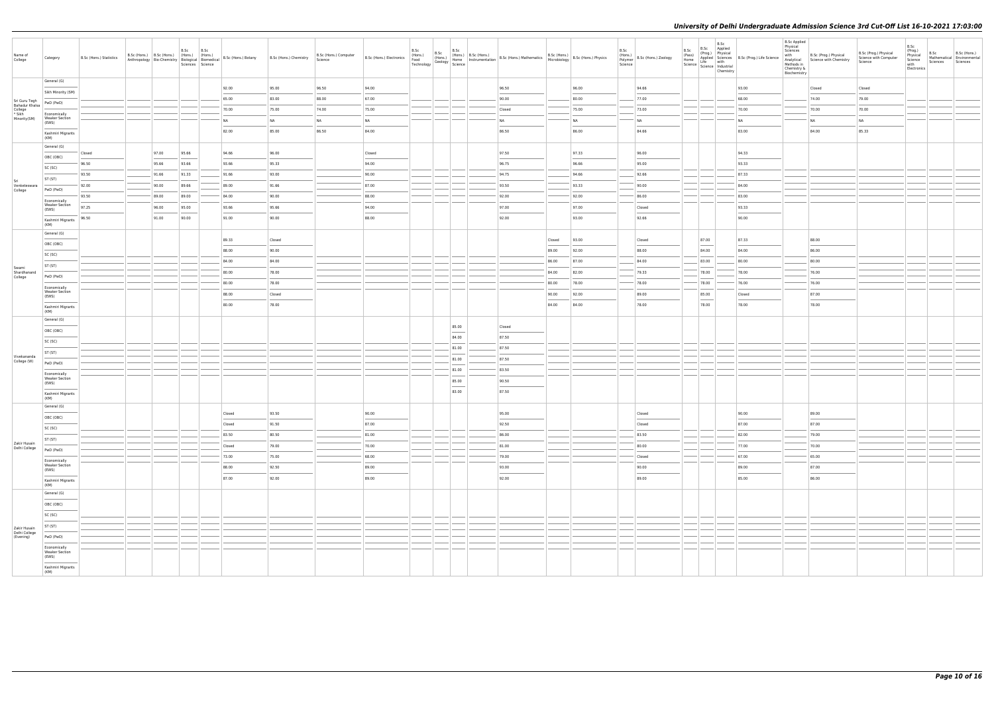| Name of<br>College                | Category                                       | B.Sc (Hons.) Statistics | B.Sc (Hons.) B.Sc (Hons.) (Hons.) (Hons.) |       | B.Sc  | B.Sc<br>Sciences Science | Anthropology   Bio-Chemistry   Biological   Biomedical   B.Sc (Hons.) Botany | B.Sc (Hons.) Chemistry | B.Sc (Hons.) Computer<br>Science |           |                                                                                                                                                                                                                                                                                                                                                                                                                                                                                     | B.Sc (Hons.) Lectronics (Hons.) B.Sc (Hons.) B.Sc (Hons.) B.Sc (Hons.) B.Sc (Hons.) B.Sc (Hons.) B.Sc (Hons.) B.Sc (Hons.) B.Sc (Hons.) Physics Technology Geology Science 1998 (Science 1998) B.Sc (Hons.) Physics (Hons.) Ph |        |                | B.Sc<br>Science | (Hons.)<br>Polymer B.Sc (Hons.) Zoology | B.Sc | B.Sc<br>B.Sc<br>Applied<br>Chemistry | B.Sc (Prog.)<br>Physical<br>Home Applied Science<br>Science Middle Science<br>Science Industrial<br>Science Industrial | <b>B.Sc Applied</b><br>Physical<br>Sciences<br>Methods in<br>Chemistry &<br>Biochemistry | with B.Sc (Prog.) Physical<br>Analytical Science with Chemistry | B.Sc (Prog.) Physical<br>Science with Computer<br>Science | B.Sc<br>(Prog.)<br>B.Sc<br>B.Sc (Hons.)<br>Physical<br>Mathematical Environmental<br>Science<br>Sciences<br>Sciences<br>with<br>Electronics |
|-----------------------------------|------------------------------------------------|-------------------------|-------------------------------------------|-------|-------|--------------------------|------------------------------------------------------------------------------|------------------------|----------------------------------|-----------|-------------------------------------------------------------------------------------------------------------------------------------------------------------------------------------------------------------------------------------------------------------------------------------------------------------------------------------------------------------------------------------------------------------------------------------------------------------------------------------|--------------------------------------------------------------------------------------------------------------------------------------------------------------------------------------------------------------------------------|--------|----------------|-----------------|-----------------------------------------|------|--------------------------------------|------------------------------------------------------------------------------------------------------------------------|------------------------------------------------------------------------------------------|-----------------------------------------------------------------|-----------------------------------------------------------|---------------------------------------------------------------------------------------------------------------------------------------------|
|                                   | General (G)                                    |                         |                                           |       |       |                          |                                                                              | 95.00                  |                                  | 94.00     |                                                                                                                                                                                                                                                                                                                                                                                                                                                                                     |                                                                                                                                                                                                                                |        |                |                 |                                         |      |                                      |                                                                                                                        |                                                                                          |                                                                 |                                                           |                                                                                                                                             |
|                                   | Sikh Minority (SM)                             |                         |                                           |       |       |                          | 92.00<br>65.00                                                               | 83.00                  | 96.50<br>88.00                   | 67.00     |                                                                                                                                                                                                                                                                                                                                                                                                                                                                                     | 96.50<br>90.00                                                                                                                                                                                                                 |        | 96.00<br>80.00 |                 | 94.66<br>77.00                          |      |                                      | 93.00<br>68.00                                                                                                         |                                                                                          | Closed<br>74.00                                                 | Closed<br>79.00                                           |                                                                                                                                             |
| Sri Guru Tegh<br>Bahadur Khalsa   | PwD (PwD)                                      |                         |                                           |       |       |                          | 70.00                                                                        | 75.00                  | 74.00                            | 75.00     |                                                                                                                                                                                                                                                                                                                                                                                                                                                                                     | Closed                                                                                                                                                                                                                         |        | 75.00          |                 | 73.00                                   |      |                                      | 70.00                                                                                                                  |                                                                                          | 70.00                                                           | 70.00                                                     |                                                                                                                                             |
| College<br>* Sikh<br>Minority(SM) | Economically<br><b>Weaker Section</b>          |                         |                                           |       |       |                          | NA                                                                           | NA                     | <b>NA</b>                        | <b>NA</b> |                                                                                                                                                                                                                                                                                                                                                                                                                                                                                     | <b>NA</b>                                                                                                                                                                                                                      |        | <b>NA</b>      |                 | <b>NA</b>                               |      |                                      | <b>NA</b>                                                                                                              |                                                                                          | <b>NA</b>                                                       | <b>NA</b>                                                 |                                                                                                                                             |
|                                   | (EWS)                                          |                         |                                           |       |       |                          | 82.00                                                                        | 85.00                  | 86.50                            | 84.00     |                                                                                                                                                                                                                                                                                                                                                                                                                                                                                     | 86.50                                                                                                                                                                                                                          |        | 86.00          |                 | 84.66                                   |      |                                      | 83.00                                                                                                                  |                                                                                          | 84.00                                                           | 85.33                                                     |                                                                                                                                             |
|                                   | Kashmiri Migrants<br>(KM)                      |                         |                                           |       |       |                          |                                                                              |                        |                                  |           |                                                                                                                                                                                                                                                                                                                                                                                                                                                                                     |                                                                                                                                                                                                                                |        |                |                 |                                         |      |                                      |                                                                                                                        |                                                                                          |                                                                 |                                                           |                                                                                                                                             |
|                                   | General (G)                                    | Closed                  |                                           | 97.00 | 95.66 |                          | 94.66                                                                        | 96.00                  |                                  | Closed    |                                                                                                                                                                                                                                                                                                                                                                                                                                                                                     | 97.50                                                                                                                                                                                                                          |        | 97.33          |                 | 96.00                                   |      |                                      | 94.33                                                                                                                  |                                                                                          |                                                                 |                                                           |                                                                                                                                             |
|                                   | OBC (OBC)                                      | 96.50                   |                                           | 95.66 | 93.66 |                          | 93.66                                                                        | 95.33                  |                                  | 94.00     |                                                                                                                                                                                                                                                                                                                                                                                                                                                                                     | 96.75                                                                                                                                                                                                                          |        | 96.66          |                 | 95.00                                   |      |                                      | 93.33                                                                                                                  |                                                                                          |                                                                 |                                                           |                                                                                                                                             |
|                                   | SC (SC)                                        | 93.50                   |                                           | 91.66 | 91.33 |                          | 91.66                                                                        | 93.00                  |                                  | 90.00     |                                                                                                                                                                                                                                                                                                                                                                                                                                                                                     | 94.75                                                                                                                                                                                                                          |        | 94.66          |                 | 92.66                                   |      |                                      | 87.33                                                                                                                  |                                                                                          |                                                                 |                                                           |                                                                                                                                             |
| Sri<br>Venketeswara<br>College    | ST (ST)<br>PwD (PwD)                           | 92.00                   |                                           | 90.00 | 89.66 |                          | 89.00                                                                        | 91.66                  |                                  | 87.00     |                                                                                                                                                                                                                                                                                                                                                                                                                                                                                     | 93.50                                                                                                                                                                                                                          |        | 93.33          |                 | 90.00                                   |      |                                      | 84.00                                                                                                                  |                                                                                          |                                                                 |                                                           |                                                                                                                                             |
|                                   | Economically                                   | 93.50                   |                                           | 89.00 | 89.00 |                          | 84.00                                                                        | 90.00                  |                                  | 88.00     |                                                                                                                                                                                                                                                                                                                                                                                                                                                                                     | 92.00                                                                                                                                                                                                                          |        | 92.00          |                 | 86.00                                   |      |                                      | 83.00                                                                                                                  |                                                                                          |                                                                 |                                                           |                                                                                                                                             |
|                                   | <b>Weaker Section</b><br>(EWS)                 | 97.25                   |                                           | 96.00 | 95.00 |                          | 93.66                                                                        | 95.66                  |                                  | 94.00     |                                                                                                                                                                                                                                                                                                                                                                                                                                                                                     | 97.00                                                                                                                                                                                                                          |        | 97.00          |                 | Closed                                  |      |                                      | 93.33                                                                                                                  |                                                                                          |                                                                 |                                                           |                                                                                                                                             |
|                                   | Kashmiri Migrants                              | 96.50                   |                                           | 91.00 | 90.00 |                          | 91.00                                                                        | 90.00                  |                                  | 88.00     |                                                                                                                                                                                                                                                                                                                                                                                                                                                                                     | 92.00                                                                                                                                                                                                                          |        | 93.00          |                 | 92.66                                   |      |                                      | 90.00                                                                                                                  |                                                                                          |                                                                 |                                                           |                                                                                                                                             |
|                                   | (KM)<br>General (G)                            |                         |                                           |       |       |                          |                                                                              |                        |                                  |           |                                                                                                                                                                                                                                                                                                                                                                                                                                                                                     |                                                                                                                                                                                                                                |        |                |                 |                                         |      |                                      |                                                                                                                        |                                                                                          |                                                                 |                                                           |                                                                                                                                             |
|                                   | OBC (OBC)                                      |                         |                                           |       |       |                          | 89.33                                                                        | Closed                 |                                  |           |                                                                                                                                                                                                                                                                                                                                                                                                                                                                                     |                                                                                                                                                                                                                                | Closed | 93.00          |                 | Closed                                  |      | 87.00                                | 87.33                                                                                                                  |                                                                                          | 88.00                                                           |                                                           |                                                                                                                                             |
|                                   | SC (SC)                                        |                         |                                           |       |       |                          | 88.00                                                                        | 90.00                  |                                  |           |                                                                                                                                                                                                                                                                                                                                                                                                                                                                                     |                                                                                                                                                                                                                                | 89.00  | 92.00          |                 | 88.00                                   |      | 84.00                                | 84.00                                                                                                                  |                                                                                          | 86.00                                                           |                                                           |                                                                                                                                             |
| Swami                             | ST (ST)                                        |                         |                                           |       |       |                          | 84.00                                                                        | 84.00                  |                                  |           |                                                                                                                                                                                                                                                                                                                                                                                                                                                                                     |                                                                                                                                                                                                                                | 86.00  | 87.00          |                 | 84.00                                   |      | 83.00                                | 80.00                                                                                                                  |                                                                                          | 80.00                                                           |                                                           |                                                                                                                                             |
| Shardhanand<br>College            | PwD (PwD)                                      |                         |                                           |       |       |                          | 80.00                                                                        | 78.00                  |                                  |           |                                                                                                                                                                                                                                                                                                                                                                                                                                                                                     |                                                                                                                                                                                                                                | 84.00  | 82.00          |                 | 79.33                                   |      | 78.00                                | 78.00                                                                                                                  |                                                                                          | 76.00                                                           |                                                           |                                                                                                                                             |
|                                   | Economically<br><b>Weaker Section</b>          |                         |                                           |       |       |                          | 80.00                                                                        | 78.00                  |                                  |           |                                                                                                                                                                                                                                                                                                                                                                                                                                                                                     |                                                                                                                                                                                                                                | 80.00  | 78.00          |                 | 78.00                                   |      | 78.00                                | 76.00                                                                                                                  |                                                                                          | 76.00                                                           |                                                           |                                                                                                                                             |
|                                   | (EWS)                                          |                         |                                           |       |       |                          | 88.00                                                                        | Closed                 |                                  |           |                                                                                                                                                                                                                                                                                                                                                                                                                                                                                     |                                                                                                                                                                                                                                | 90.00  | 92.00          |                 | 89.00                                   |      | 85.00                                | Closed                                                                                                                 |                                                                                          | 87.00                                                           |                                                           |                                                                                                                                             |
|                                   | Kashmiri Migrants<br>(KM)                      |                         |                                           |       |       |                          | 80.00                                                                        | 78.00                  |                                  |           |                                                                                                                                                                                                                                                                                                                                                                                                                                                                                     |                                                                                                                                                                                                                                | 84.00  | 84.00          |                 | 78.00                                   |      | 78.00                                | 78.00                                                                                                                  |                                                                                          | 78.00                                                           |                                                           |                                                                                                                                             |
|                                   | General (G)                                    |                         |                                           |       |       |                          |                                                                              |                        |                                  |           | 85.00                                                                                                                                                                                                                                                                                                                                                                                                                                                                               | Closed                                                                                                                                                                                                                         |        |                |                 |                                         |      |                                      |                                                                                                                        |                                                                                          |                                                                 |                                                           |                                                                                                                                             |
|                                   | OBC (OBC)                                      |                         |                                           |       |       |                          |                                                                              |                        |                                  |           | 84.00                                                                                                                                                                                                                                                                                                                                                                                                                                                                               | 87.50                                                                                                                                                                                                                          |        |                |                 |                                         |      |                                      |                                                                                                                        |                                                                                          |                                                                 |                                                           |                                                                                                                                             |
|                                   | SC (SC)                                        |                         |                                           |       |       |                          |                                                                              |                        |                                  |           | 81.00                                                                                                                                                                                                                                                                                                                                                                                                                                                                               | 87.50                                                                                                                                                                                                                          |        |                |                 |                                         |      |                                      |                                                                                                                        |                                                                                          |                                                                 |                                                           |                                                                                                                                             |
| Vivekananda                       | ST (ST)                                        |                         |                                           |       |       |                          |                                                                              |                        |                                  |           | 81.00                                                                                                                                                                                                                                                                                                                                                                                                                                                                               | 87.50                                                                                                                                                                                                                          |        |                |                 |                                         |      |                                      |                                                                                                                        |                                                                                          |                                                                 |                                                           |                                                                                                                                             |
| College (W)                       | PwD (PwD)                                      |                         |                                           |       |       |                          |                                                                              |                        |                                  |           | 81.00                                                                                                                                                                                                                                                                                                                                                                                                                                                                               | 83.50                                                                                                                                                                                                                          |        |                |                 |                                         |      |                                      |                                                                                                                        |                                                                                          |                                                                 |                                                           |                                                                                                                                             |
|                                   | Economically<br><b>Weaker Section</b><br>(EWS) |                         |                                           |       |       |                          |                                                                              |                        |                                  |           | 85.00                                                                                                                                                                                                                                                                                                                                                                                                                                                                               | 90.50                                                                                                                                                                                                                          |        |                |                 |                                         |      |                                      |                                                                                                                        |                                                                                          |                                                                 |                                                           |                                                                                                                                             |
|                                   | Kashmiri Migrants                              |                         |                                           |       |       |                          |                                                                              |                        |                                  |           | $\frac{1}{2} \left( \frac{1}{2} \right) \left( \frac{1}{2} \right) \left( \frac{1}{2} \right) \left( \frac{1}{2} \right) \left( \frac{1}{2} \right) \left( \frac{1}{2} \right) \left( \frac{1}{2} \right) \left( \frac{1}{2} \right) \left( \frac{1}{2} \right) \left( \frac{1}{2} \right) \left( \frac{1}{2} \right) \left( \frac{1}{2} \right) \left( \frac{1}{2} \right) \left( \frac{1}{2} \right) \left( \frac{1}{2} \right) \left( \frac{1}{2} \right) \left( \frac$<br>83.00 | 87.50                                                                                                                                                                                                                          |        |                |                 |                                         |      |                                      |                                                                                                                        |                                                                                          |                                                                 |                                                           |                                                                                                                                             |
|                                   | (KM)                                           |                         |                                           |       |       |                          |                                                                              |                        |                                  |           |                                                                                                                                                                                                                                                                                                                                                                                                                                                                                     |                                                                                                                                                                                                                                |        |                |                 |                                         |      |                                      |                                                                                                                        |                                                                                          |                                                                 |                                                           |                                                                                                                                             |
|                                   | General (G)<br>OBC (OBC)                       |                         |                                           |       |       |                          | Closed                                                                       | 93.50                  |                                  | 90.00     |                                                                                                                                                                                                                                                                                                                                                                                                                                                                                     | 95.00                                                                                                                                                                                                                          |        |                |                 | Closed                                  |      |                                      | 90.00                                                                                                                  |                                                                                          | 89.00                                                           |                                                           |                                                                                                                                             |
|                                   | SC (SC)                                        |                         |                                           |       |       |                          | Closed                                                                       | 91.50                  |                                  | 87.00     |                                                                                                                                                                                                                                                                                                                                                                                                                                                                                     | 92.50                                                                                                                                                                                                                          |        |                |                 | Closed                                  |      |                                      | 87.00                                                                                                                  |                                                                                          | 87.00                                                           |                                                           |                                                                                                                                             |
|                                   | ST (ST)                                        |                         |                                           |       |       |                          | 83.50                                                                        | 80.50                  |                                  | 81.00     |                                                                                                                                                                                                                                                                                                                                                                                                                                                                                     | 86.00                                                                                                                                                                                                                          |        |                |                 | 83.50                                   |      |                                      | 82.00                                                                                                                  |                                                                                          | 79.00                                                           |                                                           |                                                                                                                                             |
| Zakir Husain<br>Delhi College     | PwD (PwD)                                      |                         |                                           |       |       |                          | Closed                                                                       | 79.00                  |                                  | 70.00     |                                                                                                                                                                                                                                                                                                                                                                                                                                                                                     | 81.00                                                                                                                                                                                                                          |        |                |                 | 80.00                                   |      |                                      | 77.00                                                                                                                  |                                                                                          | 70.00                                                           |                                                           |                                                                                                                                             |
|                                   | Economically                                   |                         |                                           |       |       |                          | 73.00                                                                        | 75.00                  |                                  | 68.00     |                                                                                                                                                                                                                                                                                                                                                                                                                                                                                     | 79.00                                                                                                                                                                                                                          |        |                |                 | Closed                                  |      |                                      | 67.00                                                                                                                  |                                                                                          | 65.00                                                           |                                                           |                                                                                                                                             |
|                                   | <b>Weaker Section</b><br>(EWS)                 |                         |                                           |       |       |                          | 88.00                                                                        | 92.50                  |                                  | 89.00     |                                                                                                                                                                                                                                                                                                                                                                                                                                                                                     | 93.00                                                                                                                                                                                                                          |        |                |                 | 90.00                                   |      |                                      | 89.00                                                                                                                  |                                                                                          | 87.00                                                           |                                                           |                                                                                                                                             |
|                                   | Kashmiri Migrants<br>(KM)                      |                         |                                           |       |       |                          | 87.00                                                                        | 92.00                  |                                  | 89.00     |                                                                                                                                                                                                                                                                                                                                                                                                                                                                                     | 92.00                                                                                                                                                                                                                          |        |                |                 | 89.00                                   |      |                                      | 85.00                                                                                                                  |                                                                                          | 86.00                                                           |                                                           |                                                                                                                                             |
|                                   | General (G)                                    |                         |                                           |       |       |                          |                                                                              |                        |                                  |           |                                                                                                                                                                                                                                                                                                                                                                                                                                                                                     |                                                                                                                                                                                                                                |        |                |                 |                                         |      |                                      |                                                                                                                        |                                                                                          |                                                                 |                                                           |                                                                                                                                             |
|                                   | OBC (OBC)                                      |                         |                                           |       |       |                          |                                                                              |                        |                                  |           |                                                                                                                                                                                                                                                                                                                                                                                                                                                                                     |                                                                                                                                                                                                                                |        |                |                 |                                         |      |                                      |                                                                                                                        |                                                                                          |                                                                 |                                                           |                                                                                                                                             |
|                                   | SC (SC)                                        |                         |                                           |       |       |                          |                                                                              |                        |                                  |           |                                                                                                                                                                                                                                                                                                                                                                                                                                                                                     |                                                                                                                                                                                                                                |        |                |                 |                                         |      |                                      |                                                                                                                        |                                                                                          |                                                                 |                                                           |                                                                                                                                             |
| Zakir Husain                      | ST (ST)                                        |                         |                                           |       |       |                          |                                                                              |                        |                                  |           |                                                                                                                                                                                                                                                                                                                                                                                                                                                                                     |                                                                                                                                                                                                                                |        |                |                 |                                         |      |                                      |                                                                                                                        |                                                                                          |                                                                 |                                                           |                                                                                                                                             |
| Delhi College<br>(Evening)        | PwD (PwD)                                      |                         |                                           |       |       |                          |                                                                              |                        |                                  |           |                                                                                                                                                                                                                                                                                                                                                                                                                                                                                     |                                                                                                                                                                                                                                |        |                |                 |                                         |      |                                      |                                                                                                                        |                                                                                          |                                                                 |                                                           |                                                                                                                                             |
|                                   | Economically<br><b>Weaker Section</b>          |                         |                                           |       |       |                          |                                                                              |                        |                                  |           |                                                                                                                                                                                                                                                                                                                                                                                                                                                                                     |                                                                                                                                                                                                                                |        |                |                 |                                         |      |                                      |                                                                                                                        |                                                                                          |                                                                 |                                                           |                                                                                                                                             |
|                                   | (EWS)                                          |                         |                                           |       |       |                          |                                                                              |                        |                                  |           |                                                                                                                                                                                                                                                                                                                                                                                                                                                                                     |                                                                                                                                                                                                                                |        |                |                 |                                         |      |                                      |                                                                                                                        |                                                                                          |                                                                 |                                                           |                                                                                                                                             |
|                                   | Kashmiri Migrants<br>(KM)                      |                         |                                           |       |       |                          |                                                                              |                        |                                  |           |                                                                                                                                                                                                                                                                                                                                                                                                                                                                                     |                                                                                                                                                                                                                                |        |                |                 |                                         |      |                                      |                                                                                                                        |                                                                                          |                                                                 |                                                           |                                                                                                                                             |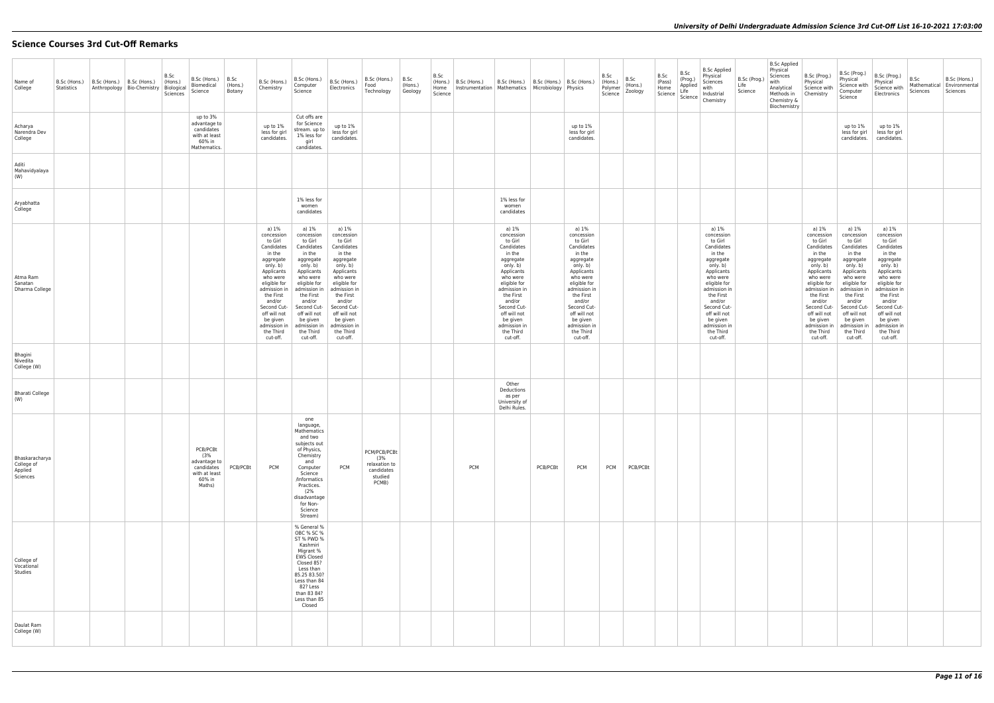# **Science Courses 3rd Cut-Off Remarks**

| Name of<br>College                                  | B.Sc (Hons.)<br>Statistics | $\vert$ B.Sc (Hons.) $\vert$ B.Sc (Hons.)<br>Anthropology   Bio-Chemistry | B.Sc<br>(Hons.)<br>Biological<br>Sciences | B.Sc (Hons.)<br>Biomedical<br>Science                                              | B.Sc<br>(Hons.)<br>Botany | B.Sc (Hons.)<br>Chemistry                                                                                                                                                                                                                            | B.Sc (Hons.)<br>Computer<br>Science                                                                                                                                                                                                                  | B.Sc (Hons.)<br>Electronics                                                                                                                                                                                                                          | B.Sc (Hons.)<br>Food<br>Technology                                     | B.Sc<br>(Hons.)<br>Geology | B.Sc<br>(Hons.)<br>Home<br>Science | B.Sc (Hons.) | B.Sc (Hons.)<br>Instrumentation   Mathematics   Microbiology   Physics                                                                                                                                                                               | B.Sc (Hons.)   B.Sc (Hons.) |                                                                                                                                                                                                                                                      | B.Sc<br>(Hons.)<br>Polymer<br>Science | B.Sc<br>(Hons.)<br>Zoology | B.Sc<br>(Pass)<br>Home<br>Science | B.Sc<br>(Prog.)<br>Applied<br>Life | <b>B.Sc Applied</b><br>Physical<br>Sciences<br>with<br>Industrial<br>Science   Chemistry                                                                                                                                                             | B.Sc (Prog.)<br>Life<br>Science | <b>B.Sc Applied</b><br>Physical<br>Sciences<br>with<br>Analytical<br>Methods in<br>Chemistry &<br>Biochemistry | B.Sc (Prog.)<br>Physical<br>Science with<br>Chemistry                                                                                                                                                                                                | B.Sc (Prog.)<br>Physical<br>Science with<br>Computer<br>Science                                                                                                                                                                                      | B.Sc (Prog.)<br>Physical<br>Science with<br>Electronics                                                                                                                                                                                              | B.Sc<br>Mathematical<br>Sciences | B.Sc (Hons.)<br>Environmental<br>Sciences |
|-----------------------------------------------------|----------------------------|---------------------------------------------------------------------------|-------------------------------------------|------------------------------------------------------------------------------------|---------------------------|------------------------------------------------------------------------------------------------------------------------------------------------------------------------------------------------------------------------------------------------------|------------------------------------------------------------------------------------------------------------------------------------------------------------------------------------------------------------------------------------------------------|------------------------------------------------------------------------------------------------------------------------------------------------------------------------------------------------------------------------------------------------------|------------------------------------------------------------------------|----------------------------|------------------------------------|--------------|------------------------------------------------------------------------------------------------------------------------------------------------------------------------------------------------------------------------------------------------------|-----------------------------|------------------------------------------------------------------------------------------------------------------------------------------------------------------------------------------------------------------------------------------------------|---------------------------------------|----------------------------|-----------------------------------|------------------------------------|------------------------------------------------------------------------------------------------------------------------------------------------------------------------------------------------------------------------------------------------------|---------------------------------|----------------------------------------------------------------------------------------------------------------|------------------------------------------------------------------------------------------------------------------------------------------------------------------------------------------------------------------------------------------------------|------------------------------------------------------------------------------------------------------------------------------------------------------------------------------------------------------------------------------------------------------|------------------------------------------------------------------------------------------------------------------------------------------------------------------------------------------------------------------------------------------------------|----------------------------------|-------------------------------------------|
| Acharya<br>Narendra Dev<br>College                  |                            |                                                                           |                                           | up to 3%<br>advantage to<br>candidates<br>with at least<br>60% in<br>Mathematics.  |                           | up to 1%<br>less for girl<br>candidates.                                                                                                                                                                                                             | Cut offs are<br>for Science<br>stream. up to<br>1% less for<br>girl<br>candidates.                                                                                                                                                                   | up to 1%<br>less for girl<br>candidates.                                                                                                                                                                                                             |                                                                        |                            |                                    |              |                                                                                                                                                                                                                                                      |                             | up to 1%<br>less for girl<br>candidates.                                                                                                                                                                                                             |                                       |                            |                                   |                                    |                                                                                                                                                                                                                                                      |                                 |                                                                                                                |                                                                                                                                                                                                                                                      | up to 1%<br>less for girl<br>candidates.                                                                                                                                                                                                             | up to 1%<br>less for girl<br>candidates.                                                                                                                                                                                                             |                                  |                                           |
| Aditi<br>Mahavidyalaya<br>(W)                       |                            |                                                                           |                                           |                                                                                    |                           |                                                                                                                                                                                                                                                      |                                                                                                                                                                                                                                                      |                                                                                                                                                                                                                                                      |                                                                        |                            |                                    |              |                                                                                                                                                                                                                                                      |                             |                                                                                                                                                                                                                                                      |                                       |                            |                                   |                                    |                                                                                                                                                                                                                                                      |                                 |                                                                                                                |                                                                                                                                                                                                                                                      |                                                                                                                                                                                                                                                      |                                                                                                                                                                                                                                                      |                                  |                                           |
| Aryabhatta<br>College                               |                            |                                                                           |                                           |                                                                                    |                           |                                                                                                                                                                                                                                                      | 1% less for<br>women<br>candidates                                                                                                                                                                                                                   |                                                                                                                                                                                                                                                      |                                                                        |                            |                                    |              | 1% less for<br>women<br>candidates                                                                                                                                                                                                                   |                             |                                                                                                                                                                                                                                                      |                                       |                            |                                   |                                    |                                                                                                                                                                                                                                                      |                                 |                                                                                                                |                                                                                                                                                                                                                                                      |                                                                                                                                                                                                                                                      |                                                                                                                                                                                                                                                      |                                  |                                           |
| Atma Ram<br>Sanatan<br>Dharma College               |                            |                                                                           |                                           |                                                                                    |                           | a) 1%<br>concession<br>to Girl<br>Candidates<br>in the<br>aggregate<br>only. b)<br>Applicants<br>who were<br>eligible for<br>admission in<br>the First<br>and/or<br>Second Cut-<br>off will not<br>be given<br>admission in<br>the Third<br>cut-off. | a) 1%<br>concession<br>to Girl<br>Candidates<br>in the<br>aggregate<br>only. b)<br>Applicants<br>who were<br>eligible for<br>admission in<br>the First<br>and/or<br>Second Cut-<br>off will not<br>be given<br>admission in<br>the Third<br>cut-off. | a) 1%<br>concession<br>to Girl<br>Candidates<br>in the<br>aggregate<br>only. b)<br>Applicants<br>who were<br>eligible for<br>admission in<br>the First<br>and/or<br>Second Cut-<br>off will not<br>be given<br>admission in<br>the Third<br>cut-off. |                                                                        |                            |                                    |              | a) 1%<br>concession<br>to Girl<br>Candidates<br>in the<br>aggregate<br>only. b)<br>Applicants<br>who were<br>eligible for<br>admission in<br>the First<br>and/or<br>Second Cut-<br>off will not<br>be given<br>admission in<br>the Third<br>cut-off. |                             | a) 1%<br>concession<br>to Girl<br>Candidates<br>in the<br>aggregate<br>only. b)<br>Applicants<br>who were<br>eligible for<br>admission in<br>the First<br>and/or<br>Second Cut-<br>off will not<br>be given<br>admission in<br>the Third<br>cut-off. |                                       |                            |                                   |                                    | a) 1%<br>concession<br>to Girl<br>Candidates<br>in the<br>aggregate<br>only. b)<br>Applicants<br>who were<br>eligible for<br>admission in<br>the First<br>and/or<br>Second Cut-<br>off will not<br>be given<br>admission in<br>the Third<br>cut-off. |                                 |                                                                                                                | a) 1%<br>concession<br>to Girl<br>Candidates<br>in the<br>aggregate<br>only. b)<br>Applicants<br>who were<br>eligible for<br>admission in<br>the First<br>and/or<br>Second Cut-<br>off will not<br>be given<br>admission in<br>the Third<br>cut-off. | a) 1%<br>concession<br>to Girl<br>Candidates<br>in the<br>aggregate<br>only. b)<br>Applicants<br>who were<br>eligible for<br>admission in<br>the First<br>and/or<br>Second Cut-<br>off will not<br>be given<br>admission ir<br>the Third<br>cut-off. | a) 1%<br>concession<br>to Girl<br>Candidates<br>in the<br>aggregate<br>only. b)<br>Applicants<br>who were<br>eligible for<br>admission in<br>the First<br>and/or<br>Second Cut-<br>off will not<br>be given<br>admission in<br>the Third<br>cut-off. |                                  |                                           |
| Bhagini<br>Nivedita<br>College (W)                  |                            |                                                                           |                                           |                                                                                    |                           |                                                                                                                                                                                                                                                      |                                                                                                                                                                                                                                                      |                                                                                                                                                                                                                                                      |                                                                        |                            |                                    |              |                                                                                                                                                                                                                                                      |                             |                                                                                                                                                                                                                                                      |                                       |                            |                                   |                                    |                                                                                                                                                                                                                                                      |                                 |                                                                                                                |                                                                                                                                                                                                                                                      |                                                                                                                                                                                                                                                      |                                                                                                                                                                                                                                                      |                                  |                                           |
| Bharati College<br>(W)                              |                            |                                                                           |                                           |                                                                                    |                           |                                                                                                                                                                                                                                                      |                                                                                                                                                                                                                                                      |                                                                                                                                                                                                                                                      |                                                                        |                            |                                    |              | Other<br>Deductions<br>as per<br>University of<br>Delhi Rules.                                                                                                                                                                                       |                             |                                                                                                                                                                                                                                                      |                                       |                            |                                   |                                    |                                                                                                                                                                                                                                                      |                                 |                                                                                                                |                                                                                                                                                                                                                                                      |                                                                                                                                                                                                                                                      |                                                                                                                                                                                                                                                      |                                  |                                           |
| Bhaskaracharya<br>College of<br>Applied<br>Sciences |                            |                                                                           |                                           | PCB/PCBt<br>(3%<br>advantage to<br>candidates<br>with at least<br>60% in<br>Maths) | PCB/PCBt                  | <b>PCM</b>                                                                                                                                                                                                                                           | one<br>language,<br>Mathematics<br>and two<br>subjects out<br>of Physics,<br>Chemistry<br>and<br>Computer<br>Science<br>/Informatics<br>Practices.<br>(2%<br>disadvantage<br>for Non-<br>Science<br>Stream)                                          | <b>PCM</b>                                                                                                                                                                                                                                           | PCM/PCB/PCBt<br>(3%<br>relaxation to<br>candidates<br>studied<br>PCMB) |                            |                                    | <b>PCM</b>   |                                                                                                                                                                                                                                                      | PCB/PCBt                    | <b>PCM</b>                                                                                                                                                                                                                                           | <b>PCM</b>                            | PCB/PCBt                   |                                   |                                    |                                                                                                                                                                                                                                                      |                                 |                                                                                                                |                                                                                                                                                                                                                                                      |                                                                                                                                                                                                                                                      |                                                                                                                                                                                                                                                      |                                  |                                           |
| College of<br>Vocational<br>Studies                 |                            |                                                                           |                                           |                                                                                    |                           |                                                                                                                                                                                                                                                      | % General %<br>OBC % SC %<br>ST % PWD %<br>Kashmiri<br>Migrant %<br><b>EWS Closed</b><br>Closed 85?<br>Less than<br>85.25 83.50?<br>Less than 84<br>82? Less<br>than 83 84?<br>Less than 85<br>Closed                                                |                                                                                                                                                                                                                                                      |                                                                        |                            |                                    |              |                                                                                                                                                                                                                                                      |                             |                                                                                                                                                                                                                                                      |                                       |                            |                                   |                                    |                                                                                                                                                                                                                                                      |                                 |                                                                                                                |                                                                                                                                                                                                                                                      |                                                                                                                                                                                                                                                      |                                                                                                                                                                                                                                                      |                                  |                                           |
| Daulat Ram<br>College (W)                           |                            |                                                                           |                                           |                                                                                    |                           |                                                                                                                                                                                                                                                      |                                                                                                                                                                                                                                                      |                                                                                                                                                                                                                                                      |                                                                        |                            |                                    |              |                                                                                                                                                                                                                                                      |                             |                                                                                                                                                                                                                                                      |                                       |                            |                                   |                                    |                                                                                                                                                                                                                                                      |                                 |                                                                                                                |                                                                                                                                                                                                                                                      |                                                                                                                                                                                                                                                      |                                                                                                                                                                                                                                                      |                                  |                                           |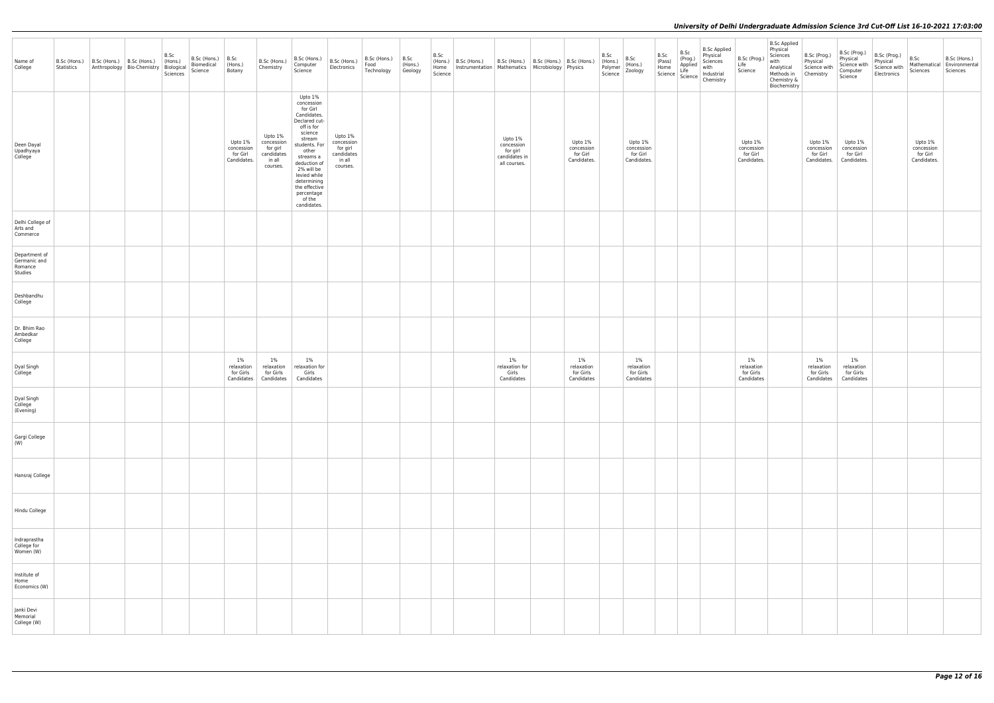| Name of<br>College                                  | Statistics | B.Sc (Hons.)   B.Sc (Hons.)   B.Sc (Hons.)<br>Anthropology Bio-Chemistry Biological<br>Sciences | B.Sc<br>(Hons.) | B.Sc (Hons.)<br>Biomedical<br>Science | B.Sc<br>(Hons.)<br>Botany                        | B.Sc (Hons.)<br>Chemistry                                             | B.Sc (Hons.)<br>Computer<br>Science                                                                                                                                                                                                                              | B.Sc (Hons.)<br>Electronics                                           | B.Sc (Hons.)<br>Food<br>Technology | B.Sc<br>(Hons.)<br>Geology | B.Sc<br>Home<br>Science | $(Hons.) \mid B.Sc$ (Hons.)<br>Instrumentation   Mathematics   Microbiology   Physics | B.Sc (Hons.)   B.Sc (Hons.)   B.Sc (Hons.)                         |                                                  | B.Sc<br>(Hons.)<br>Polymer<br>Science | B.Sc<br>(Hons.)<br>Zoology                       | B.Sc | B.Sc<br>(Prog.)<br>Applied<br>Life<br>(Prog.)<br>Home<br>Science<br>Science<br>Science<br>Reference | <b>B.Sc Applied</b><br>Physical<br>Sciences<br>with<br>Industrial<br>Chemistry | B.Sc (Prog.)<br>Life<br>Science                  | <b>B.Sc Applied</b><br>Physical<br>Sciences<br>with<br>Analytical<br>Methods in<br>Chemistry &<br>Biochemistry | B.Sc (Prog.)<br>Physical<br>Science with<br>Chemistry | B.Sc (Prog.)<br>Physical<br>Science with<br>Computer<br>Science | B.Sc (Prog.)<br>Physical<br>Science with<br>Electronics | B.Sc<br>Sciences                                 | B.Sc (Hons.)<br>$\fbox{ Mathematical} \fbox{ Environmental}$<br>Sciences |
|-----------------------------------------------------|------------|-------------------------------------------------------------------------------------------------|-----------------|---------------------------------------|--------------------------------------------------|-----------------------------------------------------------------------|------------------------------------------------------------------------------------------------------------------------------------------------------------------------------------------------------------------------------------------------------------------|-----------------------------------------------------------------------|------------------------------------|----------------------------|-------------------------|---------------------------------------------------------------------------------------|--------------------------------------------------------------------|--------------------------------------------------|---------------------------------------|--------------------------------------------------|------|-----------------------------------------------------------------------------------------------------|--------------------------------------------------------------------------------|--------------------------------------------------|----------------------------------------------------------------------------------------------------------------|-------------------------------------------------------|-----------------------------------------------------------------|---------------------------------------------------------|--------------------------------------------------|--------------------------------------------------------------------------|
| Deen Dayal<br>Upadhyaya<br>College                  |            |                                                                                                 |                 |                                       | Upto 1%<br>concession<br>for Girl<br>Candidates. | Upto 1%<br>concession<br>for girl<br>candidates<br>in all<br>courses. | Upto 1%<br>concession<br>for Girl<br>Candidates.<br>Declared cut-<br>off is for<br>science<br>stream<br>students. For<br>other<br>streams a<br>deduction of<br>2% will be<br>levied while<br>determining<br>the effective<br>percentage<br>of the<br>candidates. | Upto 1%<br>concession<br>for girl<br>candidates<br>in all<br>courses. |                                    |                            |                         |                                                                                       | Upto 1%<br>concession<br>for girl<br>candidates in<br>all courses. | Upto 1%<br>concession<br>for Girl<br>Candidates. |                                       | Upto 1%<br>concession<br>for Girl<br>Candidates. |      |                                                                                                     |                                                                                | Upto 1%<br>concession<br>for Girl<br>Candidates. |                                                                                                                | Upto 1%<br>concession<br>for Girl<br>Candidates.      | Upto 1%<br>concession<br>for Girl<br>Candidates.                |                                                         | Upto 1%<br>concession<br>for Girl<br>Candidates. |                                                                          |
| Delhi College of<br>Arts and<br>Commerce            |            |                                                                                                 |                 |                                       |                                                  |                                                                       |                                                                                                                                                                                                                                                                  |                                                                       |                                    |                            |                         |                                                                                       |                                                                    |                                                  |                                       |                                                  |      |                                                                                                     |                                                                                |                                                  |                                                                                                                |                                                       |                                                                 |                                                         |                                                  |                                                                          |
| Department of<br>Germanic and<br>Romance<br>Studies |            |                                                                                                 |                 |                                       |                                                  |                                                                       |                                                                                                                                                                                                                                                                  |                                                                       |                                    |                            |                         |                                                                                       |                                                                    |                                                  |                                       |                                                  |      |                                                                                                     |                                                                                |                                                  |                                                                                                                |                                                       |                                                                 |                                                         |                                                  |                                                                          |
| Deshbandhu<br>College                               |            |                                                                                                 |                 |                                       |                                                  |                                                                       |                                                                                                                                                                                                                                                                  |                                                                       |                                    |                            |                         |                                                                                       |                                                                    |                                                  |                                       |                                                  |      |                                                                                                     |                                                                                |                                                  |                                                                                                                |                                                       |                                                                 |                                                         |                                                  |                                                                          |
| Dr. Bhim Rao<br>Ambedkar<br>College                 |            |                                                                                                 |                 |                                       |                                                  |                                                                       |                                                                                                                                                                                                                                                                  |                                                                       |                                    |                            |                         |                                                                                       |                                                                    |                                                  |                                       |                                                  |      |                                                                                                     |                                                                                |                                                  |                                                                                                                |                                                       |                                                                 |                                                         |                                                  |                                                                          |
| Dyal Singh<br>College                               |            |                                                                                                 |                 |                                       | 1%<br>relaxation<br>for Girls                    | $1\%$<br>relaxation<br>for Girls<br>Candidates   Candidates           | $1\%$<br>relaxation for<br>Girls<br>Candidates                                                                                                                                                                                                                   |                                                                       |                                    |                            |                         |                                                                                       | $1\%$<br>relaxation for<br>Girls<br>Candidates                     | $1\%$<br>relaxation<br>for Girls<br>Candidates   |                                       | 1%<br>relaxation<br>for Girls<br>Candidates      |      |                                                                                                     |                                                                                | $1\%$<br>relaxation<br>for Girls<br>Candidates   |                                                                                                                | $1\%$<br>relaxation<br>for Girls<br>Candidates        | $1\%$<br>relaxation<br>for Girls<br>Candidates                  |                                                         |                                                  |                                                                          |
| Dyal Singh<br>College<br>(Evening)                  |            |                                                                                                 |                 |                                       |                                                  |                                                                       |                                                                                                                                                                                                                                                                  |                                                                       |                                    |                            |                         |                                                                                       |                                                                    |                                                  |                                       |                                                  |      |                                                                                                     |                                                                                |                                                  |                                                                                                                |                                                       |                                                                 |                                                         |                                                  |                                                                          |
| Gargi College<br>(W)                                |            |                                                                                                 |                 |                                       |                                                  |                                                                       |                                                                                                                                                                                                                                                                  |                                                                       |                                    |                            |                         |                                                                                       |                                                                    |                                                  |                                       |                                                  |      |                                                                                                     |                                                                                |                                                  |                                                                                                                |                                                       |                                                                 |                                                         |                                                  |                                                                          |
| Hansraj College                                     |            |                                                                                                 |                 |                                       |                                                  |                                                                       |                                                                                                                                                                                                                                                                  |                                                                       |                                    |                            |                         |                                                                                       |                                                                    |                                                  |                                       |                                                  |      |                                                                                                     |                                                                                |                                                  |                                                                                                                |                                                       |                                                                 |                                                         |                                                  |                                                                          |
| Hindu College                                       |            |                                                                                                 |                 |                                       |                                                  |                                                                       |                                                                                                                                                                                                                                                                  |                                                                       |                                    |                            |                         |                                                                                       |                                                                    |                                                  |                                       |                                                  |      |                                                                                                     |                                                                                |                                                  |                                                                                                                |                                                       |                                                                 |                                                         |                                                  |                                                                          |
| Indraprastha<br>College for<br>Women (W)            |            |                                                                                                 |                 |                                       |                                                  |                                                                       |                                                                                                                                                                                                                                                                  |                                                                       |                                    |                            |                         |                                                                                       |                                                                    |                                                  |                                       |                                                  |      |                                                                                                     |                                                                                |                                                  |                                                                                                                |                                                       |                                                                 |                                                         |                                                  |                                                                          |
| Institute of<br>Home<br>Economics (W)               |            |                                                                                                 |                 |                                       |                                                  |                                                                       |                                                                                                                                                                                                                                                                  |                                                                       |                                    |                            |                         |                                                                                       |                                                                    |                                                  |                                       |                                                  |      |                                                                                                     |                                                                                |                                                  |                                                                                                                |                                                       |                                                                 |                                                         |                                                  |                                                                          |
| Janki Devi<br>Memorial<br>College (W)               |            |                                                                                                 |                 |                                       |                                                  |                                                                       |                                                                                                                                                                                                                                                                  |                                                                       |                                    |                            |                         |                                                                                       |                                                                    |                                                  |                                       |                                                  |      |                                                                                                     |                                                                                |                                                  |                                                                                                                |                                                       |                                                                 |                                                         |                                                  |                                                                          |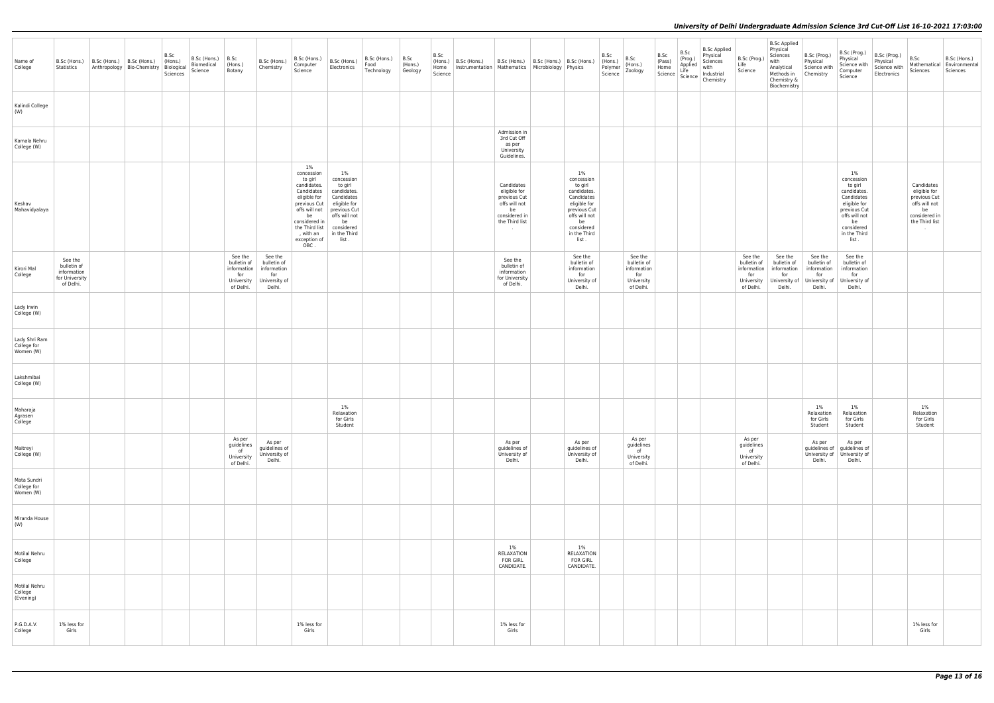| Name of<br>College                        | B.Sc (Hons.)<br>Statistics                                           | B.Sc (Hons.)   B.Sc (Hons.) | Anthropology   Bio-Chemistry   Biological | B.Sc<br>(Hons.)<br>Sciences | B.Sc (Hons.)<br>Biomedical<br>Science | B.5c<br>(Hons.)<br>Botany                                               | B.Sc (Hons.)<br>Chemistry                                               | B.Sc (Hons.)<br>Computer<br>Science                                                                                                                                                        | B.Sc (Hons.)<br>Electronics                                                                                                                            | B.Sc (Hons.)<br>Food<br>Technology | B.5c<br>(Hons.)<br>Geology | B.Sc<br>(Hons.)<br>Home<br>Science | B.Sc (Hons.) |                                                                                                                | B.Sc (Hons.)   B.Sc (Hons.)   B.Sc (Hons.)<br>Instrumentation Mathematics Microbiology Physics                                                             | B.Sc<br>(Hons.)<br>Polymer<br>Science | B.Sc<br>(Hons.)<br>Zoology                                              | B.Sc<br>(Pass)<br>$\begin{array}{ l } \hline \text{Home} \\ \text{Science} \end{array}$ | B.Sc<br>$ $ (Prog.)<br>Applied<br>Life<br>Science | <b>B.Sc Applied</b><br>Physical<br>Sciences<br>with<br>Industrial<br>Chemistry | B.Sc (Prog.)<br>Life<br>Science                                         | <b>B.Sc Applied</b><br>Physical<br>Sciences<br>with<br>Analytical<br>Methods in<br>Chemistry &<br>Biochemistry | B.Sc (Prog.)<br>Physical<br>Science with<br>Chemistry                   | B.Sc (Prog.)<br>Physical<br>Science with<br>Computer<br>Science                                                                                            | B.Sc (Prog.)<br>Physical<br>Science with<br>Electronics | B.Sc<br>Mathematical<br>Sciences                                                                                   | B.Sc (Hons.)<br>Environmental<br>Sciences |
|-------------------------------------------|----------------------------------------------------------------------|-----------------------------|-------------------------------------------|-----------------------------|---------------------------------------|-------------------------------------------------------------------------|-------------------------------------------------------------------------|--------------------------------------------------------------------------------------------------------------------------------------------------------------------------------------------|--------------------------------------------------------------------------------------------------------------------------------------------------------|------------------------------------|----------------------------|------------------------------------|--------------|----------------------------------------------------------------------------------------------------------------|------------------------------------------------------------------------------------------------------------------------------------------------------------|---------------------------------------|-------------------------------------------------------------------------|-----------------------------------------------------------------------------------------|---------------------------------------------------|--------------------------------------------------------------------------------|-------------------------------------------------------------------------|----------------------------------------------------------------------------------------------------------------|-------------------------------------------------------------------------|------------------------------------------------------------------------------------------------------------------------------------------------------------|---------------------------------------------------------|--------------------------------------------------------------------------------------------------------------------|-------------------------------------------|
| Kalindi College<br>(W)                    |                                                                      |                             |                                           |                             |                                       |                                                                         |                                                                         |                                                                                                                                                                                            |                                                                                                                                                        |                                    |                            |                                    |              |                                                                                                                |                                                                                                                                                            |                                       |                                                                         |                                                                                         |                                                   |                                                                                |                                                                         |                                                                                                                |                                                                         |                                                                                                                                                            |                                                         |                                                                                                                    |                                           |
| Kamala Nehru<br>College (W)               |                                                                      |                             |                                           |                             |                                       |                                                                         |                                                                         |                                                                                                                                                                                            |                                                                                                                                                        |                                    |                            |                                    |              | Admission in<br>3rd Cut Off<br>as per<br>University<br>Guidelines.                                             |                                                                                                                                                            |                                       |                                                                         |                                                                                         |                                                   |                                                                                |                                                                         |                                                                                                                |                                                                         |                                                                                                                                                            |                                                         |                                                                                                                    |                                           |
| Keshav<br>Mahavidyalaya                   |                                                                      |                             |                                           |                             |                                       |                                                                         |                                                                         | $1\%$<br>concession<br>to girl<br>candidates.<br>Candidates<br>eligible for<br>previous Cut<br>offs will not<br>be<br>considered in<br>the Third list<br>, with an<br>exception of<br>OBC. | 1%<br>concession<br>to girl<br>candidates.<br>Candidates<br>eligible for<br>previous Cut<br>offs will not<br>be<br>considered<br>in the Third<br>list. |                                    |                            |                                    |              | Candidates<br>eligible for<br>previous Cut<br>offs will not<br>be<br>considered in<br>the Third list<br>$\sim$ | $1\%$<br>concession<br>to girl<br>candidates.<br>Candidates<br>eligible for<br>previous Cut<br>offs will not<br>be<br>considered<br>in the Third<br>list . |                                       |                                                                         |                                                                                         |                                                   |                                                                                |                                                                         |                                                                                                                |                                                                         | $1\%$<br>concession<br>to girl<br>candidates.<br>Candidates<br>eligible for<br>previous Cut<br>offs will not<br>be<br>considered<br>in the Third<br>list . |                                                         | Candidates<br>eligible for<br>previous Cut<br>offs will not<br>be<br>considered in<br>the Third list<br>$\sim 100$ |                                           |
| Kirori Mal<br>College                     | See the<br>bulletin of<br>information<br>for University<br>of Delhi. |                             |                                           |                             |                                       | See the<br>bulletin of<br>information<br>for<br>University<br>of Delhi. | See the<br>bulletin of<br>information<br>for<br>University of<br>Delhi. |                                                                                                                                                                                            |                                                                                                                                                        |                                    |                            |                                    |              | See the<br>bulletin of<br>information<br>for University<br>of Delhi.                                           | See the<br>bulletin of<br>information<br>for<br>University of<br>Delhi.                                                                                    |                                       | See the<br>bulletin of<br>information<br>for<br>University<br>of Delhi. |                                                                                         |                                                   |                                                                                | See the<br>bulletin of<br>information<br>for<br>University<br>of Delhi. | See the<br>bulletin of<br>information<br>for<br>University of<br>Delhi.                                        | See the<br>bulletin of<br>information<br>for<br>University of<br>Delhi. | See the<br>bulletin of<br>information<br>for<br>University of<br>Delhi.                                                                                    |                                                         |                                                                                                                    |                                           |
| Lady Irwin<br>College (W)                 |                                                                      |                             |                                           |                             |                                       |                                                                         |                                                                         |                                                                                                                                                                                            |                                                                                                                                                        |                                    |                            |                                    |              |                                                                                                                |                                                                                                                                                            |                                       |                                                                         |                                                                                         |                                                   |                                                                                |                                                                         |                                                                                                                |                                                                         |                                                                                                                                                            |                                                         |                                                                                                                    |                                           |
| Lady Shri Ram<br>College for<br>Women (W) |                                                                      |                             |                                           |                             |                                       |                                                                         |                                                                         |                                                                                                                                                                                            |                                                                                                                                                        |                                    |                            |                                    |              |                                                                                                                |                                                                                                                                                            |                                       |                                                                         |                                                                                         |                                                   |                                                                                |                                                                         |                                                                                                                |                                                                         |                                                                                                                                                            |                                                         |                                                                                                                    |                                           |
| Lakshmibai<br>College (W)                 |                                                                      |                             |                                           |                             |                                       |                                                                         |                                                                         |                                                                                                                                                                                            |                                                                                                                                                        |                                    |                            |                                    |              |                                                                                                                |                                                                                                                                                            |                                       |                                                                         |                                                                                         |                                                   |                                                                                |                                                                         |                                                                                                                |                                                                         |                                                                                                                                                            |                                                         |                                                                                                                    |                                           |
| Maharaja<br>Agrasen<br>College            |                                                                      |                             |                                           |                             |                                       |                                                                         |                                                                         |                                                                                                                                                                                            | 1%<br>Relaxation<br>for Girls<br>Student                                                                                                               |                                    |                            |                                    |              |                                                                                                                |                                                                                                                                                            |                                       |                                                                         |                                                                                         |                                                   |                                                                                |                                                                         |                                                                                                                | $1\%$<br>Relaxation<br>for Girls<br>Student                             | 1%<br>Relaxation<br>for Girls<br>Student                                                                                                                   |                                                         | 1%<br>Relaxation<br>for Girls<br>Student                                                                           |                                           |
| Maitreyi<br>College (W)                   |                                                                      |                             |                                           |                             |                                       | As per<br>guidelines<br>of<br>University<br>of Delhi.                   | As per<br>guidelines of<br>University of<br>Delhi.                      |                                                                                                                                                                                            |                                                                                                                                                        |                                    |                            |                                    |              | As per<br>guidelines of<br>University of<br>Delhi.                                                             | As per<br>guidelines of<br>University of<br>Delhi.                                                                                                         |                                       | As per<br>guidelines<br>of<br>University<br>of Delhi.                   |                                                                                         |                                                   |                                                                                | As per<br>guidelines<br>of<br>University<br>of Delhi.                   |                                                                                                                | As per<br>guidelines of<br>Delhi.                                       | As per<br>guidelines of<br>University of University of<br>Delhi.                                                                                           |                                                         |                                                                                                                    |                                           |
| Mata Sundri<br>College for<br>Women (W)   |                                                                      |                             |                                           |                             |                                       |                                                                         |                                                                         |                                                                                                                                                                                            |                                                                                                                                                        |                                    |                            |                                    |              |                                                                                                                |                                                                                                                                                            |                                       |                                                                         |                                                                                         |                                                   |                                                                                |                                                                         |                                                                                                                |                                                                         |                                                                                                                                                            |                                                         |                                                                                                                    |                                           |
| Miranda House<br>(W)                      |                                                                      |                             |                                           |                             |                                       |                                                                         |                                                                         |                                                                                                                                                                                            |                                                                                                                                                        |                                    |                            |                                    |              |                                                                                                                |                                                                                                                                                            |                                       |                                                                         |                                                                                         |                                                   |                                                                                |                                                                         |                                                                                                                |                                                                         |                                                                                                                                                            |                                                         |                                                                                                                    |                                           |
| Motilal Nehru<br>College                  |                                                                      |                             |                                           |                             |                                       |                                                                         |                                                                         |                                                                                                                                                                                            |                                                                                                                                                        |                                    |                            |                                    |              | $1\%$<br>RELAXATION<br><b>FOR GIRL</b><br>CANDIDATE.                                                           | $1\%$<br>RELAXATION<br><b>FOR GIRL</b><br>CANDIDATE.                                                                                                       |                                       |                                                                         |                                                                                         |                                                   |                                                                                |                                                                         |                                                                                                                |                                                                         |                                                                                                                                                            |                                                         |                                                                                                                    |                                           |
| Motilal Nehru<br>College<br>(Evening)     |                                                                      |                             |                                           |                             |                                       |                                                                         |                                                                         |                                                                                                                                                                                            |                                                                                                                                                        |                                    |                            |                                    |              |                                                                                                                |                                                                                                                                                            |                                       |                                                                         |                                                                                         |                                                   |                                                                                |                                                                         |                                                                                                                |                                                                         |                                                                                                                                                            |                                                         |                                                                                                                    |                                           |
| P.G.D.A.V.<br>College                     | 1% less for<br>Girls                                                 |                             |                                           |                             |                                       |                                                                         |                                                                         | 1% less for<br>Girls                                                                                                                                                                       |                                                                                                                                                        |                                    |                            |                                    |              | 1% less for<br>Girls                                                                                           |                                                                                                                                                            |                                       |                                                                         |                                                                                         |                                                   |                                                                                |                                                                         |                                                                                                                |                                                                         |                                                                                                                                                            |                                                         | 1% less for<br>Girls                                                                                               |                                           |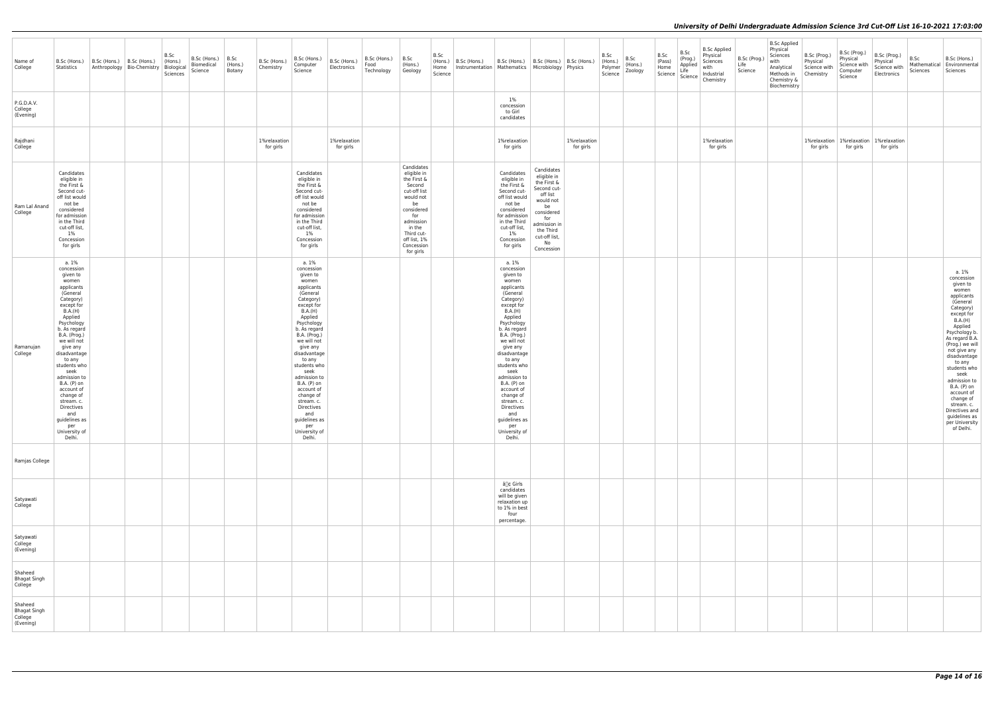| Name of<br>College                                     | B.Sc (Hons.)<br>Statistics                                                                                                                                                                                                                                                                                                                                                                     | B.Sc (Hons.)   B.Sc (Hons.) | B.Sc<br>$ $ (Hons.)<br>Anthropology Bio-Chemistry Biological<br>Sciences | B.Sc (Hons.)<br>Biomedical<br>Science | B.Sc<br>(Hons.)<br>Botany | B.Sc (Hons.)<br>Chemistry | B.Sc (Hons.)<br>Computer<br>Science                                                                                                                                                                                                                                                                                                                                                            | B.Sc (Hons.)<br>Electronics | $B.Sc$ (Hons.) $\vert B.Sc \vert$<br>Food<br>Technology | (Hons.)<br>Geology                                                                                                                                                                         | B.Sc<br>Home<br>Science | (Hons.)   B.Sc (Hons.)<br>Instrumentation   Mathematics   Microbiology   Physics | B.Sc (Hons.)                                                                                                                                                                                                                                                                                                                                                                                   | B.Sc (Hons.)   B.Sc (Hons.)                                                                                                                                                   |                           | B.Sc<br>(Hons.)<br>Polymer<br>Science | B.Sc<br>(Hons.)<br>Zoology | B.Sc<br>(Pass)<br>Home<br>Science | B.Sc<br>(Prog.)<br>Applied<br>Life<br>Science | <b>B.Sc Applied</b><br>Physical<br>Sciences<br>with<br>Industrial<br>Chemistry | B.Sc (Prog.)<br>Life<br>Science | <b>B.Sc Applied</b><br>Physical<br>Sciences<br>with<br>Analytical<br>Methods in<br>Chemistry &<br>Biochemistry | B.Sc (Prog.)<br>Physical<br>Science with<br>Chemistry | B.Sc (Prog.)<br>Physical<br>Science with<br>Computer<br>Science | B.Sc (Prog.)<br>Physical<br>Science with<br>Electronics    | B.Sc<br>Mathematical<br>Sciences | B.Sc (Hons.)<br>Environmental<br>Sciences                                                                                                                                                                                                                                                                                                                                             |
|--------------------------------------------------------|------------------------------------------------------------------------------------------------------------------------------------------------------------------------------------------------------------------------------------------------------------------------------------------------------------------------------------------------------------------------------------------------|-----------------------------|--------------------------------------------------------------------------|---------------------------------------|---------------------------|---------------------------|------------------------------------------------------------------------------------------------------------------------------------------------------------------------------------------------------------------------------------------------------------------------------------------------------------------------------------------------------------------------------------------------|-----------------------------|---------------------------------------------------------|--------------------------------------------------------------------------------------------------------------------------------------------------------------------------------------------|-------------------------|----------------------------------------------------------------------------------|------------------------------------------------------------------------------------------------------------------------------------------------------------------------------------------------------------------------------------------------------------------------------------------------------------------------------------------------------------------------------------------------|-------------------------------------------------------------------------------------------------------------------------------------------------------------------------------|---------------------------|---------------------------------------|----------------------------|-----------------------------------|-----------------------------------------------|--------------------------------------------------------------------------------|---------------------------------|----------------------------------------------------------------------------------------------------------------|-------------------------------------------------------|-----------------------------------------------------------------|------------------------------------------------------------|----------------------------------|---------------------------------------------------------------------------------------------------------------------------------------------------------------------------------------------------------------------------------------------------------------------------------------------------------------------------------------------------------------------------------------|
| P.G.D.A.V.<br>College<br>(Evening)                     |                                                                                                                                                                                                                                                                                                                                                                                                |                             |                                                                          |                                       |                           |                           |                                                                                                                                                                                                                                                                                                                                                                                                |                             |                                                         |                                                                                                                                                                                            |                         |                                                                                  | 1%<br>concession<br>to Girl<br>candidates                                                                                                                                                                                                                                                                                                                                                      |                                                                                                                                                                               |                           |                                       |                            |                                   |                                               |                                                                                |                                 |                                                                                                                |                                                       |                                                                 |                                                            |                                  |                                                                                                                                                                                                                                                                                                                                                                                       |
| Rajdhani<br>College                                    |                                                                                                                                                                                                                                                                                                                                                                                                |                             |                                                                          |                                       |                           | 1%relaxation<br>for girls |                                                                                                                                                                                                                                                                                                                                                                                                | 1%relaxation<br>for girls   |                                                         |                                                                                                                                                                                            |                         |                                                                                  | 1%relaxation<br>for girls                                                                                                                                                                                                                                                                                                                                                                      |                                                                                                                                                                               | 1%relaxation<br>for girls |                                       |                            |                                   |                                               | 1%relaxation<br>for girls                                                      |                                 |                                                                                                                | for girls                                             | for girls                                                       | 1% relaxation   1% relaxation   1% relaxation<br>for girls |                                  |                                                                                                                                                                                                                                                                                                                                                                                       |
| Ram Lal Anand<br>College                               | Candidates<br>eligible in<br>the First &<br>Second cut-<br>off list would<br>not be<br>considered<br>for admission<br>in the Third<br>cut-off list,<br>$1\%$<br>Concession<br>for girls                                                                                                                                                                                                        |                             |                                                                          |                                       |                           |                           | Candidates<br>eligible in<br>the First &<br>Second cut-<br>off list would<br>not be<br>considered<br>for admission<br>in the Third<br>cut-off list,<br>$1\%$<br>Concession<br>for girls                                                                                                                                                                                                        |                             |                                                         | Candidates<br>eligible in<br>the First &<br>Second<br>cut-off list<br>would not<br>be<br>considered<br>for<br>admission<br>in the<br>Third cut-<br>off list, 1%<br>Concession<br>for girls |                         |                                                                                  | Candidates<br>eligible in<br>the First &<br>Second cut-<br>off list would<br>not be<br>considered<br>for admission<br>in the Third<br>cut-off list,<br>1%<br>Concession<br>for girls                                                                                                                                                                                                           | Candidates<br>eligible in<br>the First &<br>Second cut-<br>off list<br>would not<br>be<br>considered<br>for<br>admission in<br>the Third<br>cut-off list,<br>No<br>Concession |                           |                                       |                            |                                   |                                               |                                                                                |                                 |                                                                                                                |                                                       |                                                                 |                                                            |                                  |                                                                                                                                                                                                                                                                                                                                                                                       |
| Ramanujan<br>College                                   | a. 1%<br>concession<br>given to<br>women<br>applicants<br>(General<br>Category)<br>except for<br>B.A.(H)<br>Applied<br>Psychology<br>b. As regard<br>B.A. (Prog.)<br>we will not<br>give any<br>disadvantage<br>to any<br>students who<br>seek<br>admission to<br>B.A. (P) on<br>account of<br>change of<br>stream. c.<br>Directives<br>and<br>guidelines as<br>per<br>University of<br>Delhi. |                             |                                                                          |                                       |                           |                           | a. 1%<br>concession<br>given to<br>women<br>applicants<br>(General<br>Category)<br>except for<br>B.A.(H)<br>Applied<br>Psychology<br>b. As regard<br>B.A. (Prog.)<br>we will not<br>give any<br>disadvantage<br>to any<br>students who<br>seek<br>admission to<br>B.A. (P) on<br>account of<br>change of<br>stream. c.<br>Directives<br>and<br>guidelines as<br>per<br>University of<br>Delhi. |                             |                                                         |                                                                                                                                                                                            |                         |                                                                                  | a. 1%<br>concession<br>given to<br>women<br>applicants<br>(General<br>Category)<br>except for<br>B.A.(H)<br>Applied<br>Psychology<br>b. As regard<br>B.A. (Prog.)<br>we will not<br>give any<br>disadvantage<br>to any<br>students who<br>seek<br>admission to<br>B.A. (P) on<br>account of<br>change of<br>stream. c.<br>Directives<br>and<br>guidelines as<br>per<br>University of<br>Delhi. |                                                                                                                                                                               |                           |                                       |                            |                                   |                                               |                                                                                |                                 |                                                                                                                |                                                       |                                                                 |                                                            |                                  | a. 1%<br>concession<br>given to<br>women<br>applicants<br>(General<br>Category)<br>except for<br>B.A.(H)<br>Applied<br>Psychology b.<br>As regard B.A.<br>(Prog.) we will<br>not give any<br>disadvantage<br>to any<br>students who<br>seek<br>admission to<br>B.A. (P) on<br>account of<br>change of<br>stream. c.<br>Directives and<br>guidelines as<br>per University<br>of Delhi. |
| Ramjas College                                         |                                                                                                                                                                                                                                                                                                                                                                                                |                             |                                                                          |                                       |                           |                           |                                                                                                                                                                                                                                                                                                                                                                                                |                             |                                                         |                                                                                                                                                                                            |                         |                                                                                  |                                                                                                                                                                                                                                                                                                                                                                                                |                                                                                                                                                                               |                           |                                       |                            |                                   |                                               |                                                                                |                                 |                                                                                                                |                                                       |                                                                 |                                                            |                                  |                                                                                                                                                                                                                                                                                                                                                                                       |
| Satyawati<br>College                                   |                                                                                                                                                                                                                                                                                                                                                                                                |                             |                                                                          |                                       |                           |                           |                                                                                                                                                                                                                                                                                                                                                                                                |                             |                                                         |                                                                                                                                                                                            |                         |                                                                                  | â∏¢ Girls<br>candidates<br>will be given<br>relaxation up<br>to 1% in best<br>four<br>percentage.                                                                                                                                                                                                                                                                                              |                                                                                                                                                                               |                           |                                       |                            |                                   |                                               |                                                                                |                                 |                                                                                                                |                                                       |                                                                 |                                                            |                                  |                                                                                                                                                                                                                                                                                                                                                                                       |
| Satyawati<br>College<br>(Evening)                      |                                                                                                                                                                                                                                                                                                                                                                                                |                             |                                                                          |                                       |                           |                           |                                                                                                                                                                                                                                                                                                                                                                                                |                             |                                                         |                                                                                                                                                                                            |                         |                                                                                  |                                                                                                                                                                                                                                                                                                                                                                                                |                                                                                                                                                                               |                           |                                       |                            |                                   |                                               |                                                                                |                                 |                                                                                                                |                                                       |                                                                 |                                                            |                                  |                                                                                                                                                                                                                                                                                                                                                                                       |
| Shaheed<br><b>Bhagat Singh</b><br>College              |                                                                                                                                                                                                                                                                                                                                                                                                |                             |                                                                          |                                       |                           |                           |                                                                                                                                                                                                                                                                                                                                                                                                |                             |                                                         |                                                                                                                                                                                            |                         |                                                                                  |                                                                                                                                                                                                                                                                                                                                                                                                |                                                                                                                                                                               |                           |                                       |                            |                                   |                                               |                                                                                |                                 |                                                                                                                |                                                       |                                                                 |                                                            |                                  |                                                                                                                                                                                                                                                                                                                                                                                       |
| Shaheed<br><b>Bhagat Singh</b><br>College<br>(Evening) |                                                                                                                                                                                                                                                                                                                                                                                                |                             |                                                                          |                                       |                           |                           |                                                                                                                                                                                                                                                                                                                                                                                                |                             |                                                         |                                                                                                                                                                                            |                         |                                                                                  |                                                                                                                                                                                                                                                                                                                                                                                                |                                                                                                                                                                               |                           |                                       |                            |                                   |                                               |                                                                                |                                 |                                                                                                                |                                                       |                                                                 |                                                            |                                  |                                                                                                                                                                                                                                                                                                                                                                                       |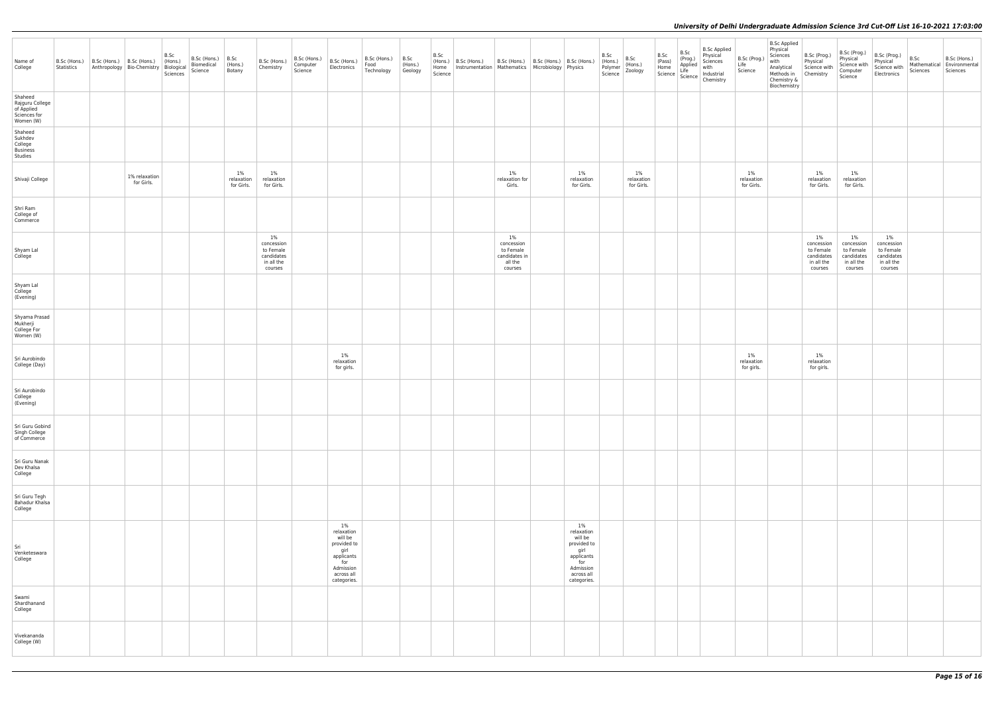| Name of<br>College                                                    | B.Sc (Hons.)<br>Statistics | B.Sc<br>(Hons.)<br>B.Sc (Hons.) B.Sc (Hons.)<br>Anthropology Bio-Chemistry Biological<br>Sciences | B.Sc (Hons.)<br>Biomedical<br>Science | B.Sc<br>(Hons.)<br>Botany         | B.Sc (Hons.)<br>Chemistry                                               | B.Sc (Hons.)<br>Computer<br>Science | B.Sc (Hons.)<br>Electronics                                                                                          | $B.Sc$ (Hons.) $ B.Sc$<br>Food<br>Technology | $ $ (Hons.)<br>Geology | B.Sc<br>Science | $(Hons.)$ B.Sc (Hons.)<br>Home   Instrumentation   Mathematics   Microbiology   Physics | B.Sc (Hons.)   B.Sc (Hons.)   B.Sc (Hons.)                           |                                                                                                                      | B.Sc<br>B.Sc<br>(Hons.)<br>Zoology<br>(Hons.)<br>Polymer<br>Science | B.Sc | <b>B.Sc Applied</b><br>B.Sc<br>Physical<br>B.Sc P.S.<br>(Pass) (Prog.) Physical<br>Home Applied with<br>Science Life with Chemistry<br>Cence Chemistry | B.Sc (Prog.)<br>Life<br>Science   | <b>B.Sc Applied</b><br>Physical<br>Sciences<br>with<br>Analytical<br>Methods in Chemistry<br>Chemistry &<br>Biochemistry | B.Sc (Prog.)<br>Physical<br>Science with                             | B.Sc (Prog.)<br>Physical<br>Science with<br>Computer<br>Science         | B.Sc (Prog.)<br>Physical<br>Science with<br>Electronics                 | B.Sc<br>Mathematical<br>Sciences | B.Sc (Hons.)<br>Environmental<br>Sciences |
|-----------------------------------------------------------------------|----------------------------|---------------------------------------------------------------------------------------------------|---------------------------------------|-----------------------------------|-------------------------------------------------------------------------|-------------------------------------|----------------------------------------------------------------------------------------------------------------------|----------------------------------------------|------------------------|-----------------|-----------------------------------------------------------------------------------------|----------------------------------------------------------------------|----------------------------------------------------------------------------------------------------------------------|---------------------------------------------------------------------|------|--------------------------------------------------------------------------------------------------------------------------------------------------------|-----------------------------------|--------------------------------------------------------------------------------------------------------------------------|----------------------------------------------------------------------|-------------------------------------------------------------------------|-------------------------------------------------------------------------|----------------------------------|-------------------------------------------|
| Shaheed<br>Rajguru College<br>of Applied<br>Sciences for<br>Women (W) |                            |                                                                                                   |                                       |                                   |                                                                         |                                     |                                                                                                                      |                                              |                        |                 |                                                                                         |                                                                      |                                                                                                                      |                                                                     |      |                                                                                                                                                        |                                   |                                                                                                                          |                                                                      |                                                                         |                                                                         |                                  |                                           |
| Shaheed<br>Sukhdev<br>College<br>Business<br>Studies                  |                            |                                                                                                   |                                       |                                   |                                                                         |                                     |                                                                                                                      |                                              |                        |                 |                                                                                         |                                                                      |                                                                                                                      |                                                                     |      |                                                                                                                                                        |                                   |                                                                                                                          |                                                                      |                                                                         |                                                                         |                                  |                                           |
| Shivaji College                                                       |                            | 1% relaxation<br>for Girls.                                                                       |                                       | $1\%$<br>relaxation<br>for Girls. | $1\%$<br>relaxation<br>for Girls.                                       |                                     |                                                                                                                      |                                              |                        |                 |                                                                                         | 1%<br>relaxation for<br>Girls.                                       | $1\%$<br>relaxation<br>for Girls.                                                                                    | 1%<br>relaxation<br>for Girls.                                      |      |                                                                                                                                                        | $1\%$<br>relaxation<br>for Girls. |                                                                                                                          | $1\%$<br>relaxation<br>for Girls.                                    | $1\%$<br>relaxation<br>for Girls.                                       |                                                                         |                                  |                                           |
| Shri Ram<br>College of<br>Commerce                                    |                            |                                                                                                   |                                       |                                   |                                                                         |                                     |                                                                                                                      |                                              |                        |                 |                                                                                         |                                                                      |                                                                                                                      |                                                                     |      |                                                                                                                                                        |                                   |                                                                                                                          |                                                                      |                                                                         |                                                                         |                                  |                                           |
| Shyam Lal<br>College                                                  |                            |                                                                                                   |                                       |                                   | $1\%$<br>concession<br>to Female<br>candidates<br>in all the<br>courses |                                     |                                                                                                                      |                                              |                        |                 |                                                                                         | 1%<br>concession<br>to Female<br>candidates in<br>all the<br>courses |                                                                                                                      |                                                                     |      |                                                                                                                                                        |                                   |                                                                                                                          | 1%<br>concession<br>to Female<br>candidates<br>in all the<br>courses | $1\%$<br>concession<br>to Female<br>candidates<br>in all the<br>courses | $1\%$<br>concession<br>to Female<br>candidates<br>in all the<br>courses |                                  |                                           |
| Shyam Lal<br>College<br>(Evening)                                     |                            |                                                                                                   |                                       |                                   |                                                                         |                                     |                                                                                                                      |                                              |                        |                 |                                                                                         |                                                                      |                                                                                                                      |                                                                     |      |                                                                                                                                                        |                                   |                                                                                                                          |                                                                      |                                                                         |                                                                         |                                  |                                           |
| Shyama Prasad<br>Mukherji<br>College For<br>Women (W)                 |                            |                                                                                                   |                                       |                                   |                                                                         |                                     |                                                                                                                      |                                              |                        |                 |                                                                                         |                                                                      |                                                                                                                      |                                                                     |      |                                                                                                                                                        |                                   |                                                                                                                          |                                                                      |                                                                         |                                                                         |                                  |                                           |
| Sri Aurobindo<br>College (Day)                                        |                            |                                                                                                   |                                       |                                   |                                                                         |                                     | 1%<br>relaxation<br>for girls.                                                                                       |                                              |                        |                 |                                                                                         |                                                                      |                                                                                                                      |                                                                     |      |                                                                                                                                                        | $1\%$<br>relaxation<br>for girls. |                                                                                                                          | $1\%$<br>relaxation<br>for girls.                                    |                                                                         |                                                                         |                                  |                                           |
| Sri Aurobindo<br>College<br>(Evening)                                 |                            |                                                                                                   |                                       |                                   |                                                                         |                                     |                                                                                                                      |                                              |                        |                 |                                                                                         |                                                                      |                                                                                                                      |                                                                     |      |                                                                                                                                                        |                                   |                                                                                                                          |                                                                      |                                                                         |                                                                         |                                  |                                           |
| Sri Guru Gobind<br>Singh College<br>of Commerce                       |                            |                                                                                                   |                                       |                                   |                                                                         |                                     |                                                                                                                      |                                              |                        |                 |                                                                                         |                                                                      |                                                                                                                      |                                                                     |      |                                                                                                                                                        |                                   |                                                                                                                          |                                                                      |                                                                         |                                                                         |                                  |                                           |
| Sri Guru Nanak<br>Dev Khalsa<br>College                               |                            |                                                                                                   |                                       |                                   |                                                                         |                                     |                                                                                                                      |                                              |                        |                 |                                                                                         |                                                                      |                                                                                                                      |                                                                     |      |                                                                                                                                                        |                                   |                                                                                                                          |                                                                      |                                                                         |                                                                         |                                  |                                           |
| Sri Guru Tegh<br><b>Bahadur Khalsa</b><br>College                     |                            |                                                                                                   |                                       |                                   |                                                                         |                                     |                                                                                                                      |                                              |                        |                 |                                                                                         |                                                                      |                                                                                                                      |                                                                     |      |                                                                                                                                                        |                                   |                                                                                                                          |                                                                      |                                                                         |                                                                         |                                  |                                           |
| Sri<br>Venketeswara<br>College                                        |                            |                                                                                                   |                                       |                                   |                                                                         |                                     | $1\%$<br>relaxation<br>will be<br>provided to<br>girl<br>applicants<br>for<br>Admission<br>across all<br>categories. |                                              |                        |                 |                                                                                         |                                                                      | $1\%$<br>relaxation<br>will be<br>provided to<br>girl<br>applicants<br>for<br>Admission<br>across all<br>categories. |                                                                     |      |                                                                                                                                                        |                                   |                                                                                                                          |                                                                      |                                                                         |                                                                         |                                  |                                           |
| Swami<br>Shardhanand<br>College                                       |                            |                                                                                                   |                                       |                                   |                                                                         |                                     |                                                                                                                      |                                              |                        |                 |                                                                                         |                                                                      |                                                                                                                      |                                                                     |      |                                                                                                                                                        |                                   |                                                                                                                          |                                                                      |                                                                         |                                                                         |                                  |                                           |
| Vivekananda<br>College (W)                                            |                            |                                                                                                   |                                       |                                   |                                                                         |                                     |                                                                                                                      |                                              |                        |                 |                                                                                         |                                                                      |                                                                                                                      |                                                                     |      |                                                                                                                                                        |                                   |                                                                                                                          |                                                                      |                                                                         |                                                                         |                                  |                                           |